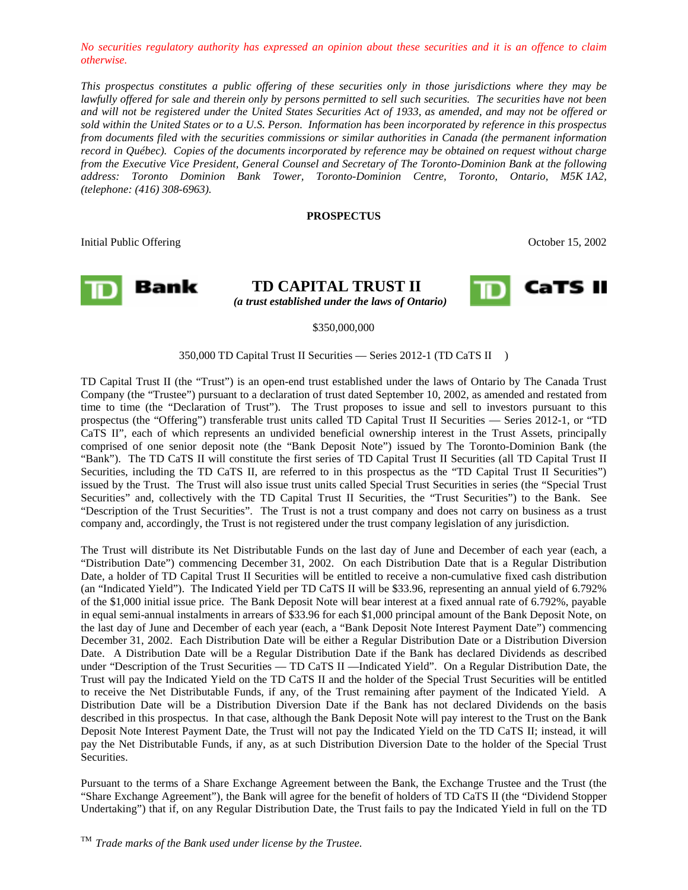*No securities regulatory authority has expressed an opinion about these securities and it is an offence to claim otherwise.* 

*This prospectus constitutes a public offering of these securities only in those jurisdictions where they may be lawfully offered for sale and therein only by persons permitted to sell such securities. The securities have not been and will not be registered under the United States Securities Act of 1933, as amended, and may not be offered or sold within the United States or to a U.S. Person. Information has been incorporated by reference in this prospectus from documents filed with the securities commissions or similar authorities in Canada (the permanent information record in Québec). Copies of the documents incorporated by reference may be obtained on request without charge from the Executive Vice President, General Counsel and Secretary of The Toronto-Dominion Bank at the following address: Toronto Dominion Bank Tower, Toronto-Dominion Centre, Toronto, Ontario, M5K 1A2, (telephone: (416) 308-6963).* 

## **PROSPECTUS**

Initial Public Offering Corollary 2002



**TD CAPITAL TRUST II** *(a trust established under the laws of Ontario)* 



#### \$350,000,000

#### 350,000 TD Capital Trust II Securities — Series 2012-1 (TD CaTS II  $TM$ )

TD Capital Trust II (the "Trust") is an open-end trust established under the laws of Ontario by The Canada Trust Company (the "Trustee") pursuant to a declaration of trust dated September 10, 2002, as amended and restated from time to time (the "Declaration of Trust"). The Trust proposes to issue and sell to investors pursuant to this prospectus (the "Offering") transferable trust units called TD Capital Trust II Securities — Series 2012-1, or "TD CaTS II", each of which represents an undivided beneficial ownership interest in the Trust Assets, principally comprised of one senior deposit note (the "Bank Deposit Note") issued by The Toronto-Dominion Bank (the "Bank"). The TD CaTS II will constitute the first series of TD Capital Trust II Securities (all TD Capital Trust II Securities, including the TD CaTS II, are referred to in this prospectus as the "TD Capital Trust II Securities") issued by the Trust. The Trust will also issue trust units called Special Trust Securities in series (the "Special Trust Securities" and, collectively with the TD Capital Trust II Securities, the "Trust Securities") to the Bank. See "Description of the Trust Securities". The Trust is not a trust company and does not carry on business as a trust company and, accordingly, the Trust is not registered under the trust company legislation of any jurisdiction.

The Trust will distribute its Net Distributable Funds on the last day of June and December of each year (each, a "Distribution Date") commencing December 31, 2002. On each Distribution Date that is a Regular Distribution Date, a holder of TD Capital Trust II Securities will be entitled to receive a non-cumulative fixed cash distribution (an "Indicated Yield"). The Indicated Yield per TD CaTS II will be \$33.96, representing an annual yield of 6.792% of the \$1,000 initial issue price. The Bank Deposit Note will bear interest at a fixed annual rate of 6.792%, payable in equal semi-annual instalments in arrears of \$33.96 for each \$1,000 principal amount of the Bank Deposit Note, on the last day of June and December of each year (each, a "Bank Deposit Note Interest Payment Date") commencing December 31, 2002. Each Distribution Date will be either a Regular Distribution Date or a Distribution Diversion Date. A Distribution Date will be a Regular Distribution Date if the Bank has declared Dividends as described under "Description of the Trust Securities — TD CaTS II —Indicated Yield". On a Regular Distribution Date, the Trust will pay the Indicated Yield on the TD CaTS II and the holder of the Special Trust Securities will be entitled to receive the Net Distributable Funds, if any, of the Trust remaining after payment of the Indicated Yield. A Distribution Date will be a Distribution Diversion Date if the Bank has not declared Dividends on the basis described in this prospectus. In that case, although the Bank Deposit Note will pay interest to the Trust on the Bank Deposit Note Interest Payment Date, the Trust will not pay the Indicated Yield on the TD CaTS II; instead, it will pay the Net Distributable Funds, if any, as at such Distribution Diversion Date to the holder of the Special Trust Securities.

Pursuant to the terms of a Share Exchange Agreement between the Bank, the Exchange Trustee and the Trust (the "Share Exchange Agreement"), the Bank will agree for the benefit of holders of TD CaTS II (the "Dividend Stopper Undertaking") that if, on any Regular Distribution Date, the Trust fails to pay the Indicated Yield in full on the TD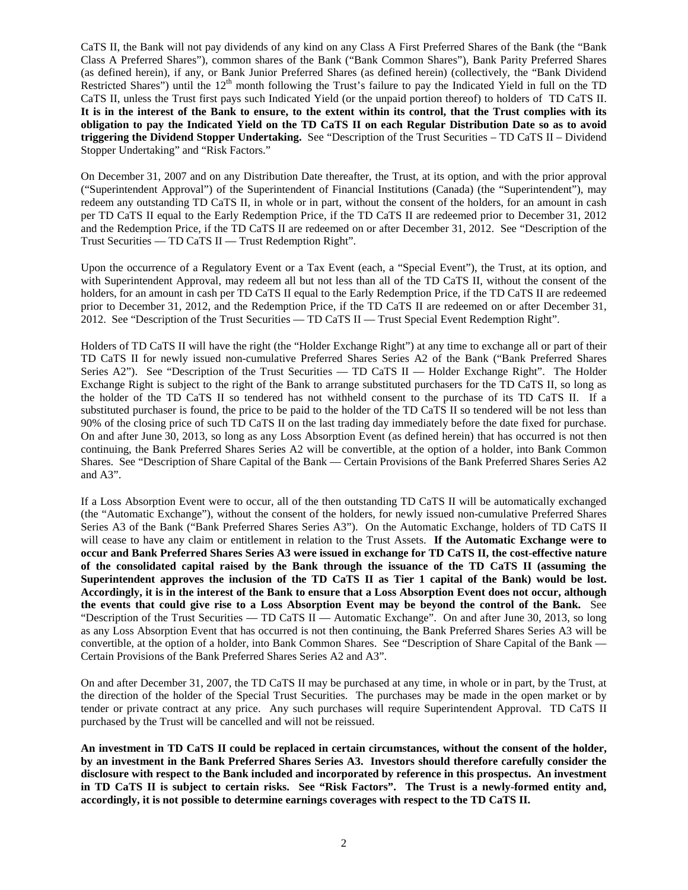CaTS II, the Bank will not pay dividends of any kind on any Class A First Preferred Shares of the Bank (the "Bank Class A Preferred Shares"), common shares of the Bank ("Bank Common Shares"), Bank Parity Preferred Shares (as defined herein), if any, or Bank Junior Preferred Shares (as defined herein) (collectively, the "Bank Dividend Restricted Shares") until the  $12<sup>th</sup>$  month following the Trust's failure to pay the Indicated Yield in full on the TD CaTS II, unless the Trust first pays such Indicated Yield (or the unpaid portion thereof) to holders of TD CaTS II. **It is in the interest of the Bank to ensure, to the extent within its control, that the Trust complies with its obligation to pay the Indicated Yield on the TD CaTS II on each Regular Distribution Date so as to avoid triggering the Dividend Stopper Undertaking.** See "Description of the Trust Securities – TD CaTS II – Dividend Stopper Undertaking" and "Risk Factors."

On December 31, 2007 and on any Distribution Date thereafter, the Trust, at its option, and with the prior approval ("Superintendent Approval") of the Superintendent of Financial Institutions (Canada) (the "Superintendent"), may redeem any outstanding TD CaTS II, in whole or in part, without the consent of the holders, for an amount in cash per TD CaTS II equal to the Early Redemption Price, if the TD CaTS II are redeemed prior to December 31, 2012 and the Redemption Price, if the TD CaTS II are redeemed on or after December 31, 2012. See "Description of the Trust Securities — TD CaTS II — Trust Redemption Right".

Upon the occurrence of a Regulatory Event or a Tax Event (each, a "Special Event"), the Trust, at its option, and with Superintendent Approval, may redeem all but not less than all of the TD CaTS II, without the consent of the holders, for an amount in cash per TD CaTS II equal to the Early Redemption Price, if the TD CaTS II are redeemed prior to December 31, 2012, and the Redemption Price, if the TD CaTS II are redeemed on or after December 31, 2012. See "Description of the Trust Securities — TD CaTS II — Trust Special Event Redemption Right".

Holders of TD CaTS II will have the right (the "Holder Exchange Right") at any time to exchange all or part of their TD CaTS II for newly issued non-cumulative Preferred Shares Series A2 of the Bank ("Bank Preferred Shares Series A2"). See "Description of the Trust Securities — TD CaTS II — Holder Exchange Right". The Holder Exchange Right is subject to the right of the Bank to arrange substituted purchasers for the TD CaTS II, so long as the holder of the TD CaTS II so tendered has not withheld consent to the purchase of its TD CaTS II. If a substituted purchaser is found, the price to be paid to the holder of the TD CaTS II so tendered will be not less than 90% of the closing price of such TD CaTS II on the last trading day immediately before the date fixed for purchase. On and after June 30, 2013, so long as any Loss Absorption Event (as defined herein) that has occurred is not then continuing, the Bank Preferred Shares Series A2 will be convertible, at the option of a holder, into Bank Common Shares. See "Description of Share Capital of the Bank — Certain Provisions of the Bank Preferred Shares Series A2 and A3".

If a Loss Absorption Event were to occur, all of the then outstanding TD CaTS II will be automatically exchanged (the "Automatic Exchange"), without the consent of the holders, for newly issued non-cumulative Preferred Shares Series A3 of the Bank ("Bank Preferred Shares Series A3"). On the Automatic Exchange, holders of TD CaTS II will cease to have any claim or entitlement in relation to the Trust Assets. **If the Automatic Exchange were to occur and Bank Preferred Shares Series A3 were issued in exchange for TD CaTS II, the cost-effective nature of the consolidated capital raised by the Bank through the issuance of the TD CaTS II (assuming the Superintendent approves the inclusion of the TD CaTS II as Tier 1 capital of the Bank) would be lost. Accordingly, it is in the interest of the Bank to ensure that a Loss Absorption Event does not occur, although the events that could give rise to a Loss Absorption Event may be beyond the control of the Bank.** See "Description of the Trust Securities — TD CaTS II — Automatic Exchange". On and after June 30, 2013, so long as any Loss Absorption Event that has occurred is not then continuing, the Bank Preferred Shares Series A3 will be convertible, at the option of a holder, into Bank Common Shares. See "Description of Share Capital of the Bank — Certain Provisions of the Bank Preferred Shares Series A2 and A3".

On and after December 31, 2007, the TD CaTS II may be purchased at any time, in whole or in part, by the Trust, at the direction of the holder of the Special Trust Securities. The purchases may be made in the open market or by tender or private contract at any price. Any such purchases will require Superintendent Approval. TD CaTS II purchased by the Trust will be cancelled and will not be reissued.

**An investment in TD CaTS II could be replaced in certain circumstances, without the consent of the holder, by an investment in the Bank Preferred Shares Series A3. Investors should therefore carefully consider the disclosure with respect to the Bank included and incorporated by reference in this prospectus. An investment in TD CaTS II is subject to certain risks. See "Risk Factors". The Trust is a newly-formed entity and, accordingly, it is not possible to determine earnings coverages with respect to the TD CaTS II.**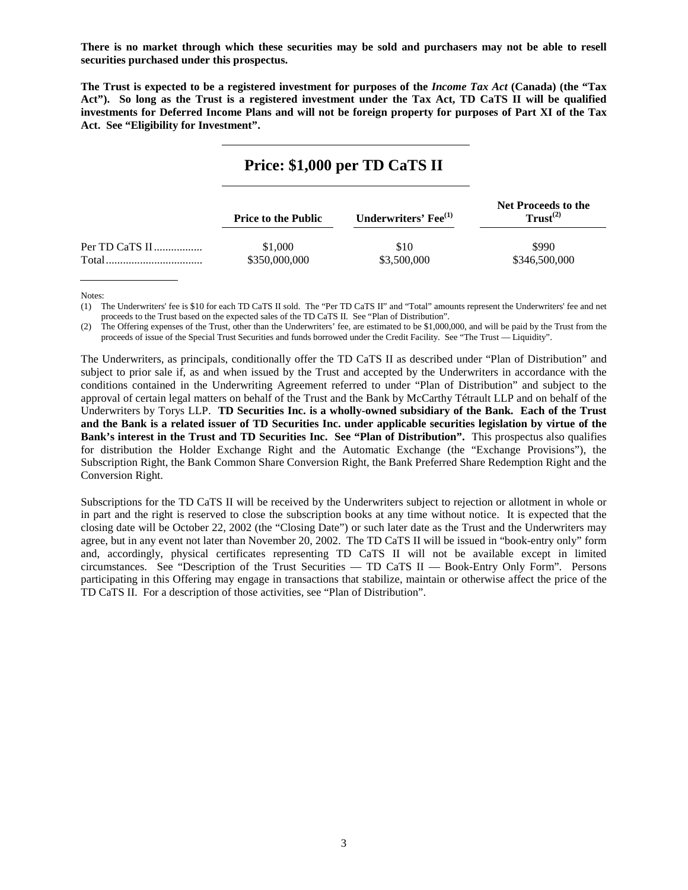**There is no market through which these securities may be sold and purchasers may not be able to resell securities purchased under this prospectus.** 

**The Trust is expected to be a registered investment for purposes of the** *Income Tax Act* **(Canada) (the "Tax Act"). So long as the Trust is a registered investment under the Tax Act, TD CaTS II will be qualified investments for Deferred Income Plans and will not be foreign property for purposes of Part XI of the Tax Act. See "Eligibility for Investment".** 

# **Price: \$1,000 per TD CaTS II**

|       | <b>Price to the Public</b> | Underwriters' Fee <sup>(1)</sup> | <b>Net Proceeds to the</b><br>Trust <sup>(2)</sup> |
|-------|----------------------------|----------------------------------|----------------------------------------------------|
|       | \$1,000                    | \$10                             | \$990                                              |
| Total | \$350,000,000              | \$3,500,000                      | \$346,500,000                                      |

Notes:

(1) The Underwriters' fee is \$10 for each TD CaTS II sold. The "Per TD CaTS II" and "Total" amounts represent the Underwriters' fee and net proceeds to the Trust based on the expected sales of the TD CaTS II. See "Plan of Distribution".

(2) The Offering expenses of the Trust, other than the Underwriters' fee, are estimated to be \$1,000,000, and will be paid by the Trust from the proceeds of issue of the Special Trust Securities and funds borrowed under the Credit Facility. See "The Trust — Liquidity".

The Underwriters, as principals, conditionally offer the TD CaTS II as described under "Plan of Distribution" and subject to prior sale if, as and when issued by the Trust and accepted by the Underwriters in accordance with the conditions contained in the Underwriting Agreement referred to under "Plan of Distribution" and subject to the approval of certain legal matters on behalf of the Trust and the Bank by McCarthy Tétrault LLP and on behalf of the Underwriters by Torys LLP. **TD Securities Inc. is a wholly-owned subsidiary of the Bank. Each of the Trust and the Bank is a related issuer of TD Securities Inc. under applicable securities legislation by virtue of the Bank's interest in the Trust and TD Securities Inc. See "Plan of Distribution".** This prospectus also qualifies for distribution the Holder Exchange Right and the Automatic Exchange (the "Exchange Provisions"), the Subscription Right, the Bank Common Share Conversion Right, the Bank Preferred Share Redemption Right and the Conversion Right.

Subscriptions for the TD CaTS II will be received by the Underwriters subject to rejection or allotment in whole or in part and the right is reserved to close the subscription books at any time without notice. It is expected that the closing date will be October 22, 2002 (the "Closing Date") or such later date as the Trust and the Underwriters may agree, but in any event not later than November 20, 2002. The TD CaTS II will be issued in "book-entry only" form and, accordingly, physical certificates representing TD CaTS II will not be available except in limited circumstances. See "Description of the Trust Securities — TD CaTS  $II$  — Book-Entry Only Form". Persons participating in this Offering may engage in transactions that stabilize, maintain or otherwise affect the price of the TD CaTS II. For a description of those activities, see "Plan of Distribution".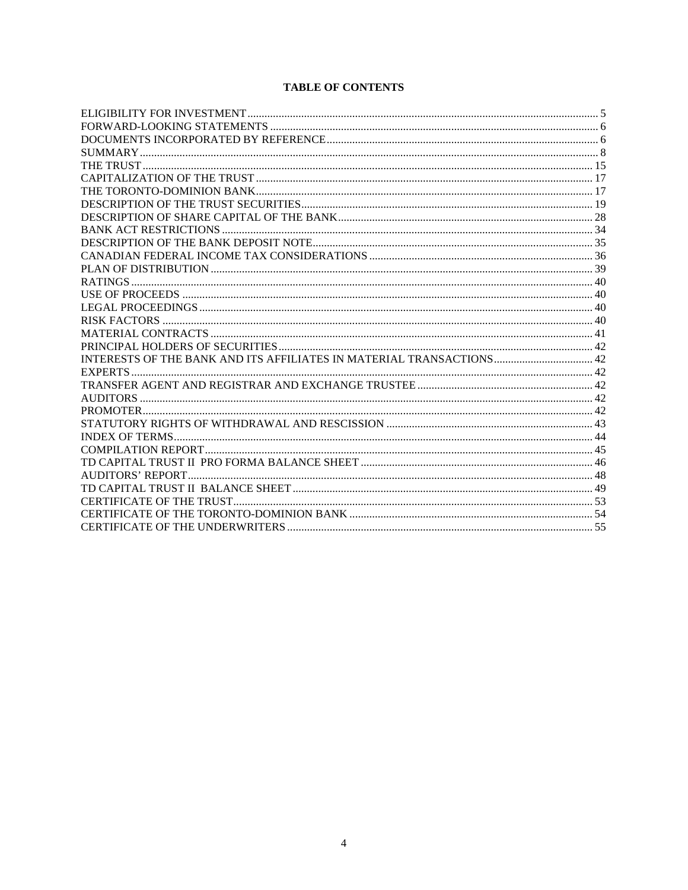# **TABLE OF CONTENTS**

| INTERESTS OF THE BANK AND ITS AFFILIATES IN MATERIAL TRANSACTIONS 42 |  |
|----------------------------------------------------------------------|--|
|                                                                      |  |
|                                                                      |  |
|                                                                      |  |
|                                                                      |  |
|                                                                      |  |
|                                                                      |  |
|                                                                      |  |
|                                                                      |  |
|                                                                      |  |
|                                                                      |  |
|                                                                      |  |
|                                                                      |  |
|                                                                      |  |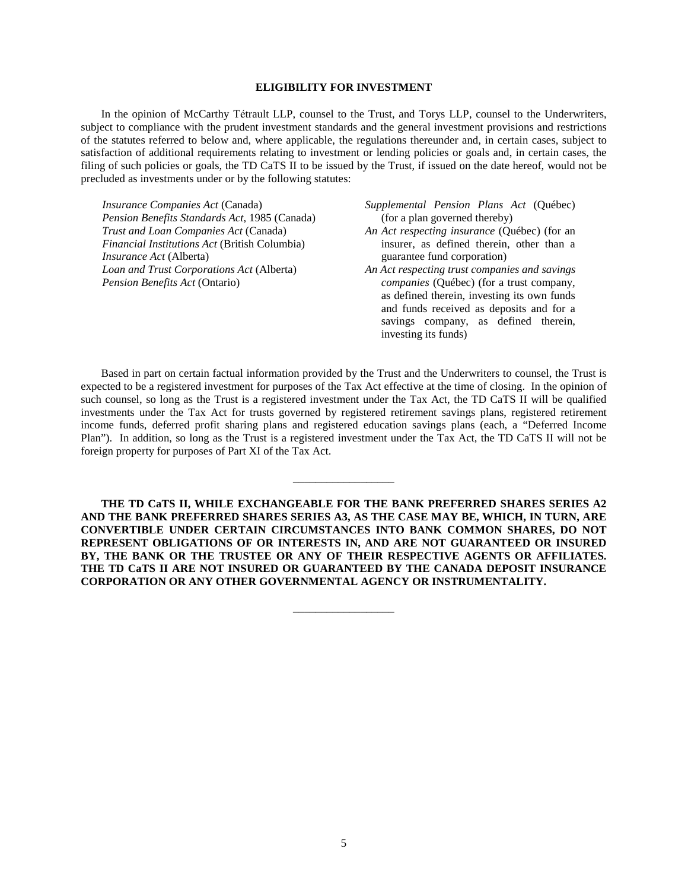# **ELIGIBILITY FOR INVESTMENT**

In the opinion of McCarthy Tétrault LLP, counsel to the Trust, and Torys LLP, counsel to the Underwriters, subject to compliance with the prudent investment standards and the general investment provisions and restrictions of the statutes referred to below and, where applicable, the regulations thereunder and, in certain cases, subject to satisfaction of additional requirements relating to investment or lending policies or goals and, in certain cases, the filing of such policies or goals, the TD CaTS II to be issued by the Trust, if issued on the date hereof, would not be precluded as investments under or by the following statutes:

*Insurance Companies Act* (Canada) *Pension Benefits Standards Act*, 1985 (Canada) *Trust and Loan Companies Act* (Canada) *Financial Institutions Act* (British Columbia) *Insurance Act* (Alberta) *Loan and Trust Corporations Act* (Alberta) *Pension Benefits Act* (Ontario)

- *Supplemental Pension Plans Act* (Québec) (for a plan governed thereby)
- *An Act respecting insurance* (Québec) (for an insurer, as defined therein, other than a guarantee fund corporation)
- *An Act respecting trust companies and savings companies* (Québec) (for a trust company, as defined therein, investing its own funds and funds received as deposits and for a savings company, as defined therein, investing its funds)

Based in part on certain factual information provided by the Trust and the Underwriters to counsel, the Trust is expected to be a registered investment for purposes of the Tax Act effective at the time of closing. In the opinion of such counsel, so long as the Trust is a registered investment under the Tax Act, the TD CaTS II will be qualified investments under the Tax Act for trusts governed by registered retirement savings plans, registered retirement income funds, deferred profit sharing plans and registered education savings plans (each, a "Deferred Income Plan"). In addition, so long as the Trust is a registered investment under the Tax Act, the TD CaTS II will not be foreign property for purposes of Part XI of the Tax Act.

\_\_\_\_\_\_\_\_\_\_\_\_\_\_\_\_\_\_

**THE TD CaTS II, WHILE EXCHANGEABLE FOR THE BANK PREFERRED SHARES SERIES A2 AND THE BANK PREFERRED SHARES SERIES A3, AS THE CASE MAY BE, WHICH, IN TURN, ARE CONVERTIBLE UNDER CERTAIN CIRCUMSTANCES INTO BANK COMMON SHARES, DO NOT REPRESENT OBLIGATIONS OF OR INTERESTS IN, AND ARE NOT GUARANTEED OR INSURED BY, THE BANK OR THE TRUSTEE OR ANY OF THEIR RESPECTIVE AGENTS OR AFFILIATES. THE TD CaTS II ARE NOT INSURED OR GUARANTEED BY THE CANADA DEPOSIT INSURANCE CORPORATION OR ANY OTHER GOVERNMENTAL AGENCY OR INSTRUMENTALITY.** 

\_\_\_\_\_\_\_\_\_\_\_\_\_\_\_\_\_\_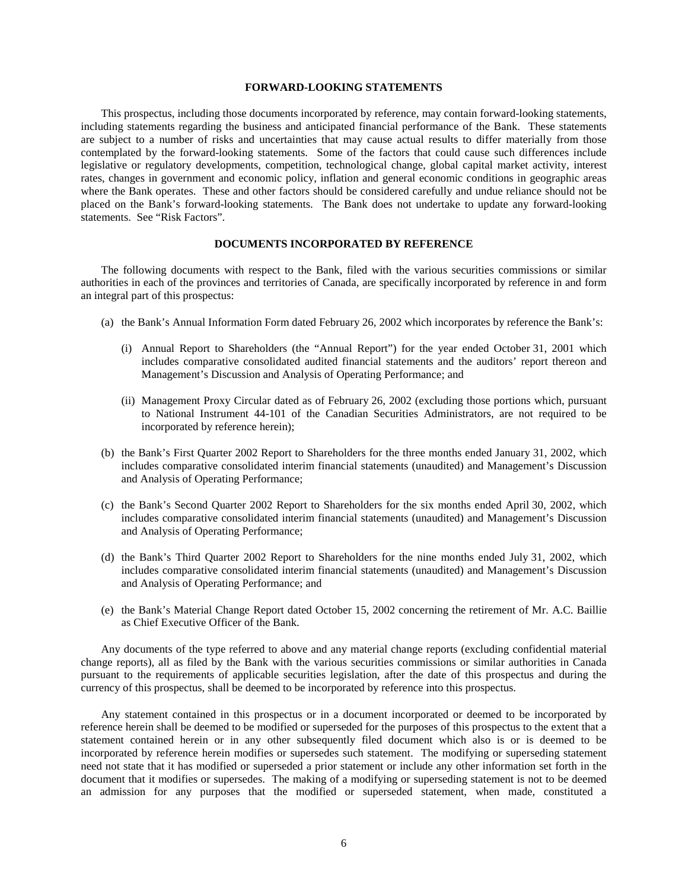# **FORWARD-LOOKING STATEMENTS**

This prospectus, including those documents incorporated by reference, may contain forward-looking statements, including statements regarding the business and anticipated financial performance of the Bank. These statements are subject to a number of risks and uncertainties that may cause actual results to differ materially from those contemplated by the forward-looking statements. Some of the factors that could cause such differences include legislative or regulatory developments, competition, technological change, global capital market activity, interest rates, changes in government and economic policy, inflation and general economic conditions in geographic areas where the Bank operates. These and other factors should be considered carefully and undue reliance should not be placed on the Bank's forward-looking statements. The Bank does not undertake to update any forward-looking statements. See "Risk Factors".

# **DOCUMENTS INCORPORATED BY REFERENCE**

The following documents with respect to the Bank, filed with the various securities commissions or similar authorities in each of the provinces and territories of Canada, are specifically incorporated by reference in and form an integral part of this prospectus:

- (a) the Bank's Annual Information Form dated February 26, 2002 which incorporates by reference the Bank's:
	- (i) Annual Report to Shareholders (the "Annual Report") for the year ended October 31, 2001 which includes comparative consolidated audited financial statements and the auditors' report thereon and Management's Discussion and Analysis of Operating Performance; and
	- (ii) Management Proxy Circular dated as of February 26, 2002 (excluding those portions which, pursuant to National Instrument 44-101 of the Canadian Securities Administrators, are not required to be incorporated by reference herein);
- (b) the Bank's First Quarter 2002 Report to Shareholders for the three months ended January 31, 2002, which includes comparative consolidated interim financial statements (unaudited) and Management's Discussion and Analysis of Operating Performance;
- (c) the Bank's Second Quarter 2002 Report to Shareholders for the six months ended April 30, 2002, which includes comparative consolidated interim financial statements (unaudited) and Management's Discussion and Analysis of Operating Performance;
- (d) the Bank's Third Quarter 2002 Report to Shareholders for the nine months ended July 31, 2002, which includes comparative consolidated interim financial statements (unaudited) and Management's Discussion and Analysis of Operating Performance; and
- (e) the Bank's Material Change Report dated October 15, 2002 concerning the retirement of Mr. A.C. Baillie as Chief Executive Officer of the Bank.

Any documents of the type referred to above and any material change reports (excluding confidential material change reports), all as filed by the Bank with the various securities commissions or similar authorities in Canada pursuant to the requirements of applicable securities legislation, after the date of this prospectus and during the currency of this prospectus, shall be deemed to be incorporated by reference into this prospectus.

Any statement contained in this prospectus or in a document incorporated or deemed to be incorporated by reference herein shall be deemed to be modified or superseded for the purposes of this prospectus to the extent that a statement contained herein or in any other subsequently filed document which also is or is deemed to be incorporated by reference herein modifies or supersedes such statement. The modifying or superseding statement need not state that it has modified or superseded a prior statement or include any other information set forth in the document that it modifies or supersedes. The making of a modifying or superseding statement is not to be deemed an admission for any purposes that the modified or superseded statement, when made, constituted a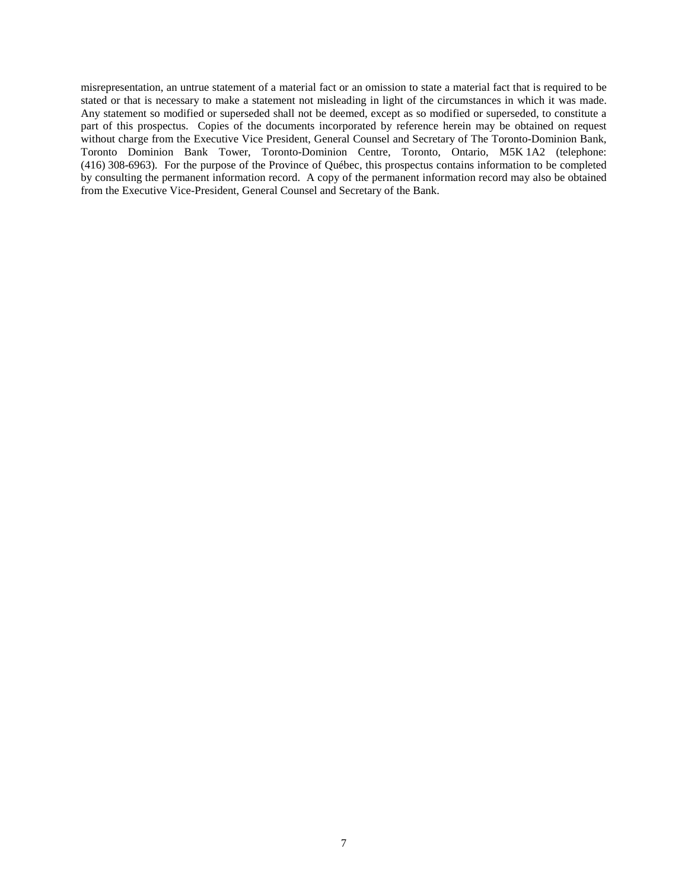misrepresentation, an untrue statement of a material fact or an omission to state a material fact that is required to be stated or that is necessary to make a statement not misleading in light of the circumstances in which it was made. Any statement so modified or superseded shall not be deemed, except as so modified or superseded, to constitute a part of this prospectus. Copies of the documents incorporated by reference herein may be obtained on request without charge from the Executive Vice President, General Counsel and Secretary of The Toronto-Dominion Bank, Toronto Dominion Bank Tower, Toronto-Dominion Centre, Toronto, Ontario, M5K 1A2 (telephone: (416) 308-6963). For the purpose of the Province of Québec, this prospectus contains information to be completed by consulting the permanent information record. A copy of the permanent information record may also be obtained from the Executive Vice-President, General Counsel and Secretary of the Bank.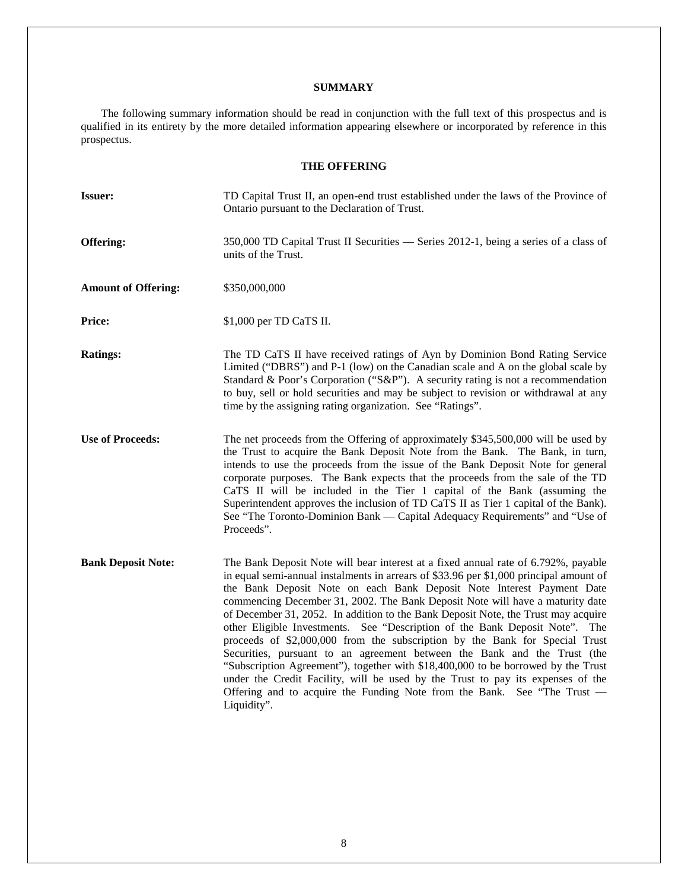# **SUMMARY**

The following summary information should be read in conjunction with the full text of this prospectus and is qualified in its entirety by the more detailed information appearing elsewhere or incorporated by reference in this prospectus.

# **THE OFFERING**

| <b>Issuer:</b>             | TD Capital Trust II, an open-end trust established under the laws of the Province of<br>Ontario pursuant to the Declaration of Trust.                                                                                                                                                                                                                                                                                                                                                                                                                                                                                                                                                                                                                                                                                                                                                                                                    |
|----------------------------|------------------------------------------------------------------------------------------------------------------------------------------------------------------------------------------------------------------------------------------------------------------------------------------------------------------------------------------------------------------------------------------------------------------------------------------------------------------------------------------------------------------------------------------------------------------------------------------------------------------------------------------------------------------------------------------------------------------------------------------------------------------------------------------------------------------------------------------------------------------------------------------------------------------------------------------|
| Offering:                  | 350,000 TD Capital Trust II Securities — Series 2012-1, being a series of a class of<br>units of the Trust.                                                                                                                                                                                                                                                                                                                                                                                                                                                                                                                                                                                                                                                                                                                                                                                                                              |
| <b>Amount of Offering:</b> | \$350,000,000                                                                                                                                                                                                                                                                                                                                                                                                                                                                                                                                                                                                                                                                                                                                                                                                                                                                                                                            |
| Price:                     | \$1,000 per TD CaTS II.                                                                                                                                                                                                                                                                                                                                                                                                                                                                                                                                                                                                                                                                                                                                                                                                                                                                                                                  |
| <b>Ratings:</b>            | The TD CaTS II have received ratings of Ayn by Dominion Bond Rating Service<br>Limited ("DBRS") and P-1 (low) on the Canadian scale and A on the global scale by<br>Standard & Poor's Corporation ("S&P"). A security rating is not a recommendation<br>to buy, sell or hold securities and may be subject to revision or withdrawal at any<br>time by the assigning rating organization. See "Ratings".                                                                                                                                                                                                                                                                                                                                                                                                                                                                                                                                 |
| <b>Use of Proceeds:</b>    | The net proceeds from the Offering of approximately \$345,500,000 will be used by<br>the Trust to acquire the Bank Deposit Note from the Bank. The Bank, in turn,<br>intends to use the proceeds from the issue of the Bank Deposit Note for general<br>corporate purposes. The Bank expects that the proceeds from the sale of the TD<br>CaTS II will be included in the Tier 1 capital of the Bank (assuming the<br>Superintendent approves the inclusion of TD CaTS II as Tier 1 capital of the Bank).<br>See "The Toronto-Dominion Bank — Capital Adequacy Requirements" and "Use of<br>Proceeds".                                                                                                                                                                                                                                                                                                                                   |
| <b>Bank Deposit Note:</b>  | The Bank Deposit Note will bear interest at a fixed annual rate of 6.792%, payable<br>in equal semi-annual instalments in arrears of \$33.96 per \$1,000 principal amount of<br>the Bank Deposit Note on each Bank Deposit Note Interest Payment Date<br>commencing December 31, 2002. The Bank Deposit Note will have a maturity date<br>of December 31, 2052. In addition to the Bank Deposit Note, the Trust may acquire<br>other Eligible Investments. See "Description of the Bank Deposit Note". The<br>proceeds of \$2,000,000 from the subscription by the Bank for Special Trust<br>Securities, pursuant to an agreement between the Bank and the Trust (the<br>"Subscription Agreement"), together with \$18,400,000 to be borrowed by the Trust<br>under the Credit Facility, will be used by the Trust to pay its expenses of the<br>Offering and to acquire the Funding Note from the Bank. See "The Trust -<br>Liquidity". |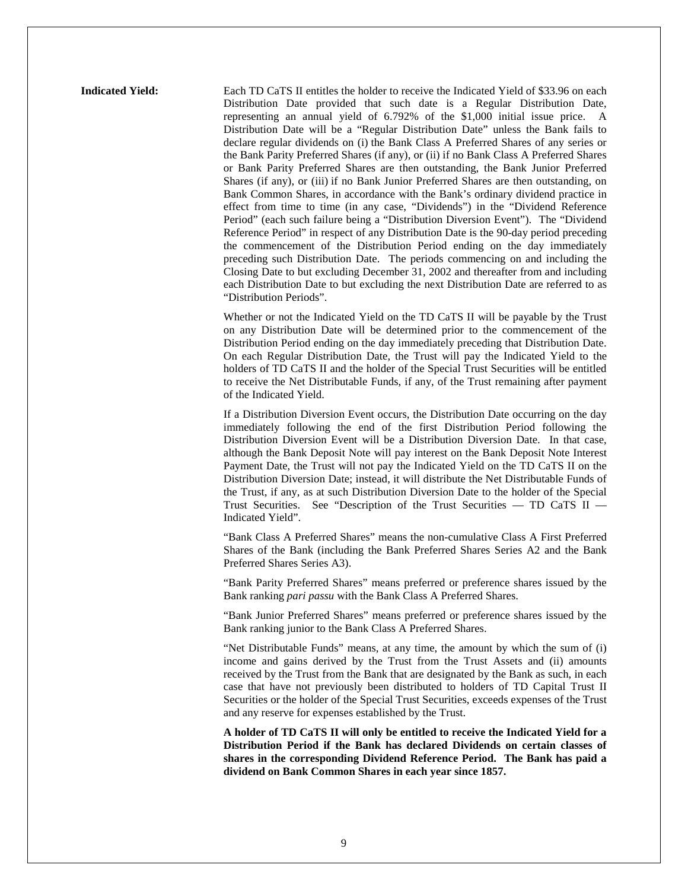**Indicated Yield:** Each TD CaTS II entitles the holder to receive the Indicated Yield of \$33.96 on each Distribution Date provided that such date is a Regular Distribution Date, representing an annual yield of 6.792% of the \$1,000 initial issue price. A Distribution Date will be a "Regular Distribution Date" unless the Bank fails to declare regular dividends on (i) the Bank Class A Preferred Shares of any series or the Bank Parity Preferred Shares (if any), or (ii) if no Bank Class A Preferred Shares or Bank Parity Preferred Shares are then outstanding, the Bank Junior Preferred Shares (if any), or (iii) if no Bank Junior Preferred Shares are then outstanding, on Bank Common Shares, in accordance with the Bank's ordinary dividend practice in effect from time to time (in any case, "Dividends") in the "Dividend Reference Period" (each such failure being a "Distribution Diversion Event"). The "Dividend Reference Period" in respect of any Distribution Date is the 90-day period preceding the commencement of the Distribution Period ending on the day immediately preceding such Distribution Date. The periods commencing on and including the Closing Date to but excluding December 31, 2002 and thereafter from and including each Distribution Date to but excluding the next Distribution Date are referred to as "Distribution Periods".

> Whether or not the Indicated Yield on the TD CaTS II will be payable by the Trust on any Distribution Date will be determined prior to the commencement of the Distribution Period ending on the day immediately preceding that Distribution Date. On each Regular Distribution Date, the Trust will pay the Indicated Yield to the holders of TD CaTS II and the holder of the Special Trust Securities will be entitled to receive the Net Distributable Funds, if any, of the Trust remaining after payment of the Indicated Yield.

> If a Distribution Diversion Event occurs, the Distribution Date occurring on the day immediately following the end of the first Distribution Period following the Distribution Diversion Event will be a Distribution Diversion Date. In that case, although the Bank Deposit Note will pay interest on the Bank Deposit Note Interest Payment Date, the Trust will not pay the Indicated Yield on the TD CaTS II on the Distribution Diversion Date; instead, it will distribute the Net Distributable Funds of the Trust, if any, as at such Distribution Diversion Date to the holder of the Special Trust Securities. See "Description of the Trust Securities — TD CaTS II — Indicated Yield".

> "Bank Class A Preferred Shares" means the non-cumulative Class A First Preferred Shares of the Bank (including the Bank Preferred Shares Series A2 and the Bank Preferred Shares Series A3).

> "Bank Parity Preferred Shares" means preferred or preference shares issued by the Bank ranking *pari passu* with the Bank Class A Preferred Shares.

> "Bank Junior Preferred Shares" means preferred or preference shares issued by the Bank ranking junior to the Bank Class A Preferred Shares.

> "Net Distributable Funds" means, at any time, the amount by which the sum of (i) income and gains derived by the Trust from the Trust Assets and (ii) amounts received by the Trust from the Bank that are designated by the Bank as such, in each case that have not previously been distributed to holders of TD Capital Trust II Securities or the holder of the Special Trust Securities, exceeds expenses of the Trust and any reserve for expenses established by the Trust.

> **A holder of TD CaTS II will only be entitled to receive the Indicated Yield for a Distribution Period if the Bank has declared Dividends on certain classes of shares in the corresponding Dividend Reference Period. The Bank has paid a dividend on Bank Common Shares in each year since 1857.**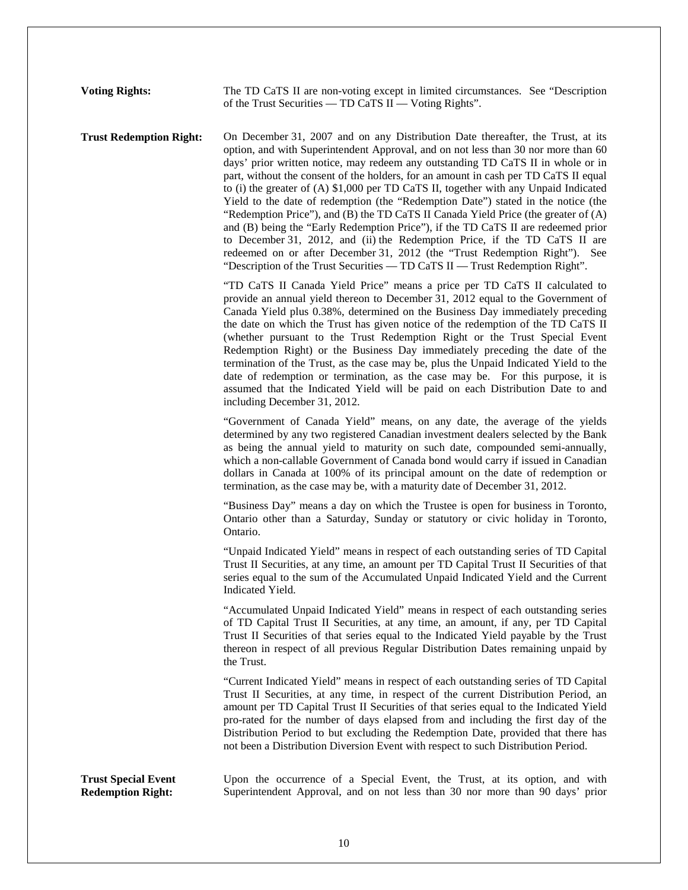**Voting Rights:** The TD CaTS II are non-voting except in limited circumstances. See "Description of the Trust Securities — TD CaTS II — Voting Rights".

**Trust Redemption Right:** On December 31, 2007 and on any Distribution Date thereafter, the Trust, at its option, and with Superintendent Approval, and on not less than 30 nor more than 60 days' prior written notice, may redeem any outstanding TD CaTS II in whole or in part, without the consent of the holders, for an amount in cash per TD CaTS II equal to (i) the greater of (A) \$1,000 per TD CaTS II, together with any Unpaid Indicated Yield to the date of redemption (the "Redemption Date") stated in the notice (the "Redemption Price"), and (B) the TD CaTS II Canada Yield Price (the greater of (A) and (B) being the "Early Redemption Price"), if the TD CaTS II are redeemed prior to December 31, 2012, and (ii) the Redemption Price, if the TD CaTS II are redeemed on or after December 31, 2012 (the "Trust Redemption Right"). See "Description of the Trust Securities — TD CaTS II — Trust Redemption Right".

> "TD CaTS II Canada Yield Price" means a price per TD CaTS II calculated to provide an annual yield thereon to December 31, 2012 equal to the Government of Canada Yield plus 0.38%, determined on the Business Day immediately preceding the date on which the Trust has given notice of the redemption of the TD CaTS II (whether pursuant to the Trust Redemption Right or the Trust Special Event Redemption Right) or the Business Day immediately preceding the date of the termination of the Trust, as the case may be, plus the Unpaid Indicated Yield to the date of redemption or termination, as the case may be. For this purpose, it is assumed that the Indicated Yield will be paid on each Distribution Date to and including December 31, 2012.

> "Government of Canada Yield" means, on any date, the average of the yields determined by any two registered Canadian investment dealers selected by the Bank as being the annual yield to maturity on such date, compounded semi-annually, which a non-callable Government of Canada bond would carry if issued in Canadian dollars in Canada at 100% of its principal amount on the date of redemption or termination, as the case may be, with a maturity date of December 31, 2012.

> "Business Day" means a day on which the Trustee is open for business in Toronto, Ontario other than a Saturday, Sunday or statutory or civic holiday in Toronto, Ontario.

> "Unpaid Indicated Yield" means in respect of each outstanding series of TD Capital Trust II Securities, at any time, an amount per TD Capital Trust II Securities of that series equal to the sum of the Accumulated Unpaid Indicated Yield and the Current Indicated Yield.

> "Accumulated Unpaid Indicated Yield" means in respect of each outstanding series of TD Capital Trust II Securities, at any time, an amount, if any, per TD Capital Trust II Securities of that series equal to the Indicated Yield payable by the Trust thereon in respect of all previous Regular Distribution Dates remaining unpaid by the Trust.

> "Current Indicated Yield" means in respect of each outstanding series of TD Capital Trust II Securities, at any time, in respect of the current Distribution Period, an amount per TD Capital Trust II Securities of that series equal to the Indicated Yield pro-rated for the number of days elapsed from and including the first day of the Distribution Period to but excluding the Redemption Date, provided that there has not been a Distribution Diversion Event with respect to such Distribution Period.

**Trust Special Event Redemption Right:** 

Upon the occurrence of a Special Event, the Trust, at its option, and with Superintendent Approval, and on not less than 30 nor more than 90 days' prior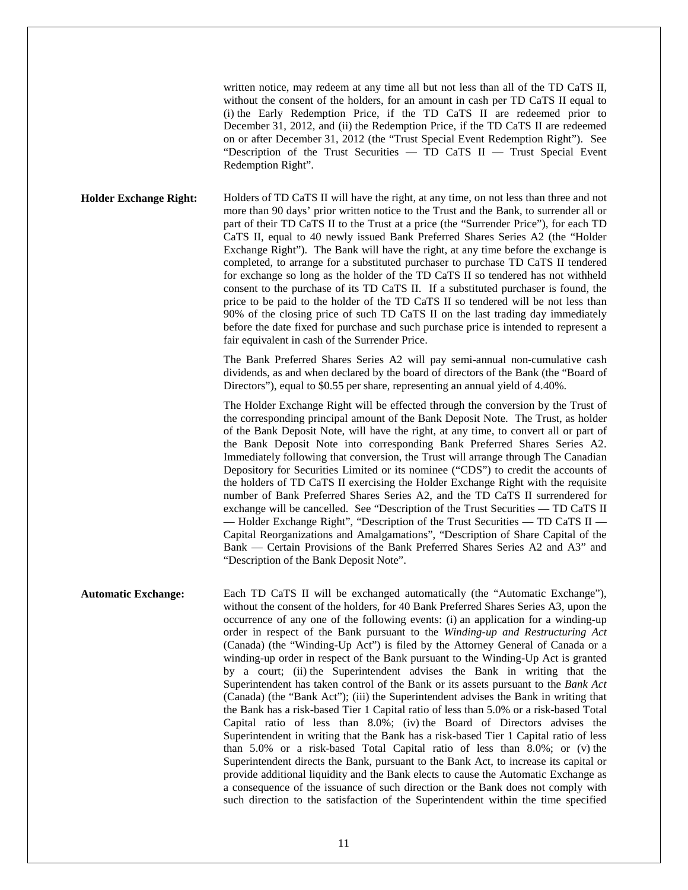written notice, may redeem at any time all but not less than all of the TD CaTS II, without the consent of the holders, for an amount in cash per TD CaTS II equal to (i) the Early Redemption Price, if the TD CaTS II are redeemed prior to December 31, 2012, and (ii) the Redemption Price, if the TD CaTS II are redeemed on or after December 31, 2012 (the "Trust Special Event Redemption Right"). See "Description of the Trust Securities — TD CaTS II — Trust Special Event Redemption Right".

**Holder Exchange Right:** Holders of TD CaTS II will have the right, at any time, on not less than three and not more than 90 days' prior written notice to the Trust and the Bank, to surrender all or part of their TD CaTS II to the Trust at a price (the "Surrender Price"), for each TD CaTS II, equal to 40 newly issued Bank Preferred Shares Series A2 (the "Holder Exchange Right"). The Bank will have the right, at any time before the exchange is completed, to arrange for a substituted purchaser to purchase TD CaTS II tendered for exchange so long as the holder of the TD CaTS II so tendered has not withheld consent to the purchase of its TD CaTS II. If a substituted purchaser is found, the price to be paid to the holder of the TD CaTS II so tendered will be not less than 90% of the closing price of such TD CaTS II on the last trading day immediately before the date fixed for purchase and such purchase price is intended to represent a fair equivalent in cash of the Surrender Price.

> The Bank Preferred Shares Series A2 will pay semi-annual non-cumulative cash dividends, as and when declared by the board of directors of the Bank (the "Board of Directors"), equal to \$0.55 per share, representing an annual yield of 4.40%.

> The Holder Exchange Right will be effected through the conversion by the Trust of the corresponding principal amount of the Bank Deposit Note. The Trust, as holder of the Bank Deposit Note, will have the right, at any time, to convert all or part of the Bank Deposit Note into corresponding Bank Preferred Shares Series A2. Immediately following that conversion, the Trust will arrange through The Canadian Depository for Securities Limited or its nominee ("CDS") to credit the accounts of the holders of TD CaTS II exercising the Holder Exchange Right with the requisite number of Bank Preferred Shares Series A2, and the TD CaTS II surrendered for exchange will be cancelled. See "Description of the Trust Securities — TD CaTS II — Holder Exchange Right", "Description of the Trust Securities — TD CaTS II — Capital Reorganizations and Amalgamations", "Description of Share Capital of the Bank — Certain Provisions of the Bank Preferred Shares Series A2 and A3" and "Description of the Bank Deposit Note".

**Automatic Exchange:** Each TD CaTS II will be exchanged automatically (the "Automatic Exchange"), without the consent of the holders, for 40 Bank Preferred Shares Series A3, upon the occurrence of any one of the following events: (i) an application for a winding-up order in respect of the Bank pursuant to the *Winding-up and Restructuring Act* (Canada) (the "Winding-Up Act") is filed by the Attorney General of Canada or a winding-up order in respect of the Bank pursuant to the Winding-Up Act is granted by a court; (ii) the Superintendent advises the Bank in writing that the Superintendent has taken control of the Bank or its assets pursuant to the *Bank Act* (Canada) (the "Bank Act"); (iii) the Superintendent advises the Bank in writing that the Bank has a risk-based Tier 1 Capital ratio of less than 5.0% or a risk-based Total Capital ratio of less than 8.0%; (iv) the Board of Directors advises the Superintendent in writing that the Bank has a risk-based Tier 1 Capital ratio of less than 5.0% or a risk-based Total Capital ratio of less than 8.0%; or (v) the Superintendent directs the Bank, pursuant to the Bank Act, to increase its capital or provide additional liquidity and the Bank elects to cause the Automatic Exchange as a consequence of the issuance of such direction or the Bank does not comply with such direction to the satisfaction of the Superintendent within the time specified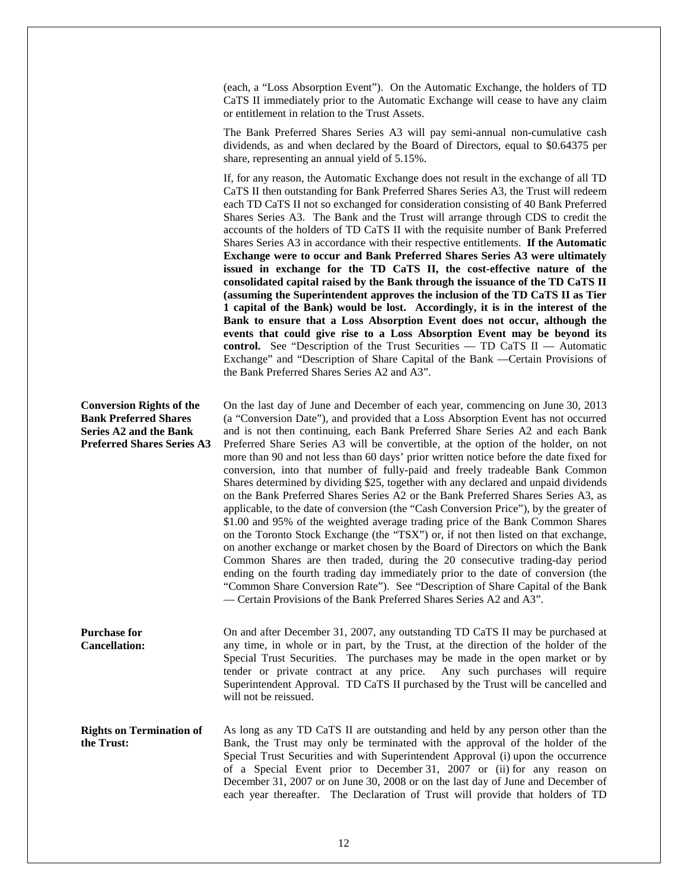(each, a "Loss Absorption Event"). On the Automatic Exchange, the holders of TD CaTS II immediately prior to the Automatic Exchange will cease to have any claim or entitlement in relation to the Trust Assets.

The Bank Preferred Shares Series A3 will pay semi-annual non-cumulative cash dividends, as and when declared by the Board of Directors, equal to \$0.64375 per share, representing an annual yield of 5.15%.

If, for any reason, the Automatic Exchange does not result in the exchange of all TD CaTS II then outstanding for Bank Preferred Shares Series A3, the Trust will redeem each TD CaTS II not so exchanged for consideration consisting of 40 Bank Preferred Shares Series A3. The Bank and the Trust will arrange through CDS to credit the accounts of the holders of TD CaTS II with the requisite number of Bank Preferred Shares Series A3 in accordance with their respective entitlements. **If the Automatic Exchange were to occur and Bank Preferred Shares Series A3 were ultimately issued in exchange for the TD CaTS II, the cost-effective nature of the consolidated capital raised by the Bank through the issuance of the TD CaTS II (assuming the Superintendent approves the inclusion of the TD CaTS II as Tier 1 capital of the Bank) would be lost. Accordingly, it is in the interest of the Bank to ensure that a Loss Absorption Event does not occur, although the events that could give rise to a Loss Absorption Event may be beyond its control.** See "Description of the Trust Securities — TD CaTS II — Automatic Exchange" and "Description of Share Capital of the Bank —Certain Provisions of the Bank Preferred Shares Series A2 and A3".

**Conversion Rights of the Bank Preferred Shares Series A2 and the Bank Preferred Shares Series A3**  On the last day of June and December of each year, commencing on June 30, 2013 (a "Conversion Date"), and provided that a Loss Absorption Event has not occurred and is not then continuing, each Bank Preferred Share Series A2 and each Bank Preferred Share Series A3 will be convertible, at the option of the holder, on not more than 90 and not less than 60 days' prior written notice before the date fixed for conversion, into that number of fully-paid and freely tradeable Bank Common Shares determined by dividing \$25, together with any declared and unpaid dividends

on the Bank Preferred Shares Series A2 or the Bank Preferred Shares Series A3, as applicable, to the date of conversion (the "Cash Conversion Price"), by the greater of \$1.00 and 95% of the weighted average trading price of the Bank Common Shares on the Toronto Stock Exchange (the "TSX") or, if not then listed on that exchange, on another exchange or market chosen by the Board of Directors on which the Bank Common Shares are then traded, during the 20 consecutive trading-day period ending on the fourth trading day immediately prior to the date of conversion (the "Common Share Conversion Rate"). See "Description of Share Capital of the Bank — Certain Provisions of the Bank Preferred Shares Series A2 and A3".

**Purchase for Cancellation:**  On and after December 31, 2007, any outstanding TD CaTS II may be purchased at any time, in whole or in part, by the Trust, at the direction of the holder of the Special Trust Securities. The purchases may be made in the open market or by tender or private contract at any price. Any such purchases will require Superintendent Approval. TD CaTS II purchased by the Trust will be cancelled and will not be reissued.

**Rights on Termination of the Trust:**  As long as any TD CaTS II are outstanding and held by any person other than the Bank, the Trust may only be terminated with the approval of the holder of the Special Trust Securities and with Superintendent Approval (i) upon the occurrence of a Special Event prior to December 31, 2007 or (ii) for any reason on December 31, 2007 or on June 30, 2008 or on the last day of June and December of each year thereafter. The Declaration of Trust will provide that holders of TD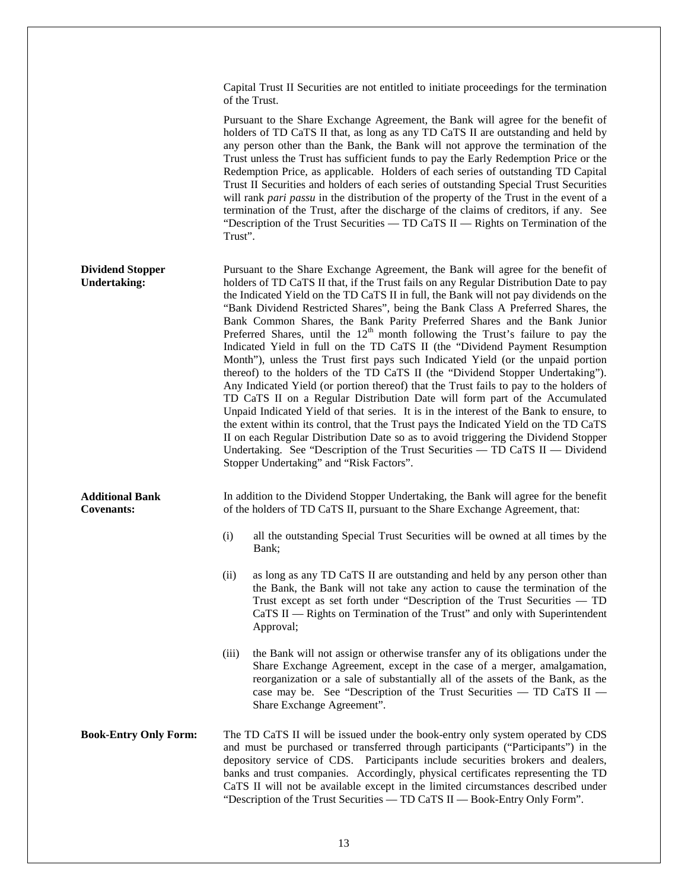Capital Trust II Securities are not entitled to initiate proceedings for the termination of the Trust.

Pursuant to the Share Exchange Agreement, the Bank will agree for the benefit of holders of TD CaTS II that, as long as any TD CaTS II are outstanding and held by any person other than the Bank, the Bank will not approve the termination of the Trust unless the Trust has sufficient funds to pay the Early Redemption Price or the Redemption Price, as applicable. Holders of each series of outstanding TD Capital Trust II Securities and holders of each series of outstanding Special Trust Securities will rank *pari passu* in the distribution of the property of the Trust in the event of a termination of the Trust, after the discharge of the claims of creditors, if any. See "Description of the Trust Securities — TD CaTS II — Rights on Termination of the Trust".

**Dividend Stopper Undertaking:**  Pursuant to the Share Exchange Agreement, the Bank will agree for the benefit of holders of TD CaTS II that, if the Trust fails on any Regular Distribution Date to pay the Indicated Yield on the TD CaTS II in full, the Bank will not pay dividends on the "Bank Dividend Restricted Shares", being the Bank Class A Preferred Shares, the Bank Common Shares, the Bank Parity Preferred Shares and the Bank Junior Preferred Shares, until the  $12<sup>th</sup>$  month following the Trust's failure to pay the Indicated Yield in full on the TD CaTS II (the "Dividend Payment Resumption Month"), unless the Trust first pays such Indicated Yield (or the unpaid portion thereof) to the holders of the TD CaTS II (the "Dividend Stopper Undertaking"). Any Indicated Yield (or portion thereof) that the Trust fails to pay to the holders of TD CaTS II on a Regular Distribution Date will form part of the Accumulated Unpaid Indicated Yield of that series. It is in the interest of the Bank to ensure, to the extent within its control, that the Trust pays the Indicated Yield on the TD CaTS II on each Regular Distribution Date so as to avoid triggering the Dividend Stopper Undertaking. See "Description of the Trust Securities — TD CaTS II — Dividend Stopper Undertaking" and "Risk Factors".

**Additional Bank Covenants:** 

In addition to the Dividend Stopper Undertaking, the Bank will agree for the benefit of the holders of TD CaTS II, pursuant to the Share Exchange Agreement, that:

- (i) all the outstanding Special Trust Securities will be owned at all times by the Bank;
- (ii) as long as any TD CaTS II are outstanding and held by any person other than the Bank, the Bank will not take any action to cause the termination of the Trust except as set forth under "Description of the Trust Securities — TD CaTS II — Rights on Termination of the Trust" and only with Superintendent Approval;
- (iii) the Bank will not assign or otherwise transfer any of its obligations under the Share Exchange Agreement, except in the case of a merger, amalgamation, reorganization or a sale of substantially all of the assets of the Bank, as the case may be. See "Description of the Trust Securities — TD CaTS II — Share Exchange Agreement".
- **Book-Entry Only Form:** The TD CaTS II will be issued under the book-entry only system operated by CDS and must be purchased or transferred through participants ("Participants") in the depository service of CDS. Participants include securities brokers and dealers, banks and trust companies. Accordingly, physical certificates representing the TD CaTS II will not be available except in the limited circumstances described under "Description of the Trust Securities — TD CaTS II — Book-Entry Only Form".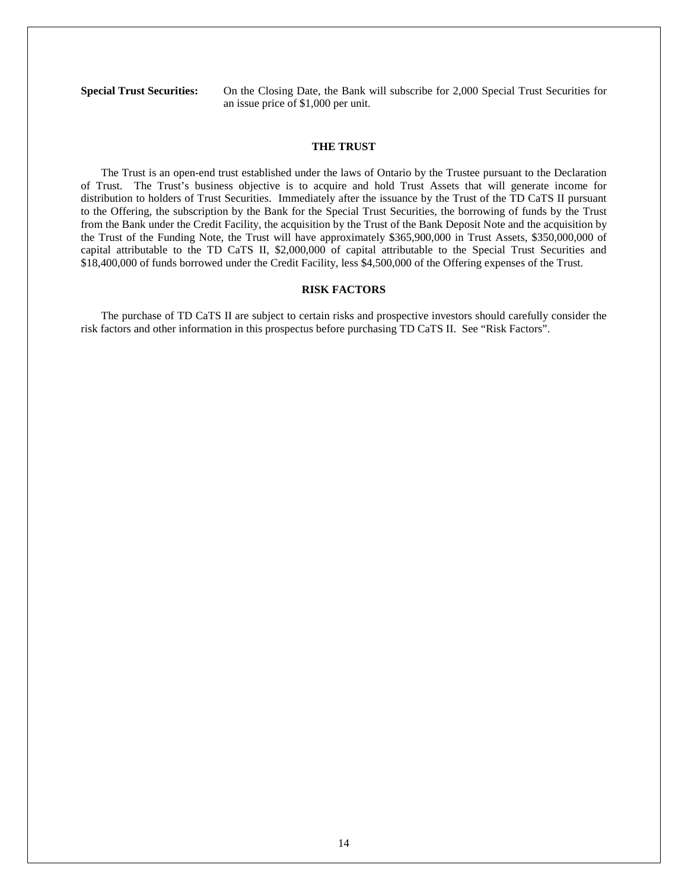**Special Trust Securities:** On the Closing Date, the Bank will subscribe for 2,000 Special Trust Securities for an issue price of \$1,000 per unit.

# **THE TRUST**

The Trust is an open-end trust established under the laws of Ontario by the Trustee pursuant to the Declaration of Trust. The Trust's business objective is to acquire and hold Trust Assets that will generate income for distribution to holders of Trust Securities. Immediately after the issuance by the Trust of the TD CaTS II pursuant to the Offering, the subscription by the Bank for the Special Trust Securities, the borrowing of funds by the Trust from the Bank under the Credit Facility, the acquisition by the Trust of the Bank Deposit Note and the acquisition by the Trust of the Funding Note, the Trust will have approximately \$365,900,000 in Trust Assets, \$350,000,000 of capital attributable to the TD CaTS II, \$2,000,000 of capital attributable to the Special Trust Securities and \$18,400,000 of funds borrowed under the Credit Facility, less \$4,500,000 of the Offering expenses of the Trust.

#### **RISK FACTORS**

The purchase of TD CaTS II are subject to certain risks and prospective investors should carefully consider the risk factors and other information in this prospectus before purchasing TD CaTS II. See "Risk Factors".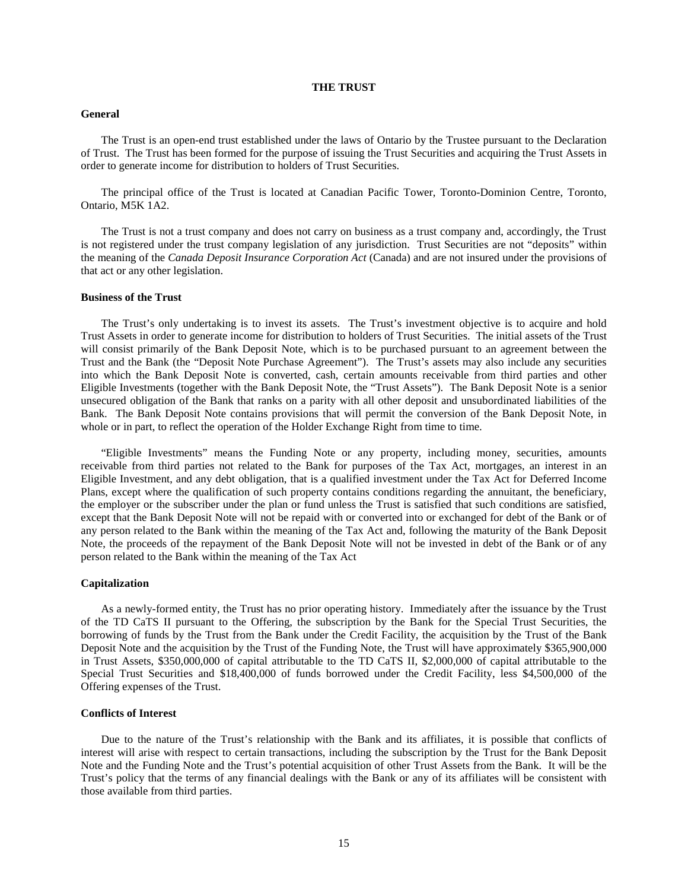# **THE TRUST**

#### **General**

The Trust is an open-end trust established under the laws of Ontario by the Trustee pursuant to the Declaration of Trust. The Trust has been formed for the purpose of issuing the Trust Securities and acquiring the Trust Assets in order to generate income for distribution to holders of Trust Securities.

The principal office of the Trust is located at Canadian Pacific Tower, Toronto-Dominion Centre, Toronto, Ontario, M5K 1A2.

The Trust is not a trust company and does not carry on business as a trust company and, accordingly, the Trust is not registered under the trust company legislation of any jurisdiction. Trust Securities are not "deposits" within the meaning of the *Canada Deposit Insurance Corporation Act* (Canada) and are not insured under the provisions of that act or any other legislation.

# **Business of the Trust**

The Trust's only undertaking is to invest its assets. The Trust's investment objective is to acquire and hold Trust Assets in order to generate income for distribution to holders of Trust Securities. The initial assets of the Trust will consist primarily of the Bank Deposit Note, which is to be purchased pursuant to an agreement between the Trust and the Bank (the "Deposit Note Purchase Agreement"). The Trust's assets may also include any securities into which the Bank Deposit Note is converted, cash, certain amounts receivable from third parties and other Eligible Investments (together with the Bank Deposit Note, the "Trust Assets"). The Bank Deposit Note is a senior unsecured obligation of the Bank that ranks on a parity with all other deposit and unsubordinated liabilities of the Bank. The Bank Deposit Note contains provisions that will permit the conversion of the Bank Deposit Note, in whole or in part, to reflect the operation of the Holder Exchange Right from time to time.

"Eligible Investments" means the Funding Note or any property, including money, securities, amounts receivable from third parties not related to the Bank for purposes of the Tax Act, mortgages, an interest in an Eligible Investment, and any debt obligation, that is a qualified investment under the Tax Act for Deferred Income Plans, except where the qualification of such property contains conditions regarding the annuitant, the beneficiary, the employer or the subscriber under the plan or fund unless the Trust is satisfied that such conditions are satisfied, except that the Bank Deposit Note will not be repaid with or converted into or exchanged for debt of the Bank or of any person related to the Bank within the meaning of the Tax Act and, following the maturity of the Bank Deposit Note, the proceeds of the repayment of the Bank Deposit Note will not be invested in debt of the Bank or of any person related to the Bank within the meaning of the Tax Act

# **Capitalization**

As a newly-formed entity, the Trust has no prior operating history. Immediately after the issuance by the Trust of the TD CaTS II pursuant to the Offering, the subscription by the Bank for the Special Trust Securities, the borrowing of funds by the Trust from the Bank under the Credit Facility, the acquisition by the Trust of the Bank Deposit Note and the acquisition by the Trust of the Funding Note, the Trust will have approximately \$365,900,000 in Trust Assets, \$350,000,000 of capital attributable to the TD CaTS II, \$2,000,000 of capital attributable to the Special Trust Securities and \$18,400,000 of funds borrowed under the Credit Facility, less \$4,500,000 of the Offering expenses of the Trust.

# **Conflicts of Interest**

Due to the nature of the Trust's relationship with the Bank and its affiliates, it is possible that conflicts of interest will arise with respect to certain transactions, including the subscription by the Trust for the Bank Deposit Note and the Funding Note and the Trust's potential acquisition of other Trust Assets from the Bank. It will be the Trust's policy that the terms of any financial dealings with the Bank or any of its affiliates will be consistent with those available from third parties.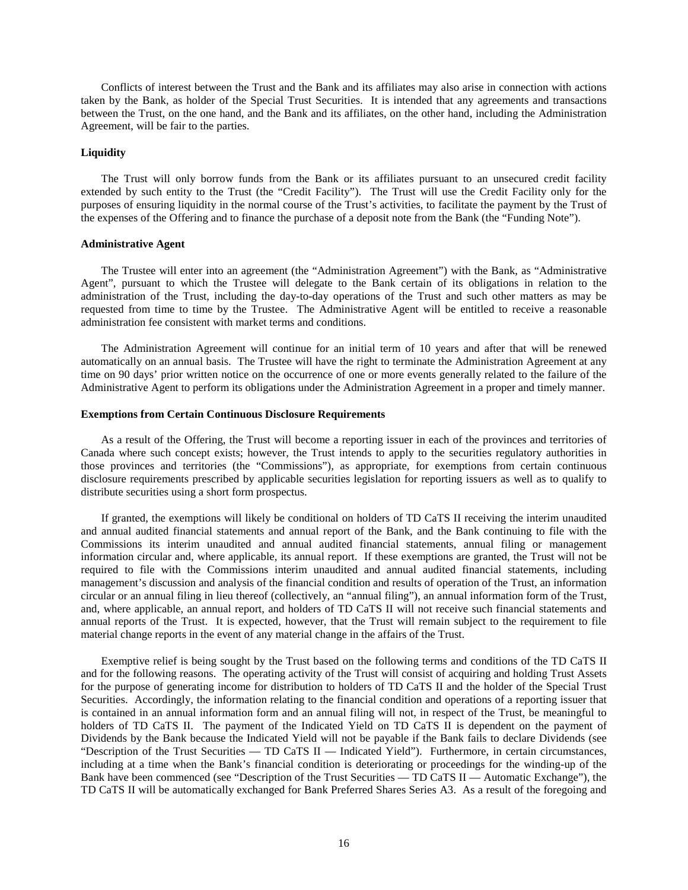Conflicts of interest between the Trust and the Bank and its affiliates may also arise in connection with actions taken by the Bank, as holder of the Special Trust Securities. It is intended that any agreements and transactions between the Trust, on the one hand, and the Bank and its affiliates, on the other hand, including the Administration Agreement, will be fair to the parties.

#### **Liquidity**

The Trust will only borrow funds from the Bank or its affiliates pursuant to an unsecured credit facility extended by such entity to the Trust (the "Credit Facility"). The Trust will use the Credit Facility only for the purposes of ensuring liquidity in the normal course of the Trust's activities, to facilitate the payment by the Trust of the expenses of the Offering and to finance the purchase of a deposit note from the Bank (the "Funding Note").

#### **Administrative Agent**

The Trustee will enter into an agreement (the "Administration Agreement") with the Bank, as "Administrative Agent", pursuant to which the Trustee will delegate to the Bank certain of its obligations in relation to the administration of the Trust, including the day-to-day operations of the Trust and such other matters as may be requested from time to time by the Trustee. The Administrative Agent will be entitled to receive a reasonable administration fee consistent with market terms and conditions.

The Administration Agreement will continue for an initial term of 10 years and after that will be renewed automatically on an annual basis. The Trustee will have the right to terminate the Administration Agreement at any time on 90 days' prior written notice on the occurrence of one or more events generally related to the failure of the Administrative Agent to perform its obligations under the Administration Agreement in a proper and timely manner.

#### **Exemptions from Certain Continuous Disclosure Requirements**

As a result of the Offering, the Trust will become a reporting issuer in each of the provinces and territories of Canada where such concept exists; however, the Trust intends to apply to the securities regulatory authorities in those provinces and territories (the "Commissions"), as appropriate, for exemptions from certain continuous disclosure requirements prescribed by applicable securities legislation for reporting issuers as well as to qualify to distribute securities using a short form prospectus.

If granted, the exemptions will likely be conditional on holders of TD CaTS II receiving the interim unaudited and annual audited financial statements and annual report of the Bank, and the Bank continuing to file with the Commissions its interim unaudited and annual audited financial statements, annual filing or management information circular and, where applicable, its annual report. If these exemptions are granted, the Trust will not be required to file with the Commissions interim unaudited and annual audited financial statements, including management's discussion and analysis of the financial condition and results of operation of the Trust, an information circular or an annual filing in lieu thereof (collectively, an "annual filing"), an annual information form of the Trust, and, where applicable, an annual report, and holders of TD CaTS II will not receive such financial statements and annual reports of the Trust. It is expected, however, that the Trust will remain subject to the requirement to file material change reports in the event of any material change in the affairs of the Trust.

Exemptive relief is being sought by the Trust based on the following terms and conditions of the TD CaTS II and for the following reasons. The operating activity of the Trust will consist of acquiring and holding Trust Assets for the purpose of generating income for distribution to holders of TD CaTS II and the holder of the Special Trust Securities. Accordingly, the information relating to the financial condition and operations of a reporting issuer that is contained in an annual information form and an annual filing will not, in respect of the Trust, be meaningful to holders of TD CaTS II. The payment of the Indicated Yield on TD CaTS II is dependent on the payment of Dividends by the Bank because the Indicated Yield will not be payable if the Bank fails to declare Dividends (see "Description of the Trust Securities — TD CaTS II — Indicated Yield"). Furthermore, in certain circumstances, including at a time when the Bank's financial condition is deteriorating or proceedings for the winding-up of the Bank have been commenced (see "Description of the Trust Securities — TD CaTS II — Automatic Exchange"), the TD CaTS II will be automatically exchanged for Bank Preferred Shares Series A3. As a result of the foregoing and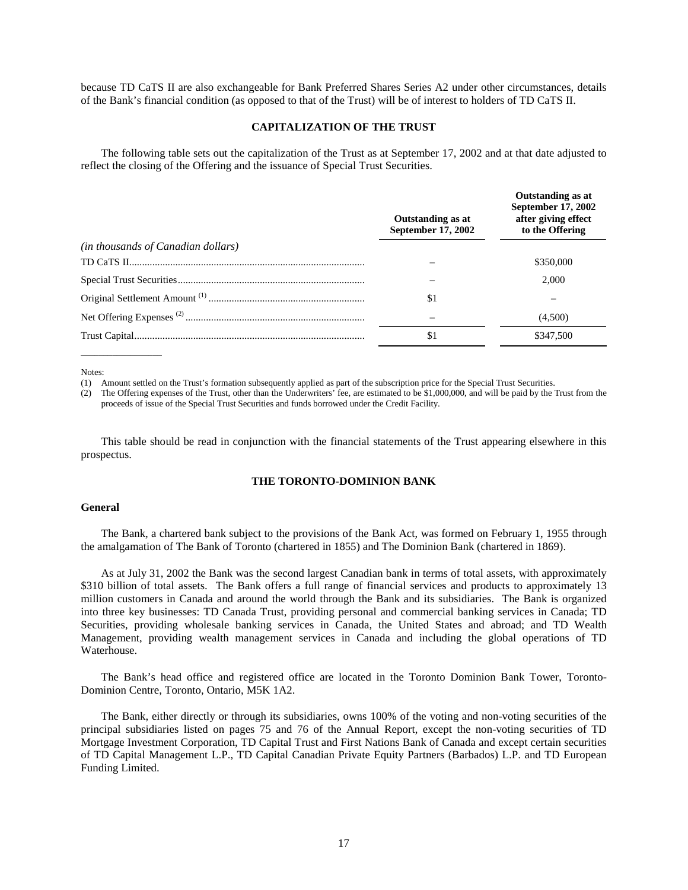because TD CaTS II are also exchangeable for Bank Preferred Shares Series A2 under other circumstances, details of the Bank's financial condition (as opposed to that of the Trust) will be of interest to holders of TD CaTS II.

#### **CAPITALIZATION OF THE TRUST**

The following table sets out the capitalization of the Trust as at September 17, 2002 and at that date adjusted to reflect the closing of the Offering and the issuance of Special Trust Securities.

|                                    | Outstanding as at<br>September 17, 2002 | <b>Outstanding as at</b><br>September 17, 2002<br>after giving effect<br>to the Offering |
|------------------------------------|-----------------------------------------|------------------------------------------------------------------------------------------|
| (in thousands of Canadian dollars) |                                         |                                                                                          |
|                                    |                                         | \$350,000                                                                                |
|                                    |                                         | 2.000                                                                                    |
|                                    | -\$1                                    |                                                                                          |
|                                    |                                         | (4,500)                                                                                  |
|                                    | \$1                                     | \$347,500                                                                                |

Notes:

 $\overline{\phantom{a}}$  , where  $\overline{\phantom{a}}$ 

(1) Amount settled on the Trust's formation subsequently applied as part of the subscription price for the Special Trust Securities.

(2) The Offering expenses of the Trust, other than the Underwriters' fee, are estimated to be \$1,000,000, and will be paid by the Trust from the proceeds of issue of the Special Trust Securities and funds borrowed under the Credit Facility.

This table should be read in conjunction with the financial statements of the Trust appearing elsewhere in this prospectus.

# **THE TORONTO-DOMINION BANK**

# **General**

The Bank, a chartered bank subject to the provisions of the Bank Act, was formed on February 1, 1955 through the amalgamation of The Bank of Toronto (chartered in 1855) and The Dominion Bank (chartered in 1869).

As at July 31, 2002 the Bank was the second largest Canadian bank in terms of total assets, with approximately \$310 billion of total assets. The Bank offers a full range of financial services and products to approximately 13 million customers in Canada and around the world through the Bank and its subsidiaries. The Bank is organized into three key businesses: TD Canada Trust, providing personal and commercial banking services in Canada; TD Securities, providing wholesale banking services in Canada, the United States and abroad; and TD Wealth Management, providing wealth management services in Canada and including the global operations of TD Waterhouse.

The Bank's head office and registered office are located in the Toronto Dominion Bank Tower, Toronto-Dominion Centre, Toronto, Ontario, M5K 1A2.

The Bank, either directly or through its subsidiaries, owns 100% of the voting and non-voting securities of the principal subsidiaries listed on pages 75 and 76 of the Annual Report, except the non-voting securities of TD Mortgage Investment Corporation, TD Capital Trust and First Nations Bank of Canada and except certain securities of TD Capital Management L.P., TD Capital Canadian Private Equity Partners (Barbados) L.P. and TD European Funding Limited.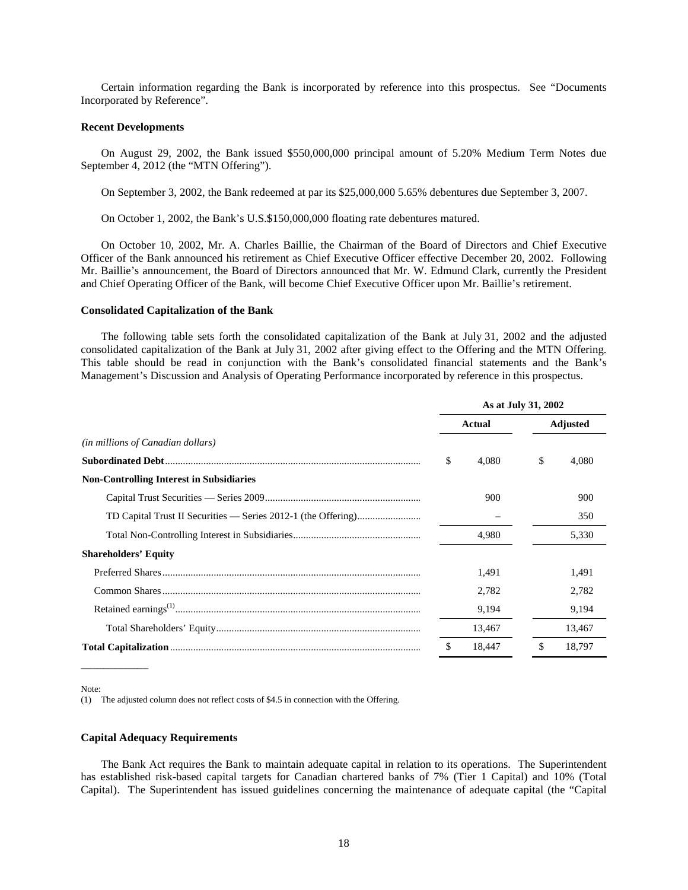Certain information regarding the Bank is incorporated by reference into this prospectus. See "Documents Incorporated by Reference".

#### **Recent Developments**

On August 29, 2002, the Bank issued \$550,000,000 principal amount of 5.20% Medium Term Notes due September 4, 2012 (the "MTN Offering").

On September 3, 2002, the Bank redeemed at par its \$25,000,000 5.65% debentures due September 3, 2007.

On October 1, 2002, the Bank's U.S.\$150,000,000 floating rate debentures matured.

On October 10, 2002, Mr. A. Charles Baillie, the Chairman of the Board of Directors and Chief Executive Officer of the Bank announced his retirement as Chief Executive Officer effective December 20, 2002. Following Mr. Baillie's announcement, the Board of Directors announced that Mr. W. Edmund Clark, currently the President and Chief Operating Officer of the Bank, will become Chief Executive Officer upon Mr. Baillie's retirement.

#### **Consolidated Capitalization of the Bank**

The following table sets forth the consolidated capitalization of the Bank at July 31, 2002 and the adjusted consolidated capitalization of the Bank at July 31, 2002 after giving effect to the Offering and the MTN Offering. This table should be read in conjunction with the Bank's consolidated financial statements and the Bank's Management's Discussion and Analysis of Operating Performance incorporated by reference in this prospectus.

|                                                 | As at July 31, 2002 |        |  |                 |        |
|-------------------------------------------------|---------------------|--------|--|-----------------|--------|
|                                                 | <b>Actual</b>       |        |  | <b>Adjusted</b> |        |
| ( <i>in millions of Canadian dollars</i> )      |                     |        |  |                 |        |
|                                                 | \$                  | 4.080  |  | \$              | 4,080  |
| <b>Non-Controlling Interest in Subsidiaries</b> |                     |        |  |                 |        |
|                                                 |                     | 900    |  |                 | 900    |
|                                                 |                     |        |  |                 | 350    |
|                                                 |                     | 4,980  |  |                 | 5,330  |
| <b>Shareholders' Equity</b>                     |                     |        |  |                 |        |
|                                                 |                     | 1,491  |  |                 | 1,491  |
|                                                 |                     | 2,782  |  |                 | 2,782  |
|                                                 |                     | 9,194  |  |                 | 9,194  |
|                                                 |                     | 13,467 |  |                 | 13,467 |
|                                                 | \$                  | 18,447 |  | \$              | 18.797 |

Note:

\_\_\_\_\_\_\_\_\_\_\_\_

(1) The adjusted column does not reflect costs of \$4.5 in connection with the Offering.

#### **Capital Adequacy Requirements**

The Bank Act requires the Bank to maintain adequate capital in relation to its operations. The Superintendent has established risk-based capital targets for Canadian chartered banks of 7% (Tier 1 Capital) and 10% (Total Capital). The Superintendent has issued guidelines concerning the maintenance of adequate capital (the "Capital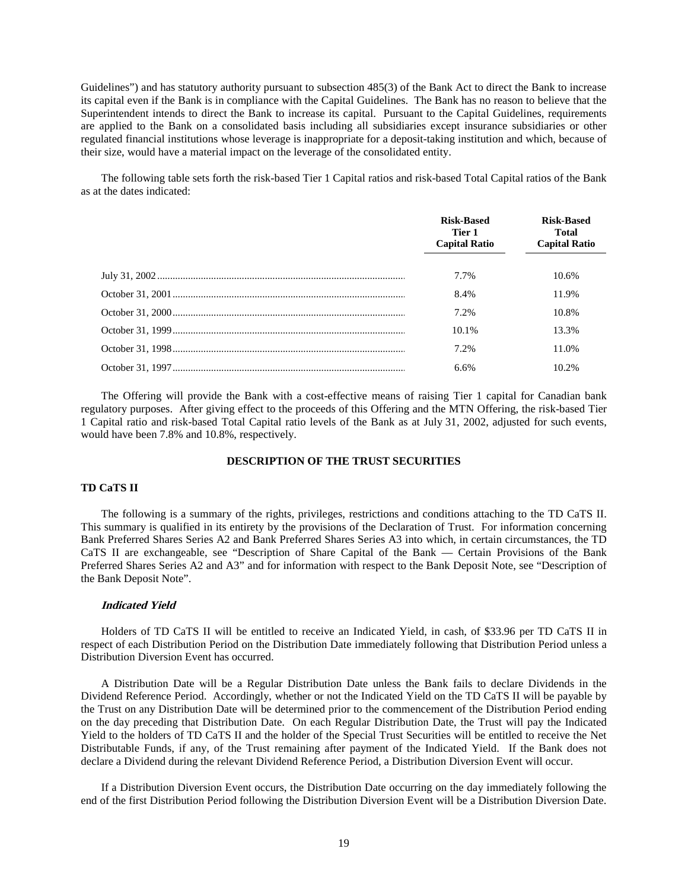Guidelines") and has statutory authority pursuant to subsection 485(3) of the Bank Act to direct the Bank to increase its capital even if the Bank is in compliance with the Capital Guidelines. The Bank has no reason to believe that the Superintendent intends to direct the Bank to increase its capital. Pursuant to the Capital Guidelines, requirements are applied to the Bank on a consolidated basis including all subsidiaries except insurance subsidiaries or other regulated financial institutions whose leverage is inappropriate for a deposit-taking institution and which, because of their size, would have a material impact on the leverage of the consolidated entity.

The following table sets forth the risk-based Tier 1 Capital ratios and risk-based Total Capital ratios of the Bank as at the dates indicated:

| <b>Risk-Based</b><br>Tier 1<br><b>Capital Ratio</b> | <b>Risk-Based</b><br>Total<br><b>Capital Ratio</b> |
|-----------------------------------------------------|----------------------------------------------------|
| 7.7%                                                | 10.6%                                              |
| 8.4%                                                | 11.9%                                              |
| 7.2%                                                | 10.8%                                              |
| 10.1%                                               | 13.3%                                              |
| $7.2\%$                                             | 11.0%                                              |
| 6.6%                                                | 10.2%                                              |

The Offering will provide the Bank with a cost-effective means of raising Tier 1 capital for Canadian bank regulatory purposes. After giving effect to the proceeds of this Offering and the MTN Offering, the risk-based Tier 1 Capital ratio and risk-based Total Capital ratio levels of the Bank as at July 31, 2002, adjusted for such events, would have been 7.8% and 10.8%, respectively.

# **DESCRIPTION OF THE TRUST SECURITIES**

# **TD CaTS II**

The following is a summary of the rights, privileges, restrictions and conditions attaching to the TD CaTS II. This summary is qualified in its entirety by the provisions of the Declaration of Trust. For information concerning Bank Preferred Shares Series A2 and Bank Preferred Shares Series A3 into which, in certain circumstances, the TD CaTS II are exchangeable, see "Description of Share Capital of the Bank — Certain Provisions of the Bank Preferred Shares Series A2 and A3" and for information with respect to the Bank Deposit Note, see "Description of the Bank Deposit Note".

#### **Indicated Yield**

Holders of TD CaTS II will be entitled to receive an Indicated Yield, in cash, of \$33.96 per TD CaTS II in respect of each Distribution Period on the Distribution Date immediately following that Distribution Period unless a Distribution Diversion Event has occurred.

A Distribution Date will be a Regular Distribution Date unless the Bank fails to declare Dividends in the Dividend Reference Period. Accordingly, whether or not the Indicated Yield on the TD CaTS II will be payable by the Trust on any Distribution Date will be determined prior to the commencement of the Distribution Period ending on the day preceding that Distribution Date. On each Regular Distribution Date, the Trust will pay the Indicated Yield to the holders of TD CaTS II and the holder of the Special Trust Securities will be entitled to receive the Net Distributable Funds, if any, of the Trust remaining after payment of the Indicated Yield. If the Bank does not declare a Dividend during the relevant Dividend Reference Period, a Distribution Diversion Event will occur.

If a Distribution Diversion Event occurs, the Distribution Date occurring on the day immediately following the end of the first Distribution Period following the Distribution Diversion Event will be a Distribution Diversion Date.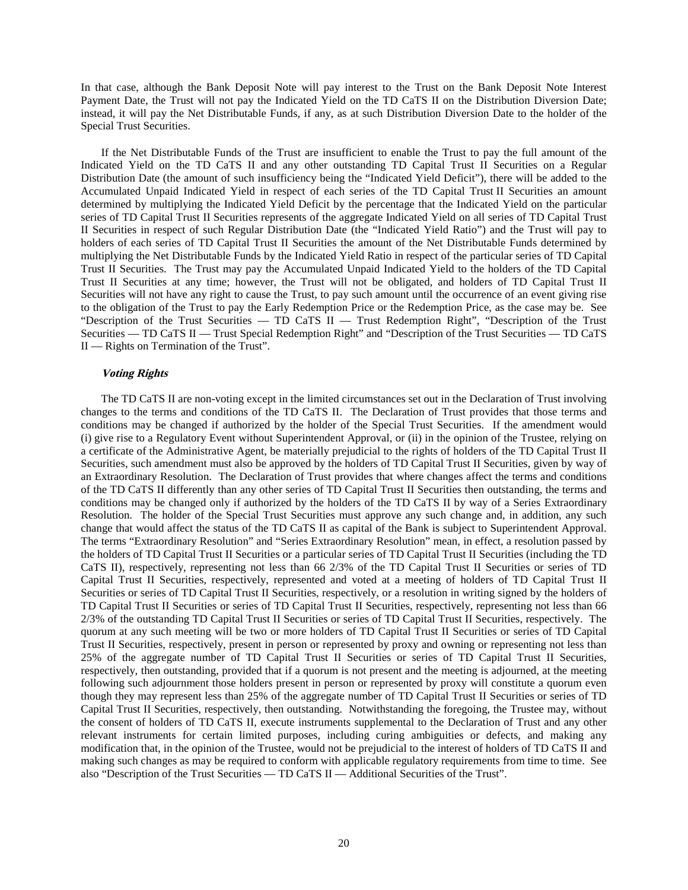In that case, although the Bank Deposit Note will pay interest to the Trust on the Bank Deposit Note Interest Payment Date, the Trust will not pay the Indicated Yield on the TD CaTS II on the Distribution Diversion Date; instead, it will pay the Net Distributable Funds, if any, as at such Distribution Diversion Date to the holder of the Special Trust Securities.

If the Net Distributable Funds of the Trust are insufficient to enable the Trust to pay the full amount of the Indicated Yield on the TD CaTS II and any other outstanding TD Capital Trust II Securities on a Regular Distribution Date (the amount of such insufficiency being the "Indicated Yield Deficit"), there will be added to the Accumulated Unpaid Indicated Yield in respect of each series of the TD Capital Trust II Securities an amount determined by multiplying the Indicated Yield Deficit by the percentage that the Indicated Yield on the particular series of TD Capital Trust II Securities represents of the aggregate Indicated Yield on all series of TD Capital Trust II Securities in respect of such Regular Distribution Date (the "Indicated Yield Ratio") and the Trust will pay to holders of each series of TD Capital Trust II Securities the amount of the Net Distributable Funds determined by multiplying the Net Distributable Funds by the Indicated Yield Ratio in respect of the particular series of TD Capital Trust II Securities. The Trust may pay the Accumulated Unpaid Indicated Yield to the holders of the TD Capital Trust II Securities at any time; however, the Trust will not be obligated, and holders of TD Capital Trust II Securities will not have any right to cause the Trust, to pay such amount until the occurrence of an event giving rise to the obligation of the Trust to pay the Early Redemption Price or the Redemption Price, as the case may be. See "Description of the Trust Securities — TD CaTS II — Trust Redemption Right", "Description of the Trust Securities — TD CaTS II — Trust Special Redemption Right" and "Description of the Trust Securities — TD CaTS II — Rights on Termination of the Trust".

#### **Voting Rights**

The TD CaTS II are non-voting except in the limited circumstances set out in the Declaration of Trust involving changes to the terms and conditions of the TD CaTS II. The Declaration of Trust provides that those terms and conditions may be changed if authorized by the holder of the Special Trust Securities. If the amendment would (i) give rise to a Regulatory Event without Superintendent Approval, or (ii) in the opinion of the Trustee, relying on a certificate of the Administrative Agent, be materially prejudicial to the rights of holders of the TD Capital Trust II Securities, such amendment must also be approved by the holders of TD Capital Trust II Securities, given by way of an Extraordinary Resolution. The Declaration of Trust provides that where changes affect the terms and conditions of the TD CaTS II differently than any other series of TD Capital Trust II Securities then outstanding, the terms and conditions may be changed only if authorized by the holders of the TD CaTS II by way of a Series Extraordinary Resolution. The holder of the Special Trust Securities must approve any such change and, in addition, any such change that would affect the status of the TD CaTS II as capital of the Bank is subject to Superintendent Approval. The terms "Extraordinary Resolution" and "Series Extraordinary Resolution" mean, in effect, a resolution passed by the holders of TD Capital Trust II Securities or a particular series of TD Capital Trust II Securities (including the TD CaTS II), respectively, representing not less than 66 2/3% of the TD Capital Trust II Securities or series of TD Capital Trust II Securities, respectively, represented and voted at a meeting of holders of TD Capital Trust II Securities or series of TD Capital Trust II Securities, respectively, or a resolution in writing signed by the holders of TD Capital Trust II Securities or series of TD Capital Trust II Securities, respectively, representing not less than 66 2/3% of the outstanding TD Capital Trust II Securities or series of TD Capital Trust II Securities, respectively. The quorum at any such meeting will be two or more holders of TD Capital Trust II Securities or series of TD Capital Trust II Securities, respectively, present in person or represented by proxy and owning or representing not less than 25% of the aggregate number of TD Capital Trust II Securities or series of TD Capital Trust II Securities, respectively, then outstanding, provided that if a quorum is not present and the meeting is adjourned, at the meeting following such adjournment those holders present in person or represented by proxy will constitute a quorum even though they may represent less than 25% of the aggregate number of TD Capital Trust II Securities or series of TD Capital Trust II Securities, respectively, then outstanding. Notwithstanding the foregoing, the Trustee may, without the consent of holders of TD CaTS II, execute instruments supplemental to the Declaration of Trust and any other relevant instruments for certain limited purposes, including curing ambiguities or defects, and making any modification that, in the opinion of the Trustee, would not be prejudicial to the interest of holders of TD CaTS II and making such changes as may be required to conform with applicable regulatory requirements from time to time. See also "Description of the Trust Securities — TD CaTS II — Additional Securities of the Trust".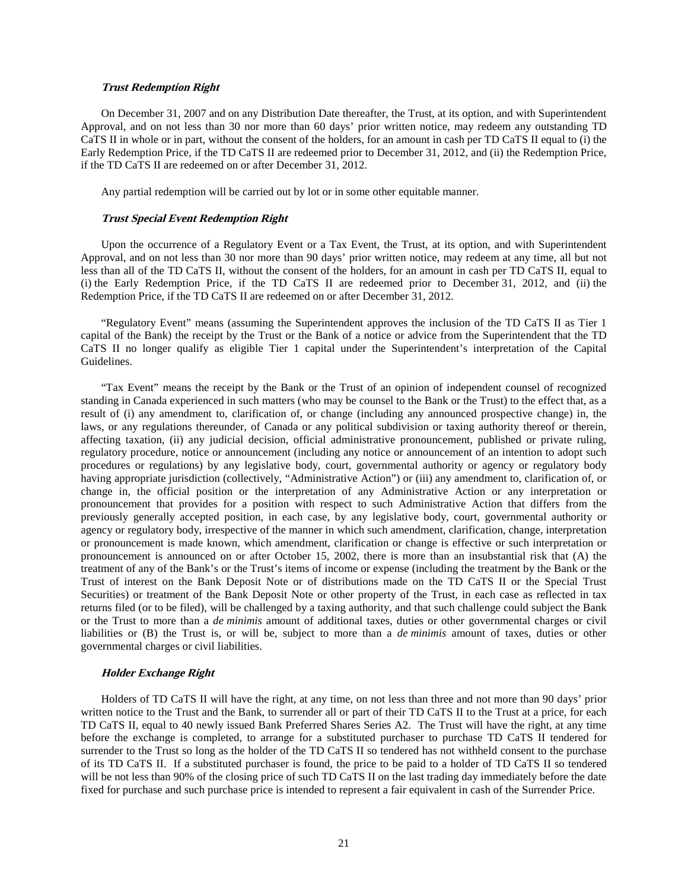#### **Trust Redemption Right**

On December 31, 2007 and on any Distribution Date thereafter, the Trust, at its option, and with Superintendent Approval, and on not less than 30 nor more than 60 days' prior written notice, may redeem any outstanding TD CaTS II in whole or in part, without the consent of the holders, for an amount in cash per TD CaTS II equal to (i) the Early Redemption Price, if the TD CaTS II are redeemed prior to December 31, 2012, and (ii) the Redemption Price, if the TD CaTS II are redeemed on or after December 31, 2012.

Any partial redemption will be carried out by lot or in some other equitable manner.

#### **Trust Special Event Redemption Right**

Upon the occurrence of a Regulatory Event or a Tax Event, the Trust, at its option, and with Superintendent Approval, and on not less than 30 nor more than 90 days' prior written notice, may redeem at any time, all but not less than all of the TD CaTS II, without the consent of the holders, for an amount in cash per TD CaTS II, equal to (i) the Early Redemption Price, if the TD CaTS II are redeemed prior to December 31, 2012, and (ii) the Redemption Price, if the TD CaTS II are redeemed on or after December 31, 2012.

"Regulatory Event" means (assuming the Superintendent approves the inclusion of the TD CaTS II as Tier 1 capital of the Bank) the receipt by the Trust or the Bank of a notice or advice from the Superintendent that the TD CaTS II no longer qualify as eligible Tier 1 capital under the Superintendent's interpretation of the Capital Guidelines.

"Tax Event" means the receipt by the Bank or the Trust of an opinion of independent counsel of recognized standing in Canada experienced in such matters (who may be counsel to the Bank or the Trust) to the effect that, as a result of (i) any amendment to, clarification of, or change (including any announced prospective change) in, the laws, or any regulations thereunder, of Canada or any political subdivision or taxing authority thereof or therein, affecting taxation, (ii) any judicial decision, official administrative pronouncement, published or private ruling, regulatory procedure, notice or announcement (including any notice or announcement of an intention to adopt such procedures or regulations) by any legislative body, court, governmental authority or agency or regulatory body having appropriate jurisdiction (collectively, "Administrative Action") or (iii) any amendment to, clarification of, or change in, the official position or the interpretation of any Administrative Action or any interpretation or pronouncement that provides for a position with respect to such Administrative Action that differs from the previously generally accepted position, in each case, by any legislative body, court, governmental authority or agency or regulatory body, irrespective of the manner in which such amendment, clarification, change, interpretation or pronouncement is made known, which amendment, clarification or change is effective or such interpretation or pronouncement is announced on or after October 15, 2002, there is more than an insubstantial risk that (A) the treatment of any of the Bank's or the Trust's items of income or expense (including the treatment by the Bank or the Trust of interest on the Bank Deposit Note or of distributions made on the TD CaTS II or the Special Trust Securities) or treatment of the Bank Deposit Note or other property of the Trust, in each case as reflected in tax returns filed (or to be filed), will be challenged by a taxing authority, and that such challenge could subject the Bank or the Trust to more than a *de minimis* amount of additional taxes, duties or other governmental charges or civil liabilities or (B) the Trust is, or will be, subject to more than a *de minimis* amount of taxes, duties or other governmental charges or civil liabilities.

#### **Holder Exchange Right**

Holders of TD CaTS II will have the right, at any time, on not less than three and not more than 90 days' prior written notice to the Trust and the Bank, to surrender all or part of their TD CaTS II to the Trust at a price, for each TD CaTS II, equal to 40 newly issued Bank Preferred Shares Series A2. The Trust will have the right, at any time before the exchange is completed, to arrange for a substituted purchaser to purchase TD CaTS II tendered for surrender to the Trust so long as the holder of the TD CaTS II so tendered has not withheld consent to the purchase of its TD CaTS II. If a substituted purchaser is found, the price to be paid to a holder of TD CaTS II so tendered will be not less than 90% of the closing price of such TD CaTS II on the last trading day immediately before the date fixed for purchase and such purchase price is intended to represent a fair equivalent in cash of the Surrender Price.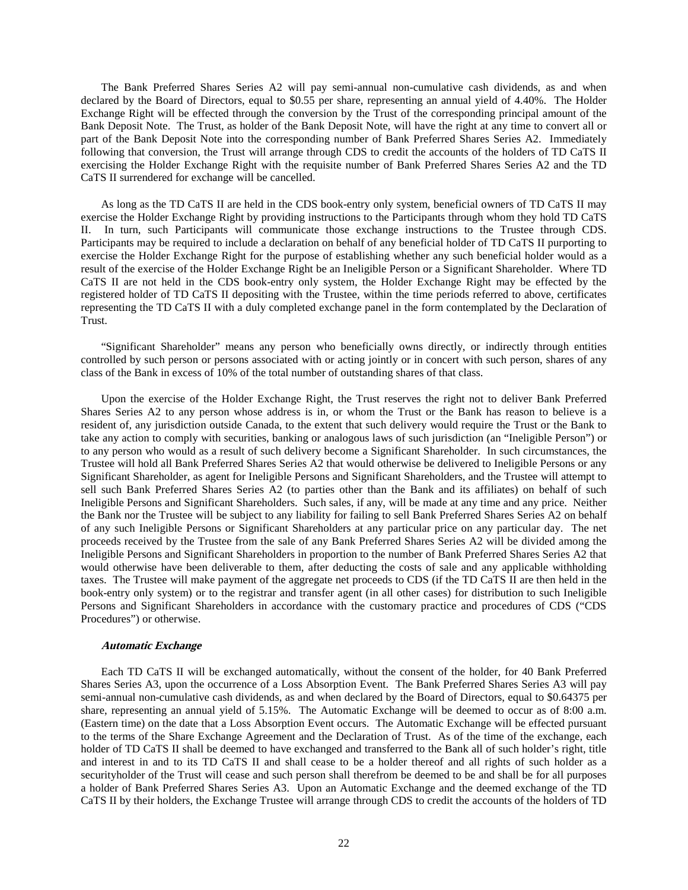The Bank Preferred Shares Series A2 will pay semi-annual non-cumulative cash dividends, as and when declared by the Board of Directors, equal to \$0.55 per share, representing an annual yield of 4.40%. The Holder Exchange Right will be effected through the conversion by the Trust of the corresponding principal amount of the Bank Deposit Note. The Trust, as holder of the Bank Deposit Note, will have the right at any time to convert all or part of the Bank Deposit Note into the corresponding number of Bank Preferred Shares Series A2. Immediately following that conversion, the Trust will arrange through CDS to credit the accounts of the holders of TD CaTS II exercising the Holder Exchange Right with the requisite number of Bank Preferred Shares Series A2 and the TD CaTS II surrendered for exchange will be cancelled.

As long as the TD CaTS II are held in the CDS book-entry only system, beneficial owners of TD CaTS II may exercise the Holder Exchange Right by providing instructions to the Participants through whom they hold TD CaTS II. In turn, such Participants will communicate those exchange instructions to the Trustee through CDS. Participants may be required to include a declaration on behalf of any beneficial holder of TD CaTS II purporting to exercise the Holder Exchange Right for the purpose of establishing whether any such beneficial holder would as a result of the exercise of the Holder Exchange Right be an Ineligible Person or a Significant Shareholder. Where TD CaTS II are not held in the CDS book-entry only system, the Holder Exchange Right may be effected by the registered holder of TD CaTS II depositing with the Trustee, within the time periods referred to above, certificates representing the TD CaTS II with a duly completed exchange panel in the form contemplated by the Declaration of Trust.

"Significant Shareholder" means any person who beneficially owns directly, or indirectly through entities controlled by such person or persons associated with or acting jointly or in concert with such person, shares of any class of the Bank in excess of 10% of the total number of outstanding shares of that class.

Upon the exercise of the Holder Exchange Right, the Trust reserves the right not to deliver Bank Preferred Shares Series A2 to any person whose address is in, or whom the Trust or the Bank has reason to believe is a resident of, any jurisdiction outside Canada, to the extent that such delivery would require the Trust or the Bank to take any action to comply with securities, banking or analogous laws of such jurisdiction (an "Ineligible Person") or to any person who would as a result of such delivery become a Significant Shareholder. In such circumstances, the Trustee will hold all Bank Preferred Shares Series A2 that would otherwise be delivered to Ineligible Persons or any Significant Shareholder, as agent for Ineligible Persons and Significant Shareholders, and the Trustee will attempt to sell such Bank Preferred Shares Series A2 (to parties other than the Bank and its affiliates) on behalf of such Ineligible Persons and Significant Shareholders. Such sales, if any, will be made at any time and any price. Neither the Bank nor the Trustee will be subject to any liability for failing to sell Bank Preferred Shares Series A2 on behalf of any such Ineligible Persons or Significant Shareholders at any particular price on any particular day. The net proceeds received by the Trustee from the sale of any Bank Preferred Shares Series A2 will be divided among the Ineligible Persons and Significant Shareholders in proportion to the number of Bank Preferred Shares Series A2 that would otherwise have been deliverable to them, after deducting the costs of sale and any applicable withholding taxes. The Trustee will make payment of the aggregate net proceeds to CDS (if the TD CaTS II are then held in the book-entry only system) or to the registrar and transfer agent (in all other cases) for distribution to such Ineligible Persons and Significant Shareholders in accordance with the customary practice and procedures of CDS ("CDS Procedures") or otherwise.

#### **Automatic Exchange**

Each TD CaTS II will be exchanged automatically, without the consent of the holder, for 40 Bank Preferred Shares Series A3, upon the occurrence of a Loss Absorption Event. The Bank Preferred Shares Series A3 will pay semi-annual non-cumulative cash dividends, as and when declared by the Board of Directors, equal to \$0.64375 per share, representing an annual yield of 5.15%. The Automatic Exchange will be deemed to occur as of 8:00 a.m. (Eastern time) on the date that a Loss Absorption Event occurs. The Automatic Exchange will be effected pursuant to the terms of the Share Exchange Agreement and the Declaration of Trust. As of the time of the exchange, each holder of TD CaTS II shall be deemed to have exchanged and transferred to the Bank all of such holder's right, title and interest in and to its TD CaTS II and shall cease to be a holder thereof and all rights of such holder as a securityholder of the Trust will cease and such person shall therefrom be deemed to be and shall be for all purposes a holder of Bank Preferred Shares Series A3. Upon an Automatic Exchange and the deemed exchange of the TD CaTS II by their holders, the Exchange Trustee will arrange through CDS to credit the accounts of the holders of TD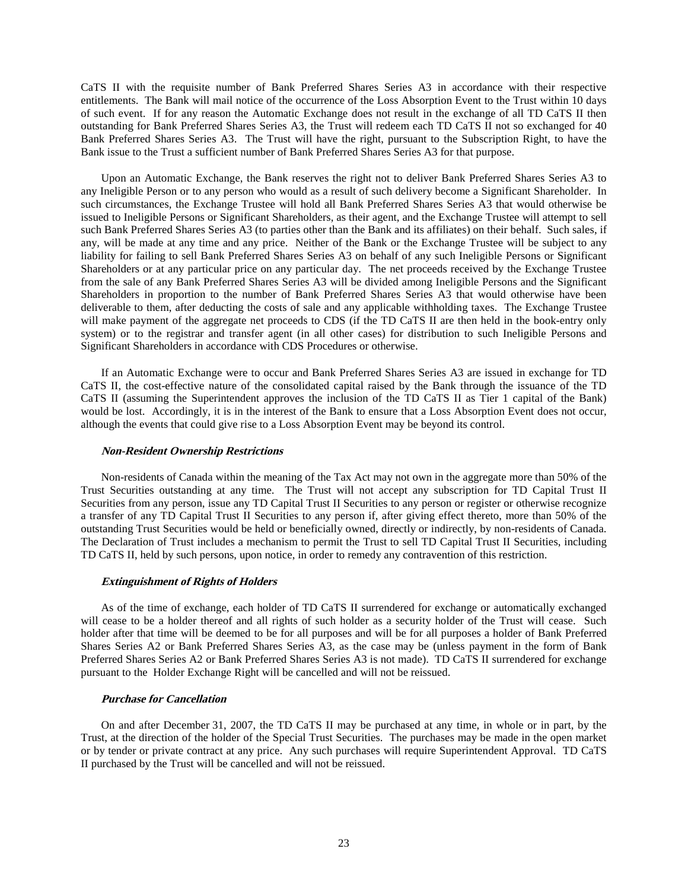CaTS II with the requisite number of Bank Preferred Shares Series A3 in accordance with their respective entitlements. The Bank will mail notice of the occurrence of the Loss Absorption Event to the Trust within 10 days of such event. If for any reason the Automatic Exchange does not result in the exchange of all TD CaTS II then outstanding for Bank Preferred Shares Series A3, the Trust will redeem each TD CaTS II not so exchanged for 40 Bank Preferred Shares Series A3. The Trust will have the right, pursuant to the Subscription Right, to have the Bank issue to the Trust a sufficient number of Bank Preferred Shares Series A3 for that purpose.

Upon an Automatic Exchange, the Bank reserves the right not to deliver Bank Preferred Shares Series A3 to any Ineligible Person or to any person who would as a result of such delivery become a Significant Shareholder. In such circumstances, the Exchange Trustee will hold all Bank Preferred Shares Series A3 that would otherwise be issued to Ineligible Persons or Significant Shareholders, as their agent, and the Exchange Trustee will attempt to sell such Bank Preferred Shares Series A3 (to parties other than the Bank and its affiliates) on their behalf. Such sales, if any, will be made at any time and any price. Neither of the Bank or the Exchange Trustee will be subject to any liability for failing to sell Bank Preferred Shares Series A3 on behalf of any such Ineligible Persons or Significant Shareholders or at any particular price on any particular day. The net proceeds received by the Exchange Trustee from the sale of any Bank Preferred Shares Series A3 will be divided among Ineligible Persons and the Significant Shareholders in proportion to the number of Bank Preferred Shares Series A3 that would otherwise have been deliverable to them, after deducting the costs of sale and any applicable withholding taxes. The Exchange Trustee will make payment of the aggregate net proceeds to CDS (if the TD CaTS II are then held in the book-entry only system) or to the registrar and transfer agent (in all other cases) for distribution to such Ineligible Persons and Significant Shareholders in accordance with CDS Procedures or otherwise.

If an Automatic Exchange were to occur and Bank Preferred Shares Series A3 are issued in exchange for TD CaTS II, the cost-effective nature of the consolidated capital raised by the Bank through the issuance of the TD CaTS II (assuming the Superintendent approves the inclusion of the TD CaTS II as Tier 1 capital of the Bank) would be lost. Accordingly, it is in the interest of the Bank to ensure that a Loss Absorption Event does not occur, although the events that could give rise to a Loss Absorption Event may be beyond its control.

### **Non-Resident Ownership Restrictions**

Non-residents of Canada within the meaning of the Tax Act may not own in the aggregate more than 50% of the Trust Securities outstanding at any time. The Trust will not accept any subscription for TD Capital Trust II Securities from any person, issue any TD Capital Trust II Securities to any person or register or otherwise recognize a transfer of any TD Capital Trust II Securities to any person if, after giving effect thereto, more than 50% of the outstanding Trust Securities would be held or beneficially owned, directly or indirectly, by non-residents of Canada. The Declaration of Trust includes a mechanism to permit the Trust to sell TD Capital Trust II Securities, including TD CaTS II, held by such persons, upon notice, in order to remedy any contravention of this restriction.

#### **Extinguishment of Rights of Holders**

As of the time of exchange, each holder of TD CaTS II surrendered for exchange or automatically exchanged will cease to be a holder thereof and all rights of such holder as a security holder of the Trust will cease. Such holder after that time will be deemed to be for all purposes and will be for all purposes a holder of Bank Preferred Shares Series A2 or Bank Preferred Shares Series A3, as the case may be (unless payment in the form of Bank Preferred Shares Series A2 or Bank Preferred Shares Series A3 is not made). TD CaTS II surrendered for exchange pursuant to the Holder Exchange Right will be cancelled and will not be reissued.

# **Purchase for Cancellation**

On and after December 31, 2007, the TD CaTS II may be purchased at any time, in whole or in part, by the Trust, at the direction of the holder of the Special Trust Securities. The purchases may be made in the open market or by tender or private contract at any price. Any such purchases will require Superintendent Approval. TD CaTS II purchased by the Trust will be cancelled and will not be reissued.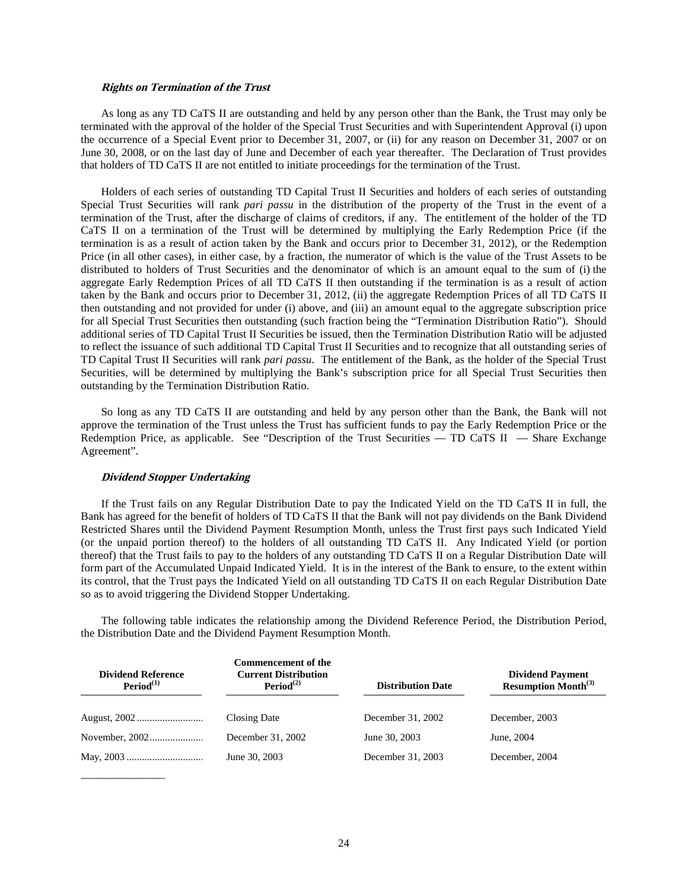#### **Rights on Termination of the Trust**

As long as any TD CaTS II are outstanding and held by any person other than the Bank, the Trust may only be terminated with the approval of the holder of the Special Trust Securities and with Superintendent Approval (i) upon the occurrence of a Special Event prior to December 31, 2007, or (ii) for any reason on December 31, 2007 or on June 30, 2008, or on the last day of June and December of each year thereafter. The Declaration of Trust provides that holders of TD CaTS II are not entitled to initiate proceedings for the termination of the Trust.

Holders of each series of outstanding TD Capital Trust II Securities and holders of each series of outstanding Special Trust Securities will rank *pari passu* in the distribution of the property of the Trust in the event of a termination of the Trust, after the discharge of claims of creditors, if any. The entitlement of the holder of the TD CaTS II on a termination of the Trust will be determined by multiplying the Early Redemption Price (if the termination is as a result of action taken by the Bank and occurs prior to December 31, 2012), or the Redemption Price (in all other cases), in either case, by a fraction, the numerator of which is the value of the Trust Assets to be distributed to holders of Trust Securities and the denominator of which is an amount equal to the sum of (i) the aggregate Early Redemption Prices of all TD CaTS II then outstanding if the termination is as a result of action taken by the Bank and occurs prior to December 31, 2012, (ii) the aggregate Redemption Prices of all TD CaTS II then outstanding and not provided for under (i) above, and (iii) an amount equal to the aggregate subscription price for all Special Trust Securities then outstanding (such fraction being the "Termination Distribution Ratio"). Should additional series of TD Capital Trust II Securities be issued, then the Termination Distribution Ratio will be adjusted to reflect the issuance of such additional TD Capital Trust II Securities and to recognize that all outstanding series of TD Capital Trust II Securities will rank *pari passu*. The entitlement of the Bank, as the holder of the Special Trust Securities, will be determined by multiplying the Bank's subscription price for all Special Trust Securities then outstanding by the Termination Distribution Ratio.

So long as any TD CaTS II are outstanding and held by any person other than the Bank, the Bank will not approve the termination of the Trust unless the Trust has sufficient funds to pay the Early Redemption Price or the Redemption Price, as applicable. See "Description of the Trust Securities — TD CaTS II — Share Exchange Agreement".

#### **Dividend Stopper Undertaking**

\_\_\_\_\_\_\_\_\_\_\_\_\_\_\_

If the Trust fails on any Regular Distribution Date to pay the Indicated Yield on the TD CaTS II in full, the Bank has agreed for the benefit of holders of TD CaTS II that the Bank will not pay dividends on the Bank Dividend Restricted Shares until the Dividend Payment Resumption Month, unless the Trust first pays such Indicated Yield (or the unpaid portion thereof) to the holders of all outstanding TD CaTS II. Any Indicated Yield (or portion thereof) that the Trust fails to pay to the holders of any outstanding TD CaTS II on a Regular Distribution Date will form part of the Accumulated Unpaid Indicated Yield. It is in the interest of the Bank to ensure, to the extent within its control, that the Trust pays the Indicated Yield on all outstanding TD CaTS II on each Regular Distribution Date so as to avoid triggering the Dividend Stopper Undertaking.

The following table indicates the relationship among the Dividend Reference Period, the Distribution Period, the Distribution Date and the Dividend Payment Resumption Month.

| <b>Dividend Reference</b><br>Period <sup>(1)</sup> | <b>Commencement of the</b><br><b>Current Distribution</b><br>Period <sup>(2)</sup> | <b>Distribution Date</b> | <b>Dividend Payment</b><br><b>Resumption Month</b> <sup>(3)</sup> |
|----------------------------------------------------|------------------------------------------------------------------------------------|--------------------------|-------------------------------------------------------------------|
|                                                    | Closing Date                                                                       | December 31, 2002        | December, 2003                                                    |
|                                                    | December 31, 2002                                                                  | June 30, 2003            | June, 2004                                                        |
|                                                    | June 30, 2003                                                                      | December 31, 2003        | December, 2004                                                    |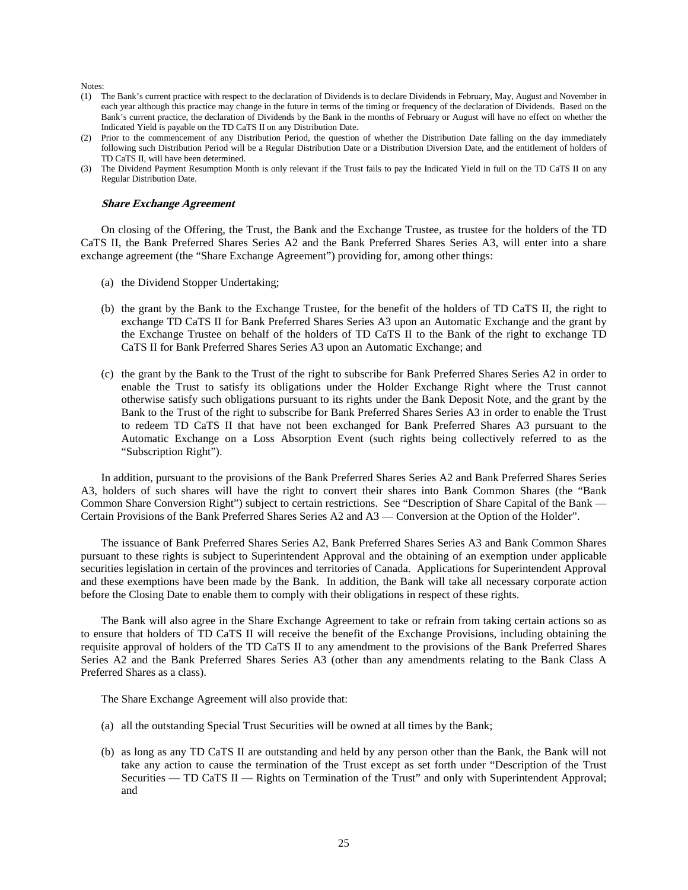Notes:

- (1) The Bank's current practice with respect to the declaration of Dividends is to declare Dividends in February, May, August and November in each year although this practice may change in the future in terms of the timing or frequency of the declaration of Dividends. Based on the Bank's current practice, the declaration of Dividends by the Bank in the months of February or August will have no effect on whether the Indicated Yield is payable on the TD CaTS II on any Distribution Date.
- (2) Prior to the commencement of any Distribution Period, the question of whether the Distribution Date falling on the day immediately following such Distribution Period will be a Regular Distribution Date or a Distribution Diversion Date, and the entitlement of holders of TD CaTS II, will have been determined.
- (3) The Dividend Payment Resumption Month is only relevant if the Trust fails to pay the Indicated Yield in full on the TD CaTS II on any Regular Distribution Date.

#### **Share Exchange Agreement**

On closing of the Offering, the Trust, the Bank and the Exchange Trustee, as trustee for the holders of the TD CaTS II, the Bank Preferred Shares Series A2 and the Bank Preferred Shares Series A3, will enter into a share exchange agreement (the "Share Exchange Agreement") providing for, among other things:

- (a) the Dividend Stopper Undertaking;
- (b) the grant by the Bank to the Exchange Trustee, for the benefit of the holders of TD CaTS II, the right to exchange TD CaTS II for Bank Preferred Shares Series A3 upon an Automatic Exchange and the grant by the Exchange Trustee on behalf of the holders of TD CaTS II to the Bank of the right to exchange TD CaTS II for Bank Preferred Shares Series A3 upon an Automatic Exchange; and
- (c) the grant by the Bank to the Trust of the right to subscribe for Bank Preferred Shares Series A2 in order to enable the Trust to satisfy its obligations under the Holder Exchange Right where the Trust cannot otherwise satisfy such obligations pursuant to its rights under the Bank Deposit Note, and the grant by the Bank to the Trust of the right to subscribe for Bank Preferred Shares Series A3 in order to enable the Trust to redeem TD CaTS II that have not been exchanged for Bank Preferred Shares A3 pursuant to the Automatic Exchange on a Loss Absorption Event (such rights being collectively referred to as the "Subscription Right").

In addition, pursuant to the provisions of the Bank Preferred Shares Series A2 and Bank Preferred Shares Series A3, holders of such shares will have the right to convert their shares into Bank Common Shares (the "Bank Common Share Conversion Right") subject to certain restrictions. See "Description of Share Capital of the Bank — Certain Provisions of the Bank Preferred Shares Series A2 and A3 — Conversion at the Option of the Holder".

The issuance of Bank Preferred Shares Series A2, Bank Preferred Shares Series A3 and Bank Common Shares pursuant to these rights is subject to Superintendent Approval and the obtaining of an exemption under applicable securities legislation in certain of the provinces and territories of Canada. Applications for Superintendent Approval and these exemptions have been made by the Bank. In addition, the Bank will take all necessary corporate action before the Closing Date to enable them to comply with their obligations in respect of these rights.

The Bank will also agree in the Share Exchange Agreement to take or refrain from taking certain actions so as to ensure that holders of TD CaTS II will receive the benefit of the Exchange Provisions, including obtaining the requisite approval of holders of the TD CaTS II to any amendment to the provisions of the Bank Preferred Shares Series A2 and the Bank Preferred Shares Series A3 (other than any amendments relating to the Bank Class A Preferred Shares as a class).

The Share Exchange Agreement will also provide that:

- (a) all the outstanding Special Trust Securities will be owned at all times by the Bank;
- (b) as long as any TD CaTS II are outstanding and held by any person other than the Bank, the Bank will not take any action to cause the termination of the Trust except as set forth under "Description of the Trust Securities — TD CaTS II — Rights on Termination of the Trust" and only with Superintendent Approval; and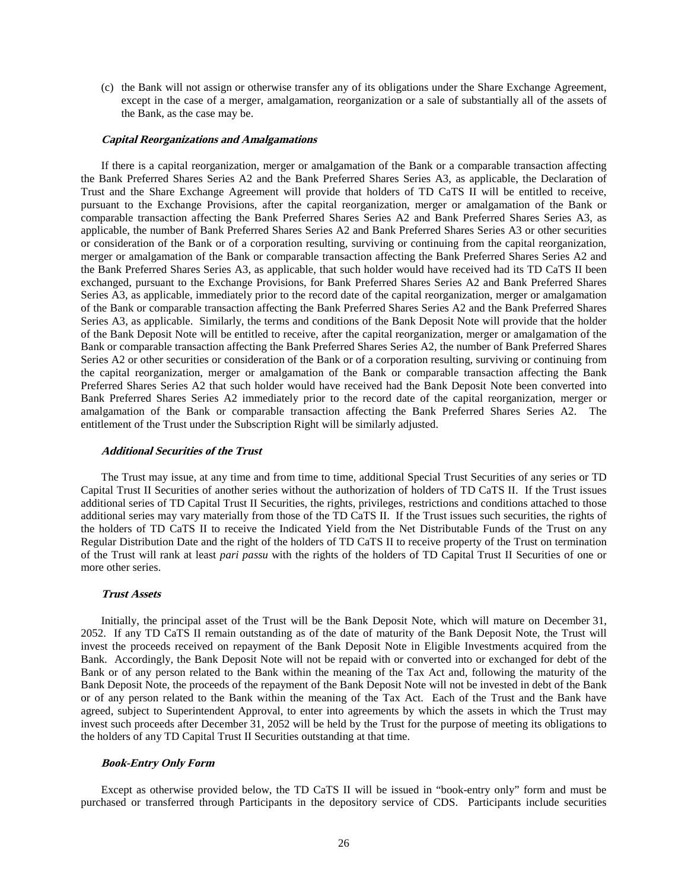(c) the Bank will not assign or otherwise transfer any of its obligations under the Share Exchange Agreement, except in the case of a merger, amalgamation, reorganization or a sale of substantially all of the assets of the Bank, as the case may be.

#### **Capital Reorganizations and Amalgamations**

If there is a capital reorganization, merger or amalgamation of the Bank or a comparable transaction affecting the Bank Preferred Shares Series A2 and the Bank Preferred Shares Series A3, as applicable, the Declaration of Trust and the Share Exchange Agreement will provide that holders of TD CaTS II will be entitled to receive, pursuant to the Exchange Provisions, after the capital reorganization, merger or amalgamation of the Bank or comparable transaction affecting the Bank Preferred Shares Series A2 and Bank Preferred Shares Series A3, as applicable, the number of Bank Preferred Shares Series A2 and Bank Preferred Shares Series A3 or other securities or consideration of the Bank or of a corporation resulting, surviving or continuing from the capital reorganization, merger or amalgamation of the Bank or comparable transaction affecting the Bank Preferred Shares Series A2 and the Bank Preferred Shares Series A3, as applicable, that such holder would have received had its TD CaTS II been exchanged, pursuant to the Exchange Provisions, for Bank Preferred Shares Series A2 and Bank Preferred Shares Series A3, as applicable, immediately prior to the record date of the capital reorganization, merger or amalgamation of the Bank or comparable transaction affecting the Bank Preferred Shares Series A2 and the Bank Preferred Shares Series A3, as applicable. Similarly, the terms and conditions of the Bank Deposit Note will provide that the holder of the Bank Deposit Note will be entitled to receive, after the capital reorganization, merger or amalgamation of the Bank or comparable transaction affecting the Bank Preferred Shares Series A2, the number of Bank Preferred Shares Series A2 or other securities or consideration of the Bank or of a corporation resulting, surviving or continuing from the capital reorganization, merger or amalgamation of the Bank or comparable transaction affecting the Bank Preferred Shares Series A2 that such holder would have received had the Bank Deposit Note been converted into Bank Preferred Shares Series A2 immediately prior to the record date of the capital reorganization, merger or amalgamation of the Bank or comparable transaction affecting the Bank Preferred Shares Series A2. The entitlement of the Trust under the Subscription Right will be similarly adjusted.

# **Additional Securities of the Trust**

The Trust may issue, at any time and from time to time, additional Special Trust Securities of any series or TD Capital Trust II Securities of another series without the authorization of holders of TD CaTS II. If the Trust issues additional series of TD Capital Trust II Securities, the rights, privileges, restrictions and conditions attached to those additional series may vary materially from those of the TD CaTS II. If the Trust issues such securities, the rights of the holders of TD CaTS II to receive the Indicated Yield from the Net Distributable Funds of the Trust on any Regular Distribution Date and the right of the holders of TD CaTS II to receive property of the Trust on termination of the Trust will rank at least *pari passu* with the rights of the holders of TD Capital Trust II Securities of one or more other series.

#### **Trust Assets**

Initially, the principal asset of the Trust will be the Bank Deposit Note, which will mature on December 31, 2052. If any TD CaTS II remain outstanding as of the date of maturity of the Bank Deposit Note, the Trust will invest the proceeds received on repayment of the Bank Deposit Note in Eligible Investments acquired from the Bank. Accordingly, the Bank Deposit Note will not be repaid with or converted into or exchanged for debt of the Bank or of any person related to the Bank within the meaning of the Tax Act and, following the maturity of the Bank Deposit Note, the proceeds of the repayment of the Bank Deposit Note will not be invested in debt of the Bank or of any person related to the Bank within the meaning of the Tax Act. Each of the Trust and the Bank have agreed, subject to Superintendent Approval, to enter into agreements by which the assets in which the Trust may invest such proceeds after December 31, 2052 will be held by the Trust for the purpose of meeting its obligations to the holders of any TD Capital Trust II Securities outstanding at that time.

#### **Book-Entry Only Form**

Except as otherwise provided below, the TD CaTS II will be issued in "book-entry only" form and must be purchased or transferred through Participants in the depository service of CDS. Participants include securities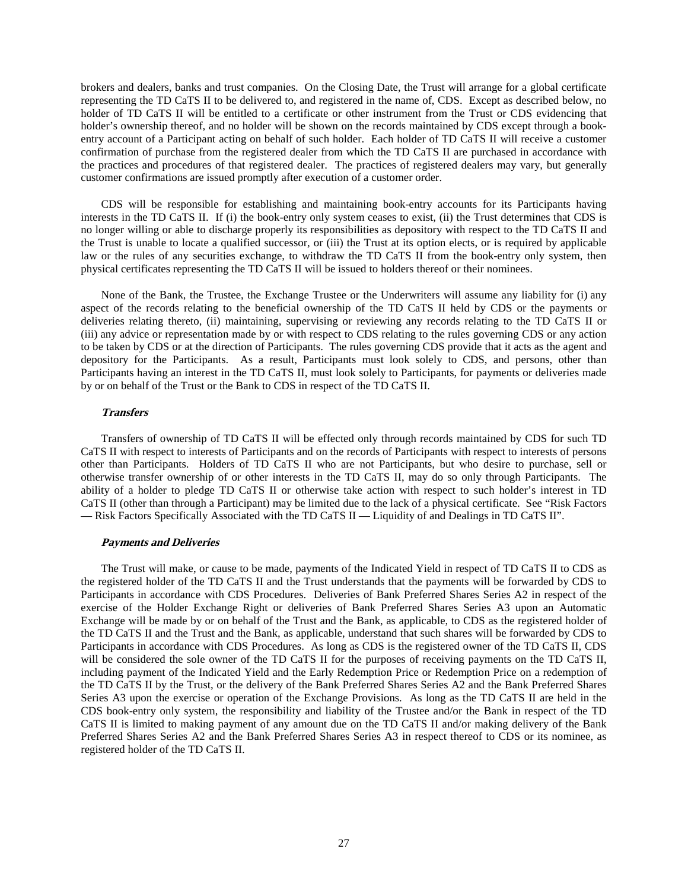brokers and dealers, banks and trust companies. On the Closing Date, the Trust will arrange for a global certificate representing the TD CaTS II to be delivered to, and registered in the name of, CDS. Except as described below, no holder of TD CaTS II will be entitled to a certificate or other instrument from the Trust or CDS evidencing that holder's ownership thereof, and no holder will be shown on the records maintained by CDS except through a bookentry account of a Participant acting on behalf of such holder. Each holder of TD CaTS II will receive a customer confirmation of purchase from the registered dealer from which the TD CaTS II are purchased in accordance with the practices and procedures of that registered dealer. The practices of registered dealers may vary, but generally customer confirmations are issued promptly after execution of a customer order.

CDS will be responsible for establishing and maintaining book-entry accounts for its Participants having interests in the TD CaTS II. If (i) the book-entry only system ceases to exist, (ii) the Trust determines that CDS is no longer willing or able to discharge properly its responsibilities as depository with respect to the TD CaTS II and the Trust is unable to locate a qualified successor, or (iii) the Trust at its option elects, or is required by applicable law or the rules of any securities exchange, to withdraw the TD CaTS II from the book-entry only system, then physical certificates representing the TD CaTS II will be issued to holders thereof or their nominees.

None of the Bank, the Trustee, the Exchange Trustee or the Underwriters will assume any liability for (i) any aspect of the records relating to the beneficial ownership of the TD CaTS II held by CDS or the payments or deliveries relating thereto, (ii) maintaining, supervising or reviewing any records relating to the TD CaTS II or (iii) any advice or representation made by or with respect to CDS relating to the rules governing CDS or any action to be taken by CDS or at the direction of Participants. The rules governing CDS provide that it acts as the agent and depository for the Participants. As a result, Participants must look solely to CDS, and persons, other than Participants having an interest in the TD CaTS II, must look solely to Participants, for payments or deliveries made by or on behalf of the Trust or the Bank to CDS in respect of the TD CaTS II.

# **Transfers**

Transfers of ownership of TD CaTS II will be effected only through records maintained by CDS for such TD CaTS II with respect to interests of Participants and on the records of Participants with respect to interests of persons other than Participants. Holders of TD CaTS II who are not Participants, but who desire to purchase, sell or otherwise transfer ownership of or other interests in the TD CaTS II, may do so only through Participants. The ability of a holder to pledge TD CaTS II or otherwise take action with respect to such holder's interest in TD CaTS II (other than through a Participant) may be limited due to the lack of a physical certificate. See "Risk Factors — Risk Factors Specifically Associated with the TD CaTS II — Liquidity of and Dealings in TD CaTS II".

#### **Payments and Deliveries**

The Trust will make, or cause to be made, payments of the Indicated Yield in respect of TD CaTS II to CDS as the registered holder of the TD CaTS II and the Trust understands that the payments will be forwarded by CDS to Participants in accordance with CDS Procedures. Deliveries of Bank Preferred Shares Series A2 in respect of the exercise of the Holder Exchange Right or deliveries of Bank Preferred Shares Series A3 upon an Automatic Exchange will be made by or on behalf of the Trust and the Bank, as applicable, to CDS as the registered holder of the TD CaTS II and the Trust and the Bank, as applicable, understand that such shares will be forwarded by CDS to Participants in accordance with CDS Procedures. As long as CDS is the registered owner of the TD CaTS II, CDS will be considered the sole owner of the TD CaTS II for the purposes of receiving payments on the TD CaTS II, including payment of the Indicated Yield and the Early Redemption Price or Redemption Price on a redemption of the TD CaTS II by the Trust, or the delivery of the Bank Preferred Shares Series A2 and the Bank Preferred Shares Series A3 upon the exercise or operation of the Exchange Provisions. As long as the TD CaTS II are held in the CDS book-entry only system, the responsibility and liability of the Trustee and/or the Bank in respect of the TD CaTS II is limited to making payment of any amount due on the TD CaTS II and/or making delivery of the Bank Preferred Shares Series A2 and the Bank Preferred Shares Series A3 in respect thereof to CDS or its nominee, as registered holder of the TD CaTS II.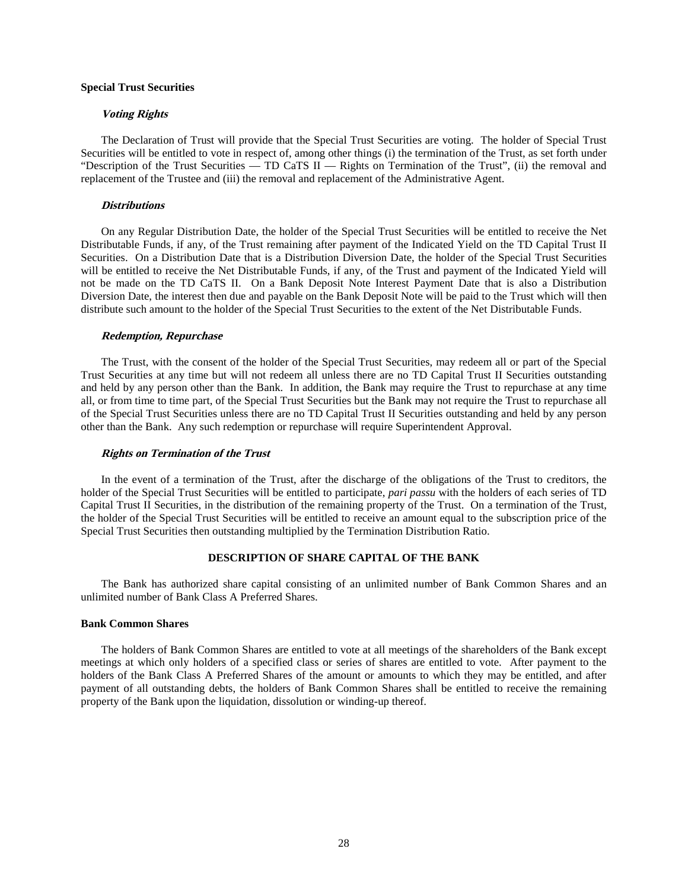# **Special Trust Securities**

#### **Voting Rights**

The Declaration of Trust will provide that the Special Trust Securities are voting. The holder of Special Trust Securities will be entitled to vote in respect of, among other things (i) the termination of the Trust, as set forth under "Description of the Trust Securities — TD CaTS II — Rights on Termination of the Trust", (ii) the removal and replacement of the Trustee and (iii) the removal and replacement of the Administrative Agent.

#### **Distributions**

On any Regular Distribution Date, the holder of the Special Trust Securities will be entitled to receive the Net Distributable Funds, if any, of the Trust remaining after payment of the Indicated Yield on the TD Capital Trust II Securities. On a Distribution Date that is a Distribution Diversion Date, the holder of the Special Trust Securities will be entitled to receive the Net Distributable Funds, if any, of the Trust and payment of the Indicated Yield will not be made on the TD CaTS II. On a Bank Deposit Note Interest Payment Date that is also a Distribution Diversion Date, the interest then due and payable on the Bank Deposit Note will be paid to the Trust which will then distribute such amount to the holder of the Special Trust Securities to the extent of the Net Distributable Funds.

#### **Redemption, Repurchase**

The Trust, with the consent of the holder of the Special Trust Securities, may redeem all or part of the Special Trust Securities at any time but will not redeem all unless there are no TD Capital Trust II Securities outstanding and held by any person other than the Bank. In addition, the Bank may require the Trust to repurchase at any time all, or from time to time part, of the Special Trust Securities but the Bank may not require the Trust to repurchase all of the Special Trust Securities unless there are no TD Capital Trust II Securities outstanding and held by any person other than the Bank. Any such redemption or repurchase will require Superintendent Approval.

#### **Rights on Termination of the Trust**

In the event of a termination of the Trust, after the discharge of the obligations of the Trust to creditors, the holder of the Special Trust Securities will be entitled to participate, *pari passu* with the holders of each series of TD Capital Trust II Securities, in the distribution of the remaining property of the Trust. On a termination of the Trust, the holder of the Special Trust Securities will be entitled to receive an amount equal to the subscription price of the Special Trust Securities then outstanding multiplied by the Termination Distribution Ratio.

# **DESCRIPTION OF SHARE CAPITAL OF THE BANK**

The Bank has authorized share capital consisting of an unlimited number of Bank Common Shares and an unlimited number of Bank Class A Preferred Shares.

### **Bank Common Shares**

The holders of Bank Common Shares are entitled to vote at all meetings of the shareholders of the Bank except meetings at which only holders of a specified class or series of shares are entitled to vote. After payment to the holders of the Bank Class A Preferred Shares of the amount or amounts to which they may be entitled, and after payment of all outstanding debts, the holders of Bank Common Shares shall be entitled to receive the remaining property of the Bank upon the liquidation, dissolution or winding-up thereof.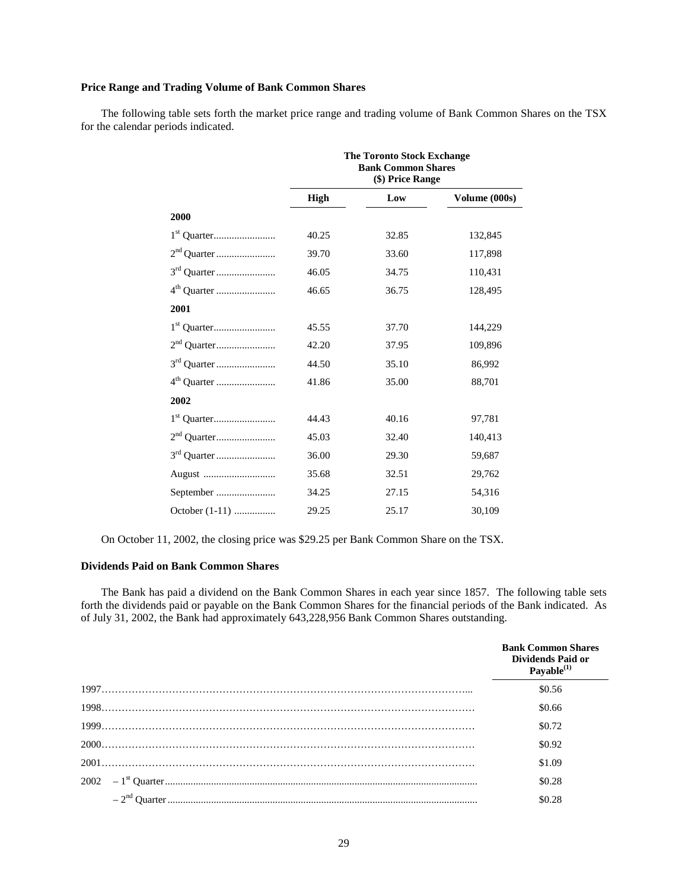# **Price Range and Trading Volume of Bank Common Shares**

The following table sets forth the market price range and trading volume of Bank Common Shares on the TSX for the calendar periods indicated.

|                         |             | <b>The Toronto Stock Exchange</b><br><b>Bank Common Shares</b><br>(\$) Price Range |               |
|-------------------------|-------------|------------------------------------------------------------------------------------|---------------|
|                         | <b>High</b> | Low                                                                                | Volume (000s) |
| 2000                    |             |                                                                                    |               |
|                         | 40.25       | 32.85                                                                              | 132,845       |
|                         | 39.70       | 33.60                                                                              | 117,898       |
|                         | 46.05       | 34.75                                                                              | 110,431       |
| 4 <sup>th</sup> Quarter | 46.65       | 36.75                                                                              | 128,495       |
| 2001                    |             |                                                                                    |               |
|                         | 45.55       | 37.70                                                                              | 144,229       |
|                         | 42.20       | 37.95                                                                              | 109,896       |
|                         | 44.50       | 35.10                                                                              | 86,992        |
|                         | 41.86       | 35.00                                                                              | 88,701        |
| 2002                    |             |                                                                                    |               |
|                         | 44.43       | 40.16                                                                              | 97,781        |
|                         | 45.03       | 32.40                                                                              | 140,413       |
|                         | 36.00       | 29.30                                                                              | 59,687        |
|                         | 35.68       | 32.51                                                                              | 29,762        |
| September               | 34.25       | 27.15                                                                              | 54,316        |
| October (1-11)          | 29.25       | 25.17                                                                              | 30,109        |

On October 11, 2002, the closing price was \$29.25 per Bank Common Share on the TSX.

# **Dividends Paid on Bank Common Shares**

The Bank has paid a dividend on the Bank Common Shares in each year since 1857. The following table sets forth the dividends paid or payable on the Bank Common Shares for the financial periods of the Bank indicated. As of July 31, 2002, the Bank had approximately 643,228,956 Bank Common Shares outstanding.

| <b>Bank Common Shares</b><br>Dividends Paid or<br>Payable $^{(1)}$ |
|--------------------------------------------------------------------|
| \$0.56                                                             |
| \$0.66                                                             |
| \$0.72                                                             |
| \$0.92                                                             |
| \$1.09                                                             |
| \$0.28                                                             |
| \$0.28                                                             |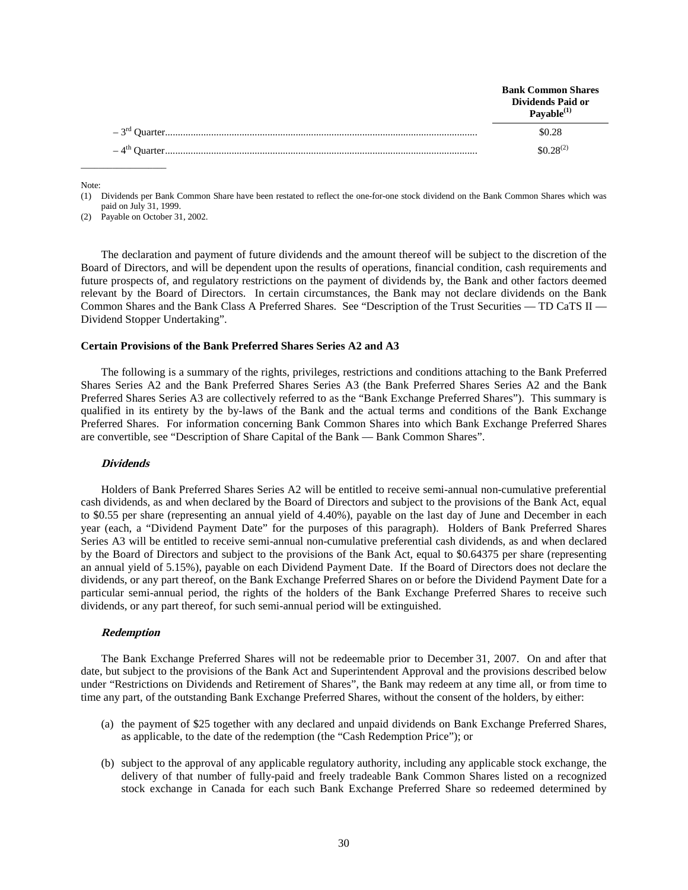| <b>Bank Common Shares</b><br>Dividends Paid or<br>Pavable $^{(1)}$ |
|--------------------------------------------------------------------|
| \$0.28                                                             |
| $$0.28^{(2)}$$                                                     |

Note:

(2) Payable on October 31, 2002.

 $\_$ 

The declaration and payment of future dividends and the amount thereof will be subject to the discretion of the Board of Directors, and will be dependent upon the results of operations, financial condition, cash requirements and future prospects of, and regulatory restrictions on the payment of dividends by, the Bank and other factors deemed relevant by the Board of Directors. In certain circumstances, the Bank may not declare dividends on the Bank Common Shares and the Bank Class A Preferred Shares. See "Description of the Trust Securities — TD CaTS II — Dividend Stopper Undertaking".

# **Certain Provisions of the Bank Preferred Shares Series A2 and A3**

The following is a summary of the rights, privileges, restrictions and conditions attaching to the Bank Preferred Shares Series A2 and the Bank Preferred Shares Series A3 (the Bank Preferred Shares Series A2 and the Bank Preferred Shares Series A3 are collectively referred to as the "Bank Exchange Preferred Shares"). This summary is qualified in its entirety by the by-laws of the Bank and the actual terms and conditions of the Bank Exchange Preferred Shares. For information concerning Bank Common Shares into which Bank Exchange Preferred Shares are convertible, see "Description of Share Capital of the Bank — Bank Common Shares".

#### **Dividends**

Holders of Bank Preferred Shares Series A2 will be entitled to receive semi-annual non-cumulative preferential cash dividends, as and when declared by the Board of Directors and subject to the provisions of the Bank Act, equal to \$0.55 per share (representing an annual yield of 4.40%), payable on the last day of June and December in each year (each, a "Dividend Payment Date" for the purposes of this paragraph). Holders of Bank Preferred Shares Series A3 will be entitled to receive semi-annual non-cumulative preferential cash dividends, as and when declared by the Board of Directors and subject to the provisions of the Bank Act, equal to \$0.64375 per share (representing an annual yield of 5.15%), payable on each Dividend Payment Date. If the Board of Directors does not declare the dividends, or any part thereof, on the Bank Exchange Preferred Shares on or before the Dividend Payment Date for a particular semi-annual period, the rights of the holders of the Bank Exchange Preferred Shares to receive such dividends, or any part thereof, for such semi-annual period will be extinguished.

#### **Redemption**

The Bank Exchange Preferred Shares will not be redeemable prior to December 31, 2007. On and after that date, but subject to the provisions of the Bank Act and Superintendent Approval and the provisions described below under "Restrictions on Dividends and Retirement of Shares", the Bank may redeem at any time all, or from time to time any part, of the outstanding Bank Exchange Preferred Shares, without the consent of the holders, by either:

- (a) the payment of \$25 together with any declared and unpaid dividends on Bank Exchange Preferred Shares, as applicable, to the date of the redemption (the "Cash Redemption Price"); or
- (b) subject to the approval of any applicable regulatory authority, including any applicable stock exchange, the delivery of that number of fully-paid and freely tradeable Bank Common Shares listed on a recognized stock exchange in Canada for each such Bank Exchange Preferred Share so redeemed determined by

<sup>(1)</sup> Dividends per Bank Common Share have been restated to reflect the one-for-one stock dividend on the Bank Common Shares which was paid on July 31, 1999.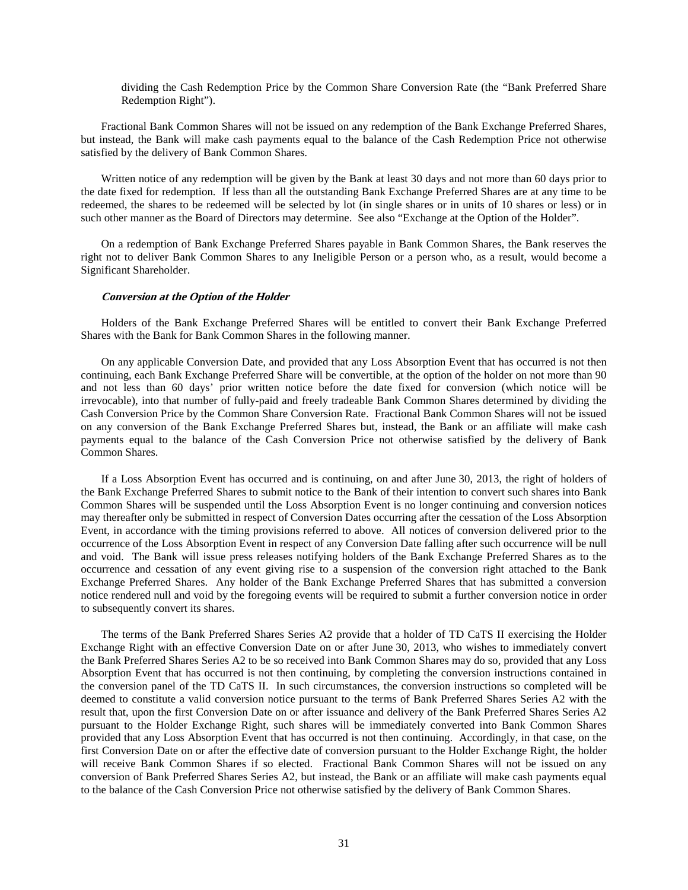dividing the Cash Redemption Price by the Common Share Conversion Rate (the "Bank Preferred Share Redemption Right").

Fractional Bank Common Shares will not be issued on any redemption of the Bank Exchange Preferred Shares, but instead, the Bank will make cash payments equal to the balance of the Cash Redemption Price not otherwise satisfied by the delivery of Bank Common Shares.

Written notice of any redemption will be given by the Bank at least 30 days and not more than 60 days prior to the date fixed for redemption. If less than all the outstanding Bank Exchange Preferred Shares are at any time to be redeemed, the shares to be redeemed will be selected by lot (in single shares or in units of 10 shares or less) or in such other manner as the Board of Directors may determine. See also "Exchange at the Option of the Holder".

On a redemption of Bank Exchange Preferred Shares payable in Bank Common Shares, the Bank reserves the right not to deliver Bank Common Shares to any Ineligible Person or a person who, as a result, would become a Significant Shareholder.

#### **Conversion at the Option of the Holder**

Holders of the Bank Exchange Preferred Shares will be entitled to convert their Bank Exchange Preferred Shares with the Bank for Bank Common Shares in the following manner.

On any applicable Conversion Date, and provided that any Loss Absorption Event that has occurred is not then continuing, each Bank Exchange Preferred Share will be convertible, at the option of the holder on not more than 90 and not less than 60 days' prior written notice before the date fixed for conversion (which notice will be irrevocable), into that number of fully-paid and freely tradeable Bank Common Shares determined by dividing the Cash Conversion Price by the Common Share Conversion Rate. Fractional Bank Common Shares will not be issued on any conversion of the Bank Exchange Preferred Shares but, instead, the Bank or an affiliate will make cash payments equal to the balance of the Cash Conversion Price not otherwise satisfied by the delivery of Bank Common Shares.

If a Loss Absorption Event has occurred and is continuing, on and after June 30, 2013, the right of holders of the Bank Exchange Preferred Shares to submit notice to the Bank of their intention to convert such shares into Bank Common Shares will be suspended until the Loss Absorption Event is no longer continuing and conversion notices may thereafter only be submitted in respect of Conversion Dates occurring after the cessation of the Loss Absorption Event, in accordance with the timing provisions referred to above. All notices of conversion delivered prior to the occurrence of the Loss Absorption Event in respect of any Conversion Date falling after such occurrence will be null and void. The Bank will issue press releases notifying holders of the Bank Exchange Preferred Shares as to the occurrence and cessation of any event giving rise to a suspension of the conversion right attached to the Bank Exchange Preferred Shares. Any holder of the Bank Exchange Preferred Shares that has submitted a conversion notice rendered null and void by the foregoing events will be required to submit a further conversion notice in order to subsequently convert its shares.

The terms of the Bank Preferred Shares Series A2 provide that a holder of TD CaTS II exercising the Holder Exchange Right with an effective Conversion Date on or after June 30, 2013, who wishes to immediately convert the Bank Preferred Shares Series A2 to be so received into Bank Common Shares may do so, provided that any Loss Absorption Event that has occurred is not then continuing, by completing the conversion instructions contained in the conversion panel of the TD CaTS II. In such circumstances, the conversion instructions so completed will be deemed to constitute a valid conversion notice pursuant to the terms of Bank Preferred Shares Series A2 with the result that, upon the first Conversion Date on or after issuance and delivery of the Bank Preferred Shares Series A2 pursuant to the Holder Exchange Right, such shares will be immediately converted into Bank Common Shares provided that any Loss Absorption Event that has occurred is not then continuing. Accordingly, in that case, on the first Conversion Date on or after the effective date of conversion pursuant to the Holder Exchange Right, the holder will receive Bank Common Shares if so elected. Fractional Bank Common Shares will not be issued on any conversion of Bank Preferred Shares Series A2, but instead, the Bank or an affiliate will make cash payments equal to the balance of the Cash Conversion Price not otherwise satisfied by the delivery of Bank Common Shares.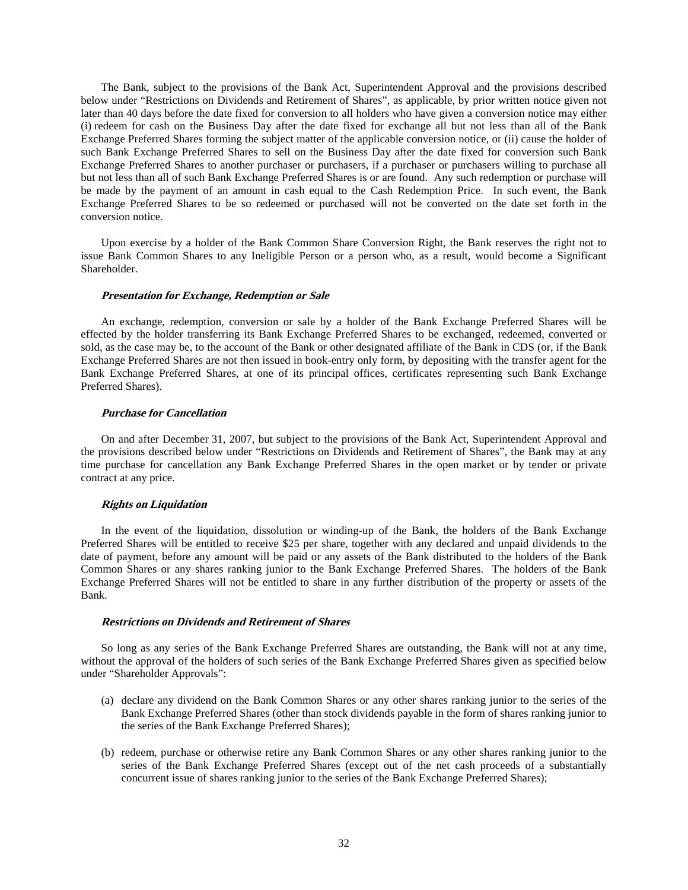The Bank, subject to the provisions of the Bank Act, Superintendent Approval and the provisions described below under "Restrictions on Dividends and Retirement of Shares", as applicable, by prior written notice given not later than 40 days before the date fixed for conversion to all holders who have given a conversion notice may either (i) redeem for cash on the Business Day after the date fixed for exchange all but not less than all of the Bank Exchange Preferred Shares forming the subject matter of the applicable conversion notice, or (ii) cause the holder of such Bank Exchange Preferred Shares to sell on the Business Day after the date fixed for conversion such Bank Exchange Preferred Shares to another purchaser or purchasers, if a purchaser or purchasers willing to purchase all but not less than all of such Bank Exchange Preferred Shares is or are found. Any such redemption or purchase will be made by the payment of an amount in cash equal to the Cash Redemption Price. In such event, the Bank Exchange Preferred Shares to be so redeemed or purchased will not be converted on the date set forth in the conversion notice.

Upon exercise by a holder of the Bank Common Share Conversion Right, the Bank reserves the right not to issue Bank Common Shares to any Ineligible Person or a person who, as a result, would become a Significant Shareholder.

#### **Presentation for Exchange, Redemption or Sale**

An exchange, redemption, conversion or sale by a holder of the Bank Exchange Preferred Shares will be effected by the holder transferring its Bank Exchange Preferred Shares to be exchanged, redeemed, converted or sold, as the case may be, to the account of the Bank or other designated affiliate of the Bank in CDS (or, if the Bank Exchange Preferred Shares are not then issued in book-entry only form, by depositing with the transfer agent for the Bank Exchange Preferred Shares, at one of its principal offices, certificates representing such Bank Exchange Preferred Shares).

# **Purchase for Cancellation**

On and after December 31, 2007, but subject to the provisions of the Bank Act, Superintendent Approval and the provisions described below under "Restrictions on Dividends and Retirement of Shares", the Bank may at any time purchase for cancellation any Bank Exchange Preferred Shares in the open market or by tender or private contract at any price.

#### **Rights on Liquidation**

In the event of the liquidation, dissolution or winding-up of the Bank, the holders of the Bank Exchange Preferred Shares will be entitled to receive \$25 per share, together with any declared and unpaid dividends to the date of payment, before any amount will be paid or any assets of the Bank distributed to the holders of the Bank Common Shares or any shares ranking junior to the Bank Exchange Preferred Shares. The holders of the Bank Exchange Preferred Shares will not be entitled to share in any further distribution of the property or assets of the Bank.

### **Restrictions on Dividends and Retirement of Shares**

So long as any series of the Bank Exchange Preferred Shares are outstanding, the Bank will not at any time, without the approval of the holders of such series of the Bank Exchange Preferred Shares given as specified below under "Shareholder Approvals":

- (a) declare any dividend on the Bank Common Shares or any other shares ranking junior to the series of the Bank Exchange Preferred Shares (other than stock dividends payable in the form of shares ranking junior to the series of the Bank Exchange Preferred Shares);
- (b) redeem, purchase or otherwise retire any Bank Common Shares or any other shares ranking junior to the series of the Bank Exchange Preferred Shares (except out of the net cash proceeds of a substantially concurrent issue of shares ranking junior to the series of the Bank Exchange Preferred Shares);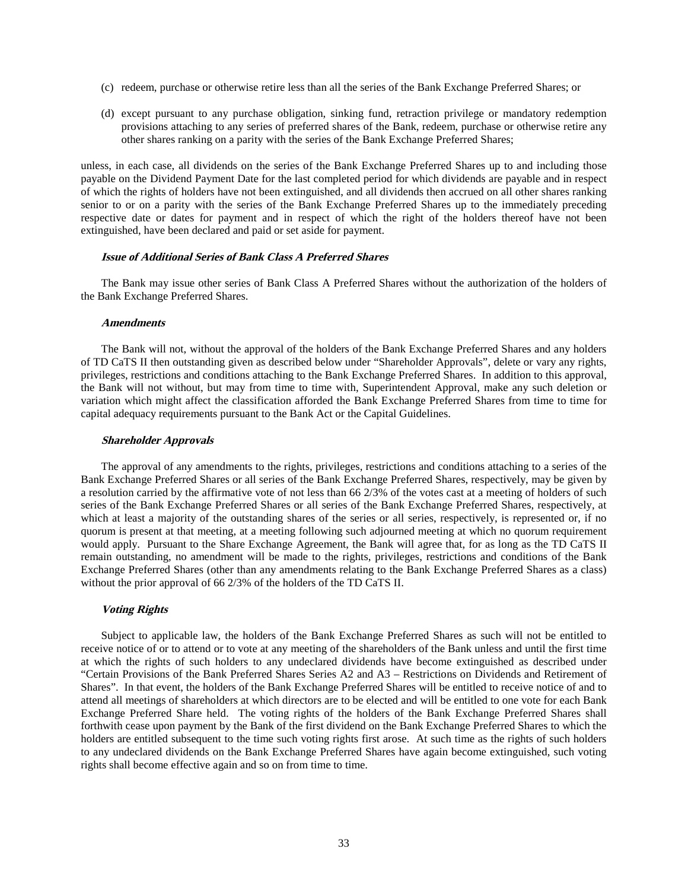- (c) redeem, purchase or otherwise retire less than all the series of the Bank Exchange Preferred Shares; or
- (d) except pursuant to any purchase obligation, sinking fund, retraction privilege or mandatory redemption provisions attaching to any series of preferred shares of the Bank, redeem, purchase or otherwise retire any other shares ranking on a parity with the series of the Bank Exchange Preferred Shares;

unless, in each case, all dividends on the series of the Bank Exchange Preferred Shares up to and including those payable on the Dividend Payment Date for the last completed period for which dividends are payable and in respect of which the rights of holders have not been extinguished, and all dividends then accrued on all other shares ranking senior to or on a parity with the series of the Bank Exchange Preferred Shares up to the immediately preceding respective date or dates for payment and in respect of which the right of the holders thereof have not been extinguished, have been declared and paid or set aside for payment.

#### **Issue of Additional Series of Bank Class A Preferred Shares**

The Bank may issue other series of Bank Class A Preferred Shares without the authorization of the holders of the Bank Exchange Preferred Shares.

#### **Amendments**

The Bank will not, without the approval of the holders of the Bank Exchange Preferred Shares and any holders of TD CaTS II then outstanding given as described below under "Shareholder Approvals", delete or vary any rights, privileges, restrictions and conditions attaching to the Bank Exchange Preferred Shares. In addition to this approval, the Bank will not without, but may from time to time with, Superintendent Approval, make any such deletion or variation which might affect the classification afforded the Bank Exchange Preferred Shares from time to time for capital adequacy requirements pursuant to the Bank Act or the Capital Guidelines.

### **Shareholder Approvals**

The approval of any amendments to the rights, privileges, restrictions and conditions attaching to a series of the Bank Exchange Preferred Shares or all series of the Bank Exchange Preferred Shares, respectively, may be given by a resolution carried by the affirmative vote of not less than 66 2/3% of the votes cast at a meeting of holders of such series of the Bank Exchange Preferred Shares or all series of the Bank Exchange Preferred Shares, respectively, at which at least a majority of the outstanding shares of the series or all series, respectively, is represented or, if no quorum is present at that meeting, at a meeting following such adjourned meeting at which no quorum requirement would apply. Pursuant to the Share Exchange Agreement, the Bank will agree that, for as long as the TD CaTS II remain outstanding, no amendment will be made to the rights, privileges, restrictions and conditions of the Bank Exchange Preferred Shares (other than any amendments relating to the Bank Exchange Preferred Shares as a class) without the prior approval of 66 2/3% of the holders of the TD CaTS II.

#### **Voting Rights**

Subject to applicable law, the holders of the Bank Exchange Preferred Shares as such will not be entitled to receive notice of or to attend or to vote at any meeting of the shareholders of the Bank unless and until the first time at which the rights of such holders to any undeclared dividends have become extinguished as described under "Certain Provisions of the Bank Preferred Shares Series A2 and A3 – Restrictions on Dividends and Retirement of Shares". In that event, the holders of the Bank Exchange Preferred Shares will be entitled to receive notice of and to attend all meetings of shareholders at which directors are to be elected and will be entitled to one vote for each Bank Exchange Preferred Share held. The voting rights of the holders of the Bank Exchange Preferred Shares shall forthwith cease upon payment by the Bank of the first dividend on the Bank Exchange Preferred Shares to which the holders are entitled subsequent to the time such voting rights first arose. At such time as the rights of such holders to any undeclared dividends on the Bank Exchange Preferred Shares have again become extinguished, such voting rights shall become effective again and so on from time to time.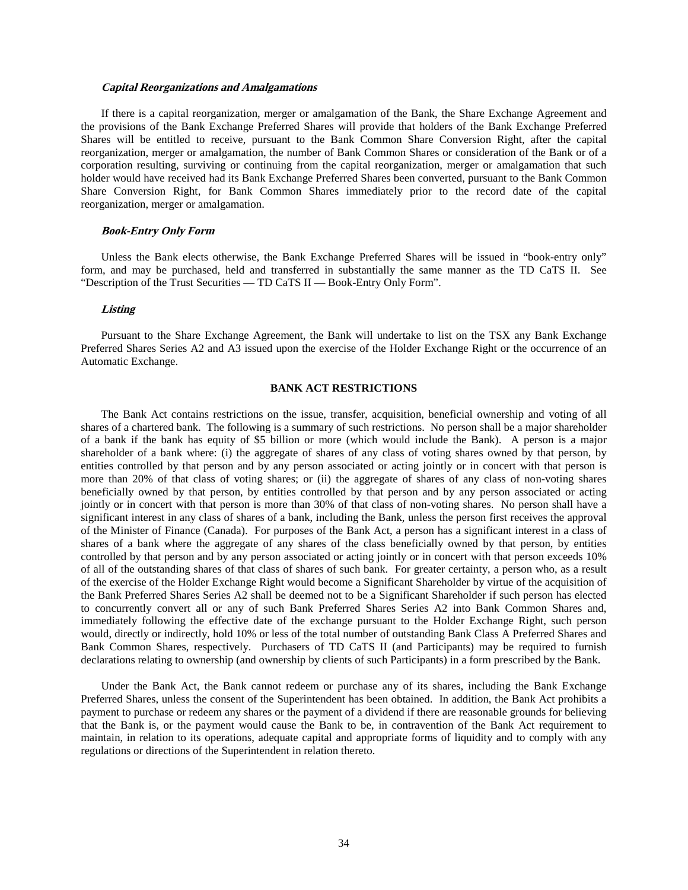#### **Capital Reorganizations and Amalgamations**

If there is a capital reorganization, merger or amalgamation of the Bank, the Share Exchange Agreement and the provisions of the Bank Exchange Preferred Shares will provide that holders of the Bank Exchange Preferred Shares will be entitled to receive, pursuant to the Bank Common Share Conversion Right, after the capital reorganization, merger or amalgamation, the number of Bank Common Shares or consideration of the Bank or of a corporation resulting, surviving or continuing from the capital reorganization, merger or amalgamation that such holder would have received had its Bank Exchange Preferred Shares been converted, pursuant to the Bank Common Share Conversion Right, for Bank Common Shares immediately prior to the record date of the capital reorganization, merger or amalgamation.

#### **Book-Entry Only Form**

Unless the Bank elects otherwise, the Bank Exchange Preferred Shares will be issued in "book-entry only" form, and may be purchased, held and transferred in substantially the same manner as the TD CaTS II. See "Description of the Trust Securities — TD CaTS II — Book-Entry Only Form".

#### **Listing**

Pursuant to the Share Exchange Agreement, the Bank will undertake to list on the TSX any Bank Exchange Preferred Shares Series A2 and A3 issued upon the exercise of the Holder Exchange Right or the occurrence of an Automatic Exchange.

#### **BANK ACT RESTRICTIONS**

The Bank Act contains restrictions on the issue, transfer, acquisition, beneficial ownership and voting of all shares of a chartered bank. The following is a summary of such restrictions. No person shall be a major shareholder of a bank if the bank has equity of \$5 billion or more (which would include the Bank). A person is a major shareholder of a bank where: (i) the aggregate of shares of any class of voting shares owned by that person, by entities controlled by that person and by any person associated or acting jointly or in concert with that person is more than 20% of that class of voting shares; or (ii) the aggregate of shares of any class of non-voting shares beneficially owned by that person, by entities controlled by that person and by any person associated or acting jointly or in concert with that person is more than 30% of that class of non-voting shares. No person shall have a significant interest in any class of shares of a bank, including the Bank, unless the person first receives the approval of the Minister of Finance (Canada). For purposes of the Bank Act, a person has a significant interest in a class of shares of a bank where the aggregate of any shares of the class beneficially owned by that person, by entities controlled by that person and by any person associated or acting jointly or in concert with that person exceeds 10% of all of the outstanding shares of that class of shares of such bank. For greater certainty, a person who, as a result of the exercise of the Holder Exchange Right would become a Significant Shareholder by virtue of the acquisition of the Bank Preferred Shares Series A2 shall be deemed not to be a Significant Shareholder if such person has elected to concurrently convert all or any of such Bank Preferred Shares Series A2 into Bank Common Shares and, immediately following the effective date of the exchange pursuant to the Holder Exchange Right, such person would, directly or indirectly, hold 10% or less of the total number of outstanding Bank Class A Preferred Shares and Bank Common Shares, respectively. Purchasers of TD CaTS II (and Participants) may be required to furnish declarations relating to ownership (and ownership by clients of such Participants) in a form prescribed by the Bank.

Under the Bank Act, the Bank cannot redeem or purchase any of its shares, including the Bank Exchange Preferred Shares, unless the consent of the Superintendent has been obtained. In addition, the Bank Act prohibits a payment to purchase or redeem any shares or the payment of a dividend if there are reasonable grounds for believing that the Bank is, or the payment would cause the Bank to be, in contravention of the Bank Act requirement to maintain, in relation to its operations, adequate capital and appropriate forms of liquidity and to comply with any regulations or directions of the Superintendent in relation thereto.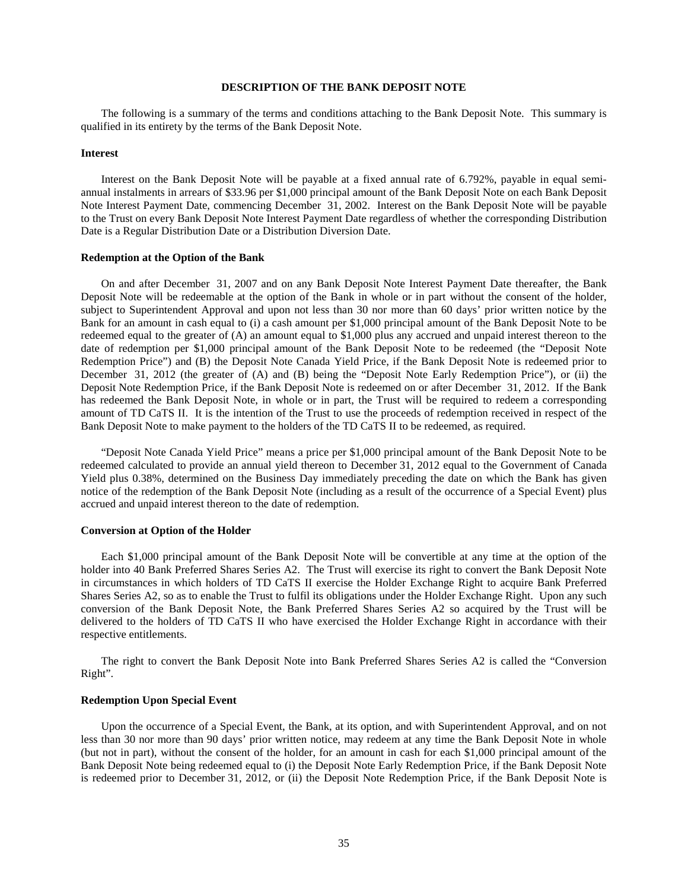# **DESCRIPTION OF THE BANK DEPOSIT NOTE**

The following is a summary of the terms and conditions attaching to the Bank Deposit Note. This summary is qualified in its entirety by the terms of the Bank Deposit Note.

#### **Interest**

Interest on the Bank Deposit Note will be payable at a fixed annual rate of 6.792%, payable in equal semiannual instalments in arrears of \$33.96 per \$1,000 principal amount of the Bank Deposit Note on each Bank Deposit Note Interest Payment Date, commencing December 31, 2002. Interest on the Bank Deposit Note will be payable to the Trust on every Bank Deposit Note Interest Payment Date regardless of whether the corresponding Distribution Date is a Regular Distribution Date or a Distribution Diversion Date.

#### **Redemption at the Option of the Bank**

On and after December 31, 2007 and on any Bank Deposit Note Interest Payment Date thereafter, the Bank Deposit Note will be redeemable at the option of the Bank in whole or in part without the consent of the holder, subject to Superintendent Approval and upon not less than 30 nor more than 60 days' prior written notice by the Bank for an amount in cash equal to (i) a cash amount per \$1,000 principal amount of the Bank Deposit Note to be redeemed equal to the greater of (A) an amount equal to \$1,000 plus any accrued and unpaid interest thereon to the date of redemption per \$1,000 principal amount of the Bank Deposit Note to be redeemed (the "Deposit Note Redemption Price") and (B) the Deposit Note Canada Yield Price, if the Bank Deposit Note is redeemed prior to December 31, 2012 (the greater of (A) and (B) being the "Deposit Note Early Redemption Price"), or (ii) the Deposit Note Redemption Price, if the Bank Deposit Note is redeemed on or after December 31, 2012. If the Bank has redeemed the Bank Deposit Note, in whole or in part, the Trust will be required to redeem a corresponding amount of TD CaTS II. It is the intention of the Trust to use the proceeds of redemption received in respect of the Bank Deposit Note to make payment to the holders of the TD CaTS II to be redeemed, as required.

"Deposit Note Canada Yield Price" means a price per \$1,000 principal amount of the Bank Deposit Note to be redeemed calculated to provide an annual yield thereon to December 31, 2012 equal to the Government of Canada Yield plus 0.38%, determined on the Business Day immediately preceding the date on which the Bank has given notice of the redemption of the Bank Deposit Note (including as a result of the occurrence of a Special Event) plus accrued and unpaid interest thereon to the date of redemption.

#### **Conversion at Option of the Holder**

Each \$1,000 principal amount of the Bank Deposit Note will be convertible at any time at the option of the holder into 40 Bank Preferred Shares Series A2. The Trust will exercise its right to convert the Bank Deposit Note in circumstances in which holders of TD CaTS II exercise the Holder Exchange Right to acquire Bank Preferred Shares Series A2, so as to enable the Trust to fulfil its obligations under the Holder Exchange Right. Upon any such conversion of the Bank Deposit Note, the Bank Preferred Shares Series A2 so acquired by the Trust will be delivered to the holders of TD CaTS II who have exercised the Holder Exchange Right in accordance with their respective entitlements.

The right to convert the Bank Deposit Note into Bank Preferred Shares Series A2 is called the "Conversion Right".

#### **Redemption Upon Special Event**

Upon the occurrence of a Special Event, the Bank, at its option, and with Superintendent Approval, and on not less than 30 nor more than 90 days' prior written notice, may redeem at any time the Bank Deposit Note in whole (but not in part), without the consent of the holder, for an amount in cash for each \$1,000 principal amount of the Bank Deposit Note being redeemed equal to (i) the Deposit Note Early Redemption Price, if the Bank Deposit Note is redeemed prior to December 31, 2012, or (ii) the Deposit Note Redemption Price, if the Bank Deposit Note is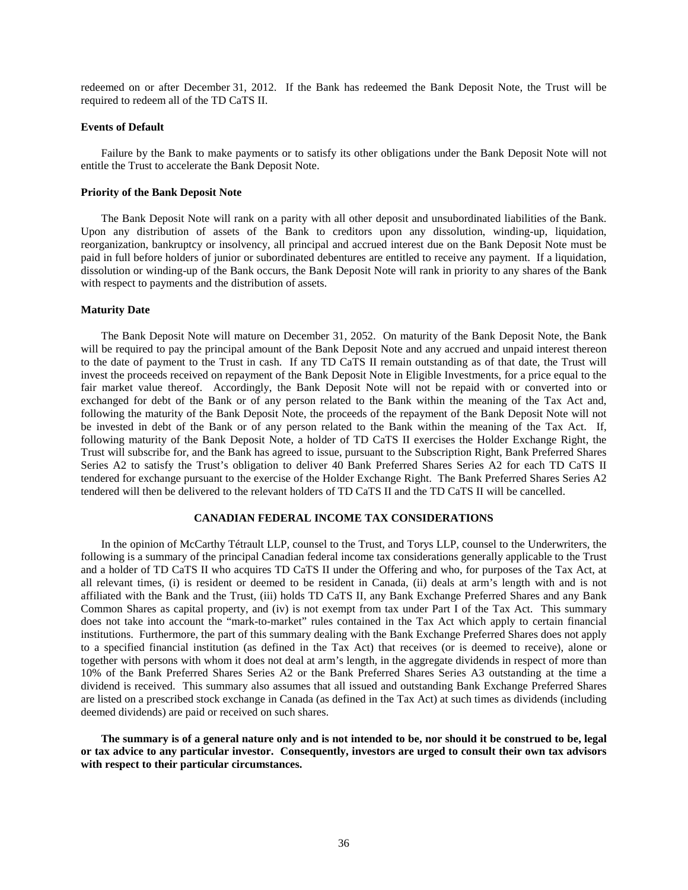redeemed on or after December 31, 2012. If the Bank has redeemed the Bank Deposit Note, the Trust will be required to redeem all of the TD CaTS II.

#### **Events of Default**

Failure by the Bank to make payments or to satisfy its other obligations under the Bank Deposit Note will not entitle the Trust to accelerate the Bank Deposit Note.

#### **Priority of the Bank Deposit Note**

The Bank Deposit Note will rank on a parity with all other deposit and unsubordinated liabilities of the Bank. Upon any distribution of assets of the Bank to creditors upon any dissolution, winding-up, liquidation, reorganization, bankruptcy or insolvency, all principal and accrued interest due on the Bank Deposit Note must be paid in full before holders of junior or subordinated debentures are entitled to receive any payment. If a liquidation, dissolution or winding-up of the Bank occurs, the Bank Deposit Note will rank in priority to any shares of the Bank with respect to payments and the distribution of assets.

# **Maturity Date**

The Bank Deposit Note will mature on December 31, 2052. On maturity of the Bank Deposit Note, the Bank will be required to pay the principal amount of the Bank Deposit Note and any accrued and unpaid interest thereon to the date of payment to the Trust in cash. If any TD CaTS II remain outstanding as of that date, the Trust will invest the proceeds received on repayment of the Bank Deposit Note in Eligible Investments, for a price equal to the fair market value thereof. Accordingly, the Bank Deposit Note will not be repaid with or converted into or exchanged for debt of the Bank or of any person related to the Bank within the meaning of the Tax Act and, following the maturity of the Bank Deposit Note, the proceeds of the repayment of the Bank Deposit Note will not be invested in debt of the Bank or of any person related to the Bank within the meaning of the Tax Act. If, following maturity of the Bank Deposit Note, a holder of TD CaTS II exercises the Holder Exchange Right, the Trust will subscribe for, and the Bank has agreed to issue, pursuant to the Subscription Right, Bank Preferred Shares Series A2 to satisfy the Trust's obligation to deliver 40 Bank Preferred Shares Series A2 for each TD CaTS II tendered for exchange pursuant to the exercise of the Holder Exchange Right. The Bank Preferred Shares Series A2 tendered will then be delivered to the relevant holders of TD CaTS II and the TD CaTS II will be cancelled.

# **CANADIAN FEDERAL INCOME TAX CONSIDERATIONS**

In the opinion of McCarthy Tétrault LLP, counsel to the Trust, and Torys LLP, counsel to the Underwriters, the following is a summary of the principal Canadian federal income tax considerations generally applicable to the Trust and a holder of TD CaTS II who acquires TD CaTS II under the Offering and who, for purposes of the Tax Act, at all relevant times, (i) is resident or deemed to be resident in Canada, (ii) deals at arm's length with and is not affiliated with the Bank and the Trust, (iii) holds TD CaTS II, any Bank Exchange Preferred Shares and any Bank Common Shares as capital property, and (iv) is not exempt from tax under Part I of the Tax Act. This summary does not take into account the "mark-to-market" rules contained in the Tax Act which apply to certain financial institutions. Furthermore, the part of this summary dealing with the Bank Exchange Preferred Shares does not apply to a specified financial institution (as defined in the Tax Act) that receives (or is deemed to receive), alone or together with persons with whom it does not deal at arm's length, in the aggregate dividends in respect of more than 10% of the Bank Preferred Shares Series A2 or the Bank Preferred Shares Series A3 outstanding at the time a dividend is received. This summary also assumes that all issued and outstanding Bank Exchange Preferred Shares are listed on a prescribed stock exchange in Canada (as defined in the Tax Act) at such times as dividends (including deemed dividends) are paid or received on such shares.

**The summary is of a general nature only and is not intended to be, nor should it be construed to be, legal or tax advice to any particular investor. Consequently, investors are urged to consult their own tax advisors with respect to their particular circumstances.**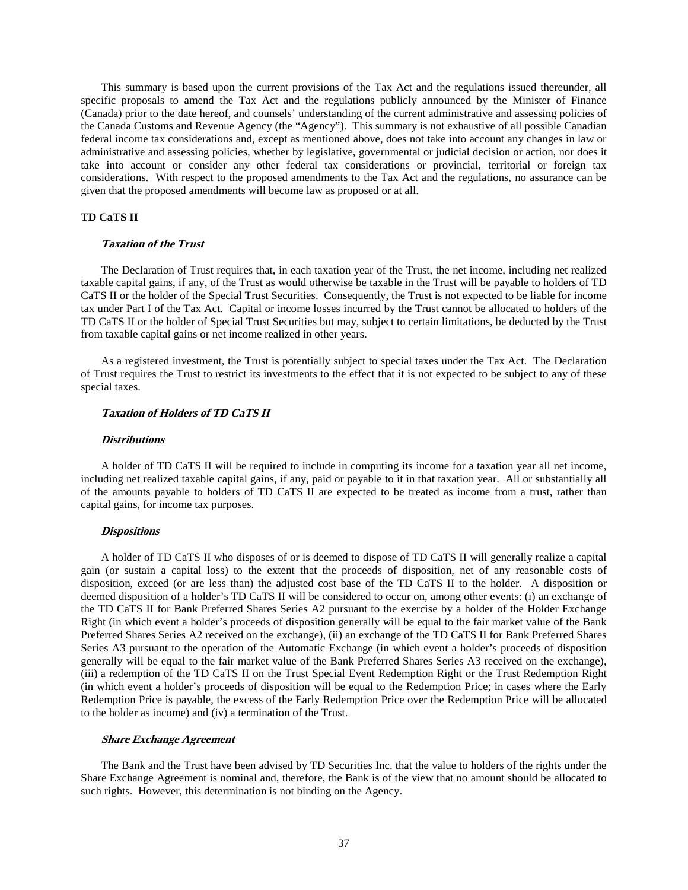This summary is based upon the current provisions of the Tax Act and the regulations issued thereunder, all specific proposals to amend the Tax Act and the regulations publicly announced by the Minister of Finance (Canada) prior to the date hereof, and counsels' understanding of the current administrative and assessing policies of the Canada Customs and Revenue Agency (the "Agency"). This summary is not exhaustive of all possible Canadian federal income tax considerations and, except as mentioned above, does not take into account any changes in law or administrative and assessing policies, whether by legislative, governmental or judicial decision or action, nor does it take into account or consider any other federal tax considerations or provincial, territorial or foreign tax considerations. With respect to the proposed amendments to the Tax Act and the regulations, no assurance can be given that the proposed amendments will become law as proposed or at all.

# **TD CaTS II**

#### **Taxation of the Trust**

The Declaration of Trust requires that, in each taxation year of the Trust, the net income, including net realized taxable capital gains, if any, of the Trust as would otherwise be taxable in the Trust will be payable to holders of TD CaTS II or the holder of the Special Trust Securities. Consequently, the Trust is not expected to be liable for income tax under Part I of the Tax Act. Capital or income losses incurred by the Trust cannot be allocated to holders of the TD CaTS II or the holder of Special Trust Securities but may, subject to certain limitations, be deducted by the Trust from taxable capital gains or net income realized in other years.

As a registered investment, the Trust is potentially subject to special taxes under the Tax Act. The Declaration of Trust requires the Trust to restrict its investments to the effect that it is not expected to be subject to any of these special taxes.

# **Taxation of Holders of TD CaTS II**

#### **Distributions**

A holder of TD CaTS II will be required to include in computing its income for a taxation year all net income, including net realized taxable capital gains, if any, paid or payable to it in that taxation year. All or substantially all of the amounts payable to holders of TD CaTS II are expected to be treated as income from a trust, rather than capital gains, for income tax purposes.

#### **Dispositions**

A holder of TD CaTS II who disposes of or is deemed to dispose of TD CaTS II will generally realize a capital gain (or sustain a capital loss) to the extent that the proceeds of disposition, net of any reasonable costs of disposition, exceed (or are less than) the adjusted cost base of the TD CaTS II to the holder. A disposition or deemed disposition of a holder's TD CaTS II will be considered to occur on, among other events: (i) an exchange of the TD CaTS II for Bank Preferred Shares Series A2 pursuant to the exercise by a holder of the Holder Exchange Right (in which event a holder's proceeds of disposition generally will be equal to the fair market value of the Bank Preferred Shares Series A2 received on the exchange), (ii) an exchange of the TD CaTS II for Bank Preferred Shares Series A3 pursuant to the operation of the Automatic Exchange (in which event a holder's proceeds of disposition generally will be equal to the fair market value of the Bank Preferred Shares Series A3 received on the exchange), (iii) a redemption of the TD CaTS II on the Trust Special Event Redemption Right or the Trust Redemption Right (in which event a holder's proceeds of disposition will be equal to the Redemption Price; in cases where the Early Redemption Price is payable, the excess of the Early Redemption Price over the Redemption Price will be allocated to the holder as income) and (iv) a termination of the Trust.

#### **Share Exchange Agreement**

The Bank and the Trust have been advised by TD Securities Inc. that the value to holders of the rights under the Share Exchange Agreement is nominal and, therefore, the Bank is of the view that no amount should be allocated to such rights. However, this determination is not binding on the Agency.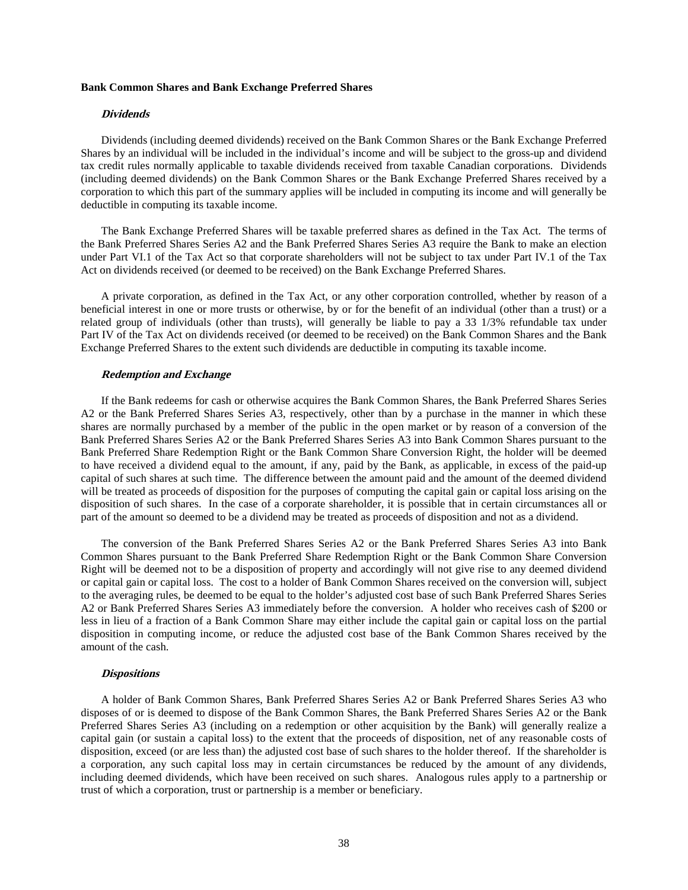#### **Bank Common Shares and Bank Exchange Preferred Shares**

#### **Dividends**

Dividends (including deemed dividends) received on the Bank Common Shares or the Bank Exchange Preferred Shares by an individual will be included in the individual's income and will be subject to the gross-up and dividend tax credit rules normally applicable to taxable dividends received from taxable Canadian corporations. Dividends (including deemed dividends) on the Bank Common Shares or the Bank Exchange Preferred Shares received by a corporation to which this part of the summary applies will be included in computing its income and will generally be deductible in computing its taxable income.

The Bank Exchange Preferred Shares will be taxable preferred shares as defined in the Tax Act. The terms of the Bank Preferred Shares Series A2 and the Bank Preferred Shares Series A3 require the Bank to make an election under Part VI.1 of the Tax Act so that corporate shareholders will not be subject to tax under Part IV.1 of the Tax Act on dividends received (or deemed to be received) on the Bank Exchange Preferred Shares.

A private corporation, as defined in the Tax Act, or any other corporation controlled, whether by reason of a beneficial interest in one or more trusts or otherwise, by or for the benefit of an individual (other than a trust) or a related group of individuals (other than trusts), will generally be liable to pay a 33 1/3% refundable tax under Part IV of the Tax Act on dividends received (or deemed to be received) on the Bank Common Shares and the Bank Exchange Preferred Shares to the extent such dividends are deductible in computing its taxable income.

#### **Redemption and Exchange**

If the Bank redeems for cash or otherwise acquires the Bank Common Shares, the Bank Preferred Shares Series A2 or the Bank Preferred Shares Series A3, respectively, other than by a purchase in the manner in which these shares are normally purchased by a member of the public in the open market or by reason of a conversion of the Bank Preferred Shares Series A2 or the Bank Preferred Shares Series A3 into Bank Common Shares pursuant to the Bank Preferred Share Redemption Right or the Bank Common Share Conversion Right, the holder will be deemed to have received a dividend equal to the amount, if any, paid by the Bank, as applicable, in excess of the paid-up capital of such shares at such time. The difference between the amount paid and the amount of the deemed dividend will be treated as proceeds of disposition for the purposes of computing the capital gain or capital loss arising on the disposition of such shares. In the case of a corporate shareholder, it is possible that in certain circumstances all or part of the amount so deemed to be a dividend may be treated as proceeds of disposition and not as a dividend.

The conversion of the Bank Preferred Shares Series A2 or the Bank Preferred Shares Series A3 into Bank Common Shares pursuant to the Bank Preferred Share Redemption Right or the Bank Common Share Conversion Right will be deemed not to be a disposition of property and accordingly will not give rise to any deemed dividend or capital gain or capital loss. The cost to a holder of Bank Common Shares received on the conversion will, subject to the averaging rules, be deemed to be equal to the holder's adjusted cost base of such Bank Preferred Shares Series A2 or Bank Preferred Shares Series A3 immediately before the conversion. A holder who receives cash of \$200 or less in lieu of a fraction of a Bank Common Share may either include the capital gain or capital loss on the partial disposition in computing income, or reduce the adjusted cost base of the Bank Common Shares received by the amount of the cash.

#### **Dispositions**

A holder of Bank Common Shares, Bank Preferred Shares Series A2 or Bank Preferred Shares Series A3 who disposes of or is deemed to dispose of the Bank Common Shares, the Bank Preferred Shares Series A2 or the Bank Preferred Shares Series A3 (including on a redemption or other acquisition by the Bank) will generally realize a capital gain (or sustain a capital loss) to the extent that the proceeds of disposition, net of any reasonable costs of disposition, exceed (or are less than) the adjusted cost base of such shares to the holder thereof. If the shareholder is a corporation, any such capital loss may in certain circumstances be reduced by the amount of any dividends, including deemed dividends, which have been received on such shares. Analogous rules apply to a partnership or trust of which a corporation, trust or partnership is a member or beneficiary.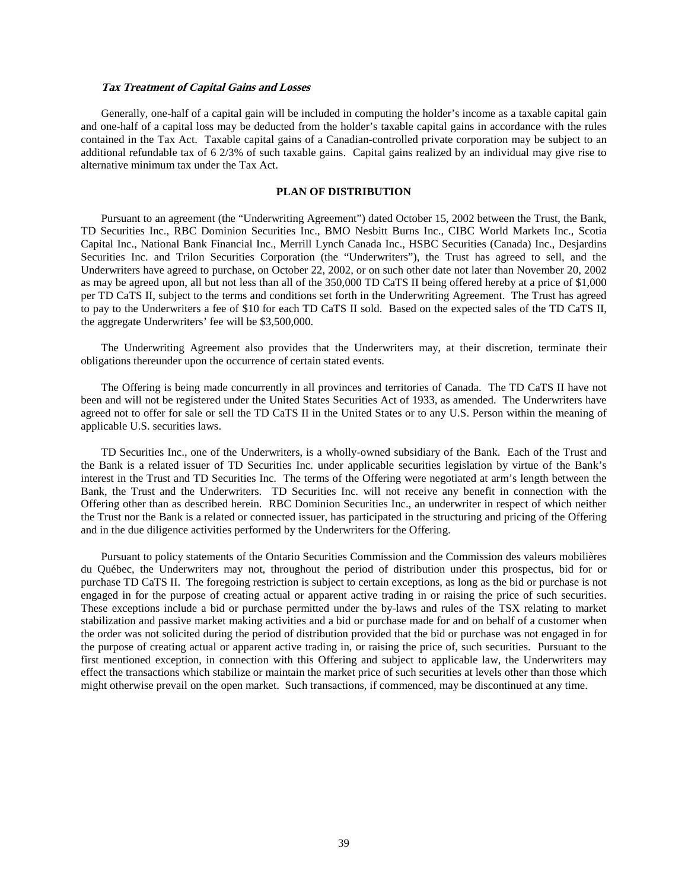#### **Tax Treatment of Capital Gains and Losses**

Generally, one-half of a capital gain will be included in computing the holder's income as a taxable capital gain and one-half of a capital loss may be deducted from the holder's taxable capital gains in accordance with the rules contained in the Tax Act. Taxable capital gains of a Canadian-controlled private corporation may be subject to an additional refundable tax of 6 2/3% of such taxable gains. Capital gains realized by an individual may give rise to alternative minimum tax under the Tax Act.

# **PLAN OF DISTRIBUTION**

Pursuant to an agreement (the "Underwriting Agreement") dated October 15, 2002 between the Trust, the Bank, TD Securities Inc., RBC Dominion Securities Inc., BMO Nesbitt Burns Inc., CIBC World Markets Inc., Scotia Capital Inc., National Bank Financial Inc., Merrill Lynch Canada Inc., HSBC Securities (Canada) Inc., Desjardins Securities Inc. and Trilon Securities Corporation (the "Underwriters"), the Trust has agreed to sell, and the Underwriters have agreed to purchase, on October 22, 2002, or on such other date not later than November 20, 2002 as may be agreed upon, all but not less than all of the 350,000 TD CaTS II being offered hereby at a price of \$1,000 per TD CaTS II, subject to the terms and conditions set forth in the Underwriting Agreement. The Trust has agreed to pay to the Underwriters a fee of \$10 for each TD CaTS II sold. Based on the expected sales of the TD CaTS II, the aggregate Underwriters' fee will be \$3,500,000.

The Underwriting Agreement also provides that the Underwriters may, at their discretion, terminate their obligations thereunder upon the occurrence of certain stated events.

The Offering is being made concurrently in all provinces and territories of Canada. The TD CaTS II have not been and will not be registered under the United States Securities Act of 1933, as amended. The Underwriters have agreed not to offer for sale or sell the TD CaTS II in the United States or to any U.S. Person within the meaning of applicable U.S. securities laws.

TD Securities Inc., one of the Underwriters, is a wholly-owned subsidiary of the Bank. Each of the Trust and the Bank is a related issuer of TD Securities Inc. under applicable securities legislation by virtue of the Bank's interest in the Trust and TD Securities Inc. The terms of the Offering were negotiated at arm's length between the Bank, the Trust and the Underwriters. TD Securities Inc. will not receive any benefit in connection with the Offering other than as described herein. RBC Dominion Securities Inc., an underwriter in respect of which neither the Trust nor the Bank is a related or connected issuer, has participated in the structuring and pricing of the Offering and in the due diligence activities performed by the Underwriters for the Offering.

Pursuant to policy statements of the Ontario Securities Commission and the Commission des valeurs mobilières du Québec, the Underwriters may not, throughout the period of distribution under this prospectus, bid for or purchase TD CaTS II. The foregoing restriction is subject to certain exceptions, as long as the bid or purchase is not engaged in for the purpose of creating actual or apparent active trading in or raising the price of such securities. These exceptions include a bid or purchase permitted under the by-laws and rules of the TSX relating to market stabilization and passive market making activities and a bid or purchase made for and on behalf of a customer when the order was not solicited during the period of distribution provided that the bid or purchase was not engaged in for the purpose of creating actual or apparent active trading in, or raising the price of, such securities. Pursuant to the first mentioned exception, in connection with this Offering and subject to applicable law, the Underwriters may effect the transactions which stabilize or maintain the market price of such securities at levels other than those which might otherwise prevail on the open market. Such transactions, if commenced, may be discontinued at any time.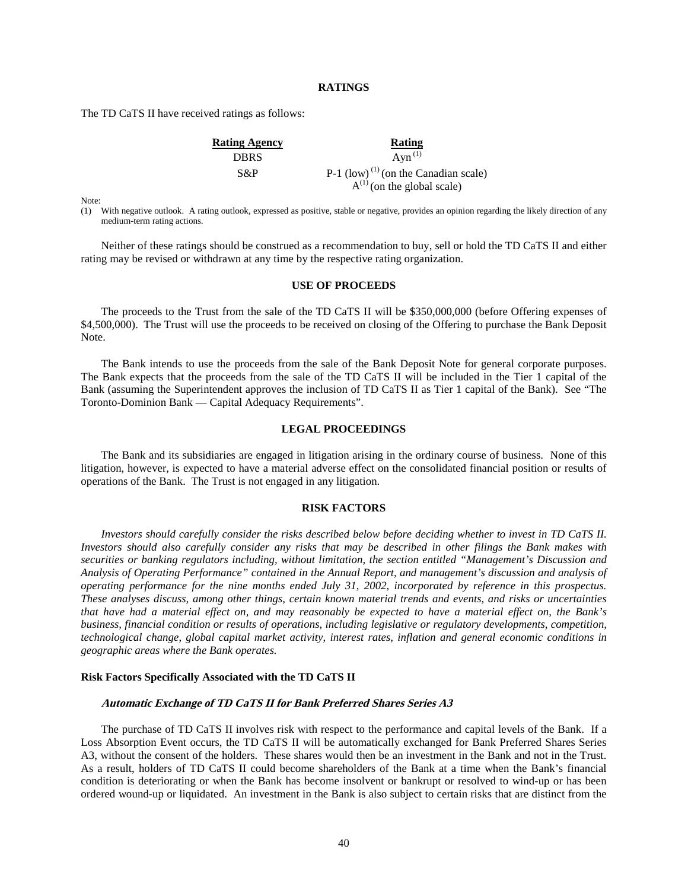# **RATINGS**

The TD CaTS II have received ratings as follows:

| <b>Rating Agency</b> | Rating                                             |
|----------------------|----------------------------------------------------|
| <b>DBRS</b>          | $Ayn^{(1)}$                                        |
| S&P                  | $P-1$ (low) <sup>(1)</sup> (on the Canadian scale) |
|                      | $A^{(1)}$ (on the global scale)                    |

Note:

(1) With negative outlook. A rating outlook, expressed as positive, stable or negative, provides an opinion regarding the likely direction of any medium-term rating actions.

Neither of these ratings should be construed as a recommendation to buy, sell or hold the TD CaTS II and either rating may be revised or withdrawn at any time by the respective rating organization.

# **USE OF PROCEEDS**

The proceeds to the Trust from the sale of the TD CaTS II will be \$350,000,000 (before Offering expenses of \$4,500,000). The Trust will use the proceeds to be received on closing of the Offering to purchase the Bank Deposit Note.

The Bank intends to use the proceeds from the sale of the Bank Deposit Note for general corporate purposes. The Bank expects that the proceeds from the sale of the TD CaTS II will be included in the Tier 1 capital of the Bank (assuming the Superintendent approves the inclusion of TD CaTS II as Tier 1 capital of the Bank). See "The Toronto-Dominion Bank — Capital Adequacy Requirements".

#### **LEGAL PROCEEDINGS**

The Bank and its subsidiaries are engaged in litigation arising in the ordinary course of business. None of this litigation, however, is expected to have a material adverse effect on the consolidated financial position or results of operations of the Bank. The Trust is not engaged in any litigation.

# **RISK FACTORS**

*Investors should carefully consider the risks described below before deciding whether to invest in TD CaTS II. Investors should also carefully consider any risks that may be described in other filings the Bank makes with securities or banking regulators including, without limitation, the section entitled "Management's Discussion and Analysis of Operating Performance" contained in the Annual Report, and management's discussion and analysis of operating performance for the nine months ended July 31, 2002, incorporated by reference in this prospectus. These analyses discuss, among other things, certain known material trends and events, and risks or uncertainties that have had a material effect on, and may reasonably be expected to have a material effect on, the Bank's business, financial condition or results of operations, including legislative or regulatory developments, competition, technological change, global capital market activity, interest rates, inflation and general economic conditions in geographic areas where the Bank operates.* 

#### **Risk Factors Specifically Associated with the TD CaTS II**

#### **Automatic Exchange of TD CaTS II for Bank Preferred Shares Series A3**

The purchase of TD CaTS II involves risk with respect to the performance and capital levels of the Bank. If a Loss Absorption Event occurs, the TD CaTS II will be automatically exchanged for Bank Preferred Shares Series A3, without the consent of the holders. These shares would then be an investment in the Bank and not in the Trust. As a result, holders of TD CaTS II could become shareholders of the Bank at a time when the Bank's financial condition is deteriorating or when the Bank has become insolvent or bankrupt or resolved to wind-up or has been ordered wound-up or liquidated. An investment in the Bank is also subject to certain risks that are distinct from the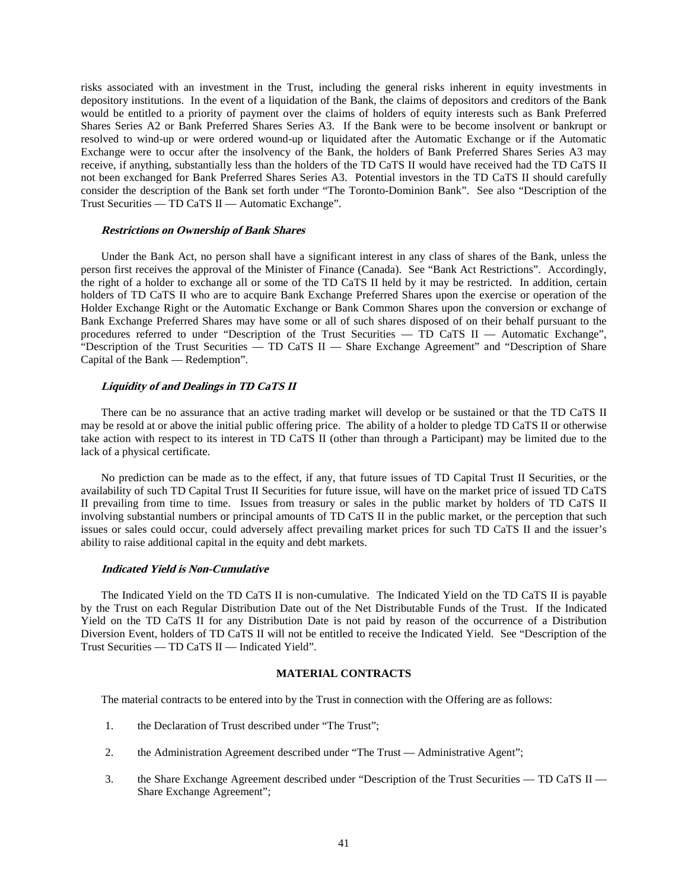risks associated with an investment in the Trust, including the general risks inherent in equity investments in depository institutions. In the event of a liquidation of the Bank, the claims of depositors and creditors of the Bank would be entitled to a priority of payment over the claims of holders of equity interests such as Bank Preferred Shares Series A2 or Bank Preferred Shares Series A3. If the Bank were to be become insolvent or bankrupt or resolved to wind-up or were ordered wound-up or liquidated after the Automatic Exchange or if the Automatic Exchange were to occur after the insolvency of the Bank, the holders of Bank Preferred Shares Series A3 may receive, if anything, substantially less than the holders of the TD CaTS II would have received had the TD CaTS II not been exchanged for Bank Preferred Shares Series A3. Potential investors in the TD CaTS II should carefully consider the description of the Bank set forth under "The Toronto-Dominion Bank". See also "Description of the Trust Securities — TD CaTS II — Automatic Exchange".

#### **Restrictions on Ownership of Bank Shares**

Under the Bank Act, no person shall have a significant interest in any class of shares of the Bank, unless the person first receives the approval of the Minister of Finance (Canada). See "Bank Act Restrictions". Accordingly, the right of a holder to exchange all or some of the TD CaTS II held by it may be restricted. In addition, certain holders of TD CaTS II who are to acquire Bank Exchange Preferred Shares upon the exercise or operation of the Holder Exchange Right or the Automatic Exchange or Bank Common Shares upon the conversion or exchange of Bank Exchange Preferred Shares may have some or all of such shares disposed of on their behalf pursuant to the procedures referred to under "Description of the Trust Securities — TD CaTS II — Automatic Exchange", "Description of the Trust Securities — TD CaTS II — Share Exchange Agreement" and "Description of Share Capital of the Bank — Redemption".

# **Liquidity of and Dealings in TD CaTS II**

There can be no assurance that an active trading market will develop or be sustained or that the TD CaTS II may be resold at or above the initial public offering price. The ability of a holder to pledge TD CaTS II or otherwise take action with respect to its interest in TD CaTS II (other than through a Participant) may be limited due to the lack of a physical certificate.

No prediction can be made as to the effect, if any, that future issues of TD Capital Trust II Securities, or the availability of such TD Capital Trust II Securities for future issue, will have on the market price of issued TD CaTS II prevailing from time to time. Issues from treasury or sales in the public market by holders of TD CaTS II involving substantial numbers or principal amounts of TD CaTS II in the public market, or the perception that such issues or sales could occur, could adversely affect prevailing market prices for such TD CaTS II and the issuer's ability to raise additional capital in the equity and debt markets.

#### **Indicated Yield is Non-Cumulative**

The Indicated Yield on the TD CaTS II is non-cumulative. The Indicated Yield on the TD CaTS II is payable by the Trust on each Regular Distribution Date out of the Net Distributable Funds of the Trust. If the Indicated Yield on the TD CaTS II for any Distribution Date is not paid by reason of the occurrence of a Distribution Diversion Event, holders of TD CaTS II will not be entitled to receive the Indicated Yield. See "Description of the Trust Securities — TD CaTS II — Indicated Yield".

# **MATERIAL CONTRACTS**

The material contracts to be entered into by the Trust in connection with the Offering are as follows:

- 1. the Declaration of Trust described under "The Trust";
- 2. the Administration Agreement described under "The Trust Administrative Agent";
- 3. the Share Exchange Agreement described under "Description of the Trust Securities TD CaTS II Share Exchange Agreement";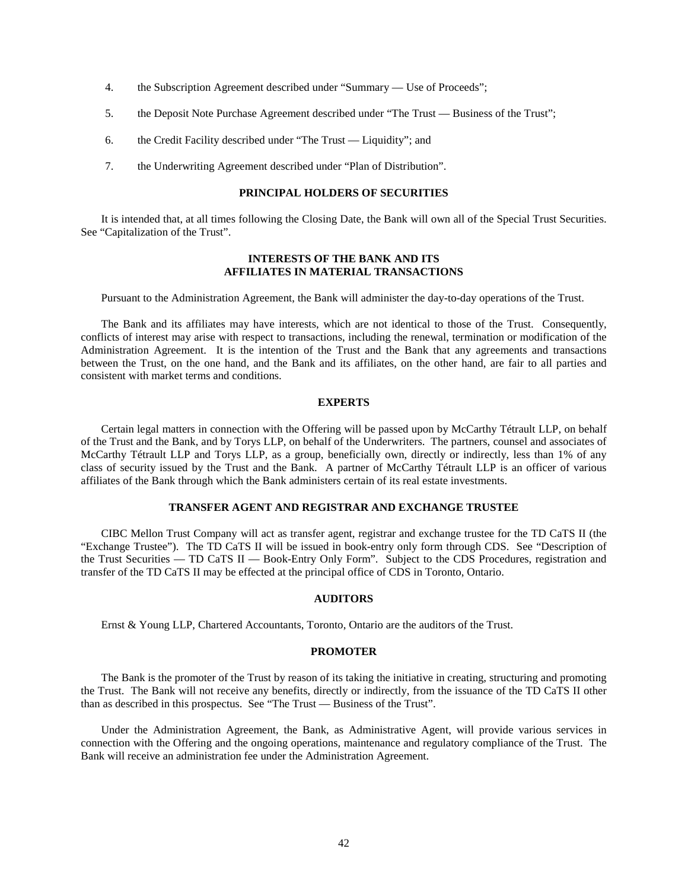- 4. the Subscription Agreement described under "Summary Use of Proceeds";
- 5. the Deposit Note Purchase Agreement described under "The Trust Business of the Trust";
- 6. the Credit Facility described under "The Trust Liquidity"; and
- 7. the Underwriting Agreement described under "Plan of Distribution".

# **PRINCIPAL HOLDERS OF SECURITIES**

It is intended that, at all times following the Closing Date, the Bank will own all of the Special Trust Securities. See "Capitalization of the Trust".

# **INTERESTS OF THE BANK AND ITS AFFILIATES IN MATERIAL TRANSACTIONS**

Pursuant to the Administration Agreement, the Bank will administer the day-to-day operations of the Trust.

The Bank and its affiliates may have interests, which are not identical to those of the Trust. Consequently, conflicts of interest may arise with respect to transactions, including the renewal, termination or modification of the Administration Agreement. It is the intention of the Trust and the Bank that any agreements and transactions between the Trust, on the one hand, and the Bank and its affiliates, on the other hand, are fair to all parties and consistent with market terms and conditions.

# **EXPERTS**

Certain legal matters in connection with the Offering will be passed upon by McCarthy Tétrault LLP, on behalf of the Trust and the Bank, and by Torys LLP, on behalf of the Underwriters. The partners, counsel and associates of McCarthy Tétrault LLP and Torys LLP, as a group, beneficially own, directly or indirectly, less than 1% of any class of security issued by the Trust and the Bank. A partner of McCarthy Tétrault LLP is an officer of various affiliates of the Bank through which the Bank administers certain of its real estate investments.

# **TRANSFER AGENT AND REGISTRAR AND EXCHANGE TRUSTEE**

CIBC Mellon Trust Company will act as transfer agent, registrar and exchange trustee for the TD CaTS II (the "Exchange Trustee"). The TD CaTS II will be issued in book-entry only form through CDS. See "Description of the Trust Securities — TD CaTS II — Book-Entry Only Form". Subject to the CDS Procedures, registration and transfer of the TD CaTS II may be effected at the principal office of CDS in Toronto, Ontario.

# **AUDITORS**

Ernst & Young LLP, Chartered Accountants, Toronto, Ontario are the auditors of the Trust.

#### **PROMOTER**

The Bank is the promoter of the Trust by reason of its taking the initiative in creating, structuring and promoting the Trust. The Bank will not receive any benefits, directly or indirectly, from the issuance of the TD CaTS II other than as described in this prospectus. See "The Trust — Business of the Trust".

Under the Administration Agreement, the Bank, as Administrative Agent, will provide various services in connection with the Offering and the ongoing operations, maintenance and regulatory compliance of the Trust. The Bank will receive an administration fee under the Administration Agreement.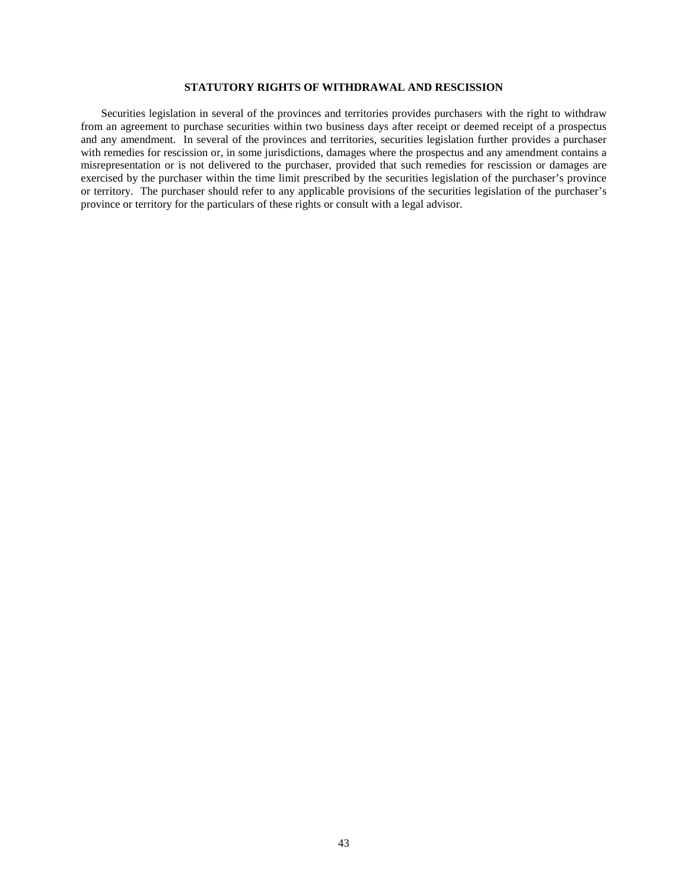# **STATUTORY RIGHTS OF WITHDRAWAL AND RESCISSION**

Securities legislation in several of the provinces and territories provides purchasers with the right to withdraw from an agreement to purchase securities within two business days after receipt or deemed receipt of a prospectus and any amendment. In several of the provinces and territories, securities legislation further provides a purchaser with remedies for rescission or, in some jurisdictions, damages where the prospectus and any amendment contains a misrepresentation or is not delivered to the purchaser, provided that such remedies for rescission or damages are exercised by the purchaser within the time limit prescribed by the securities legislation of the purchaser's province or territory. The purchaser should refer to any applicable provisions of the securities legislation of the purchaser's province or territory for the particulars of these rights or consult with a legal advisor.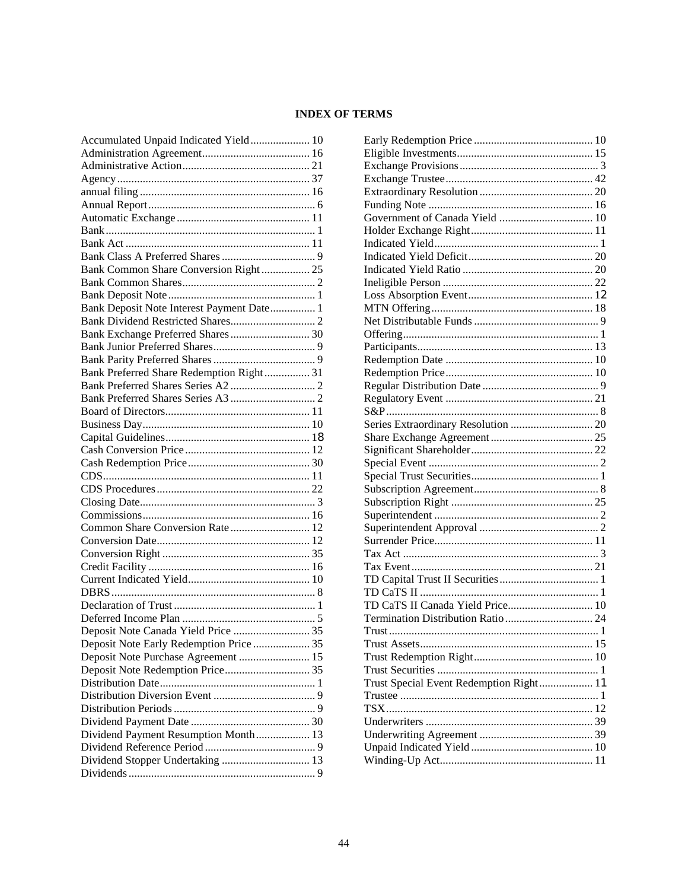# **INDEX OF TERMS**

| Accumulated Unpaid Indicated Yield 10     |  |
|-------------------------------------------|--|
|                                           |  |
|                                           |  |
|                                           |  |
|                                           |  |
|                                           |  |
|                                           |  |
|                                           |  |
|                                           |  |
|                                           |  |
| Bank Common Share Conversion Right 25     |  |
|                                           |  |
|                                           |  |
| Bank Deposit Note Interest Payment Date 1 |  |
|                                           |  |
| Bank Exchange Preferred Shares 30         |  |
|                                           |  |
|                                           |  |
| Bank Preferred Share Redemption Right 31  |  |
|                                           |  |
|                                           |  |
|                                           |  |
|                                           |  |
|                                           |  |
|                                           |  |
|                                           |  |
|                                           |  |
|                                           |  |
|                                           |  |
|                                           |  |
| Common Share Conversion Rate 12           |  |
|                                           |  |
|                                           |  |
|                                           |  |
|                                           |  |
|                                           |  |
|                                           |  |
|                                           |  |
|                                           |  |
|                                           |  |
| Deposit Note Early Redemption Price  35   |  |
| Deposit Note Purchase Agreement  15       |  |
|                                           |  |
|                                           |  |
|                                           |  |
|                                           |  |
|                                           |  |
| Dividend Payment Resumption Month 13      |  |
|                                           |  |
| Dividend Stopper Undertaking  13          |  |
|                                           |  |

| TD CaTS II Canada Yield Price 10        |  |
|-----------------------------------------|--|
|                                         |  |
|                                         |  |
|                                         |  |
|                                         |  |
|                                         |  |
| Trust Special Event Redemption Right 11 |  |
|                                         |  |
|                                         |  |
|                                         |  |
|                                         |  |
|                                         |  |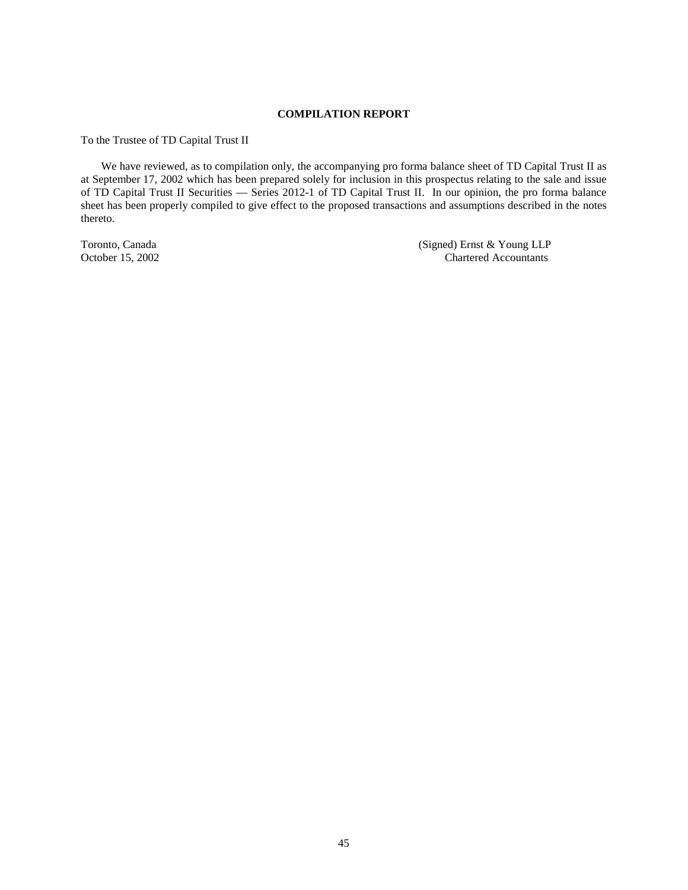# **COMPILATION REPORT**

To the Trustee of TD Capital Trust II

We have reviewed, as to compilation only, the accompanying pro forma balance sheet of TD Capital Trust II as at September 17, 2002 which has been prepared solely for inclusion in this prospectus relating to the sale and issue of TD Capital Trust II Securities — Series 2012-1 of TD Capital Trust II. In our opinion, the pro forma balance sheet has been properly compiled to give effect to the proposed transactions and assumptions described in the notes thereto.

Toronto, Canada (Signed) Ernst & Young LLP<br>
October 15, 2002<br>
Chartered Accountants Chartered Accountants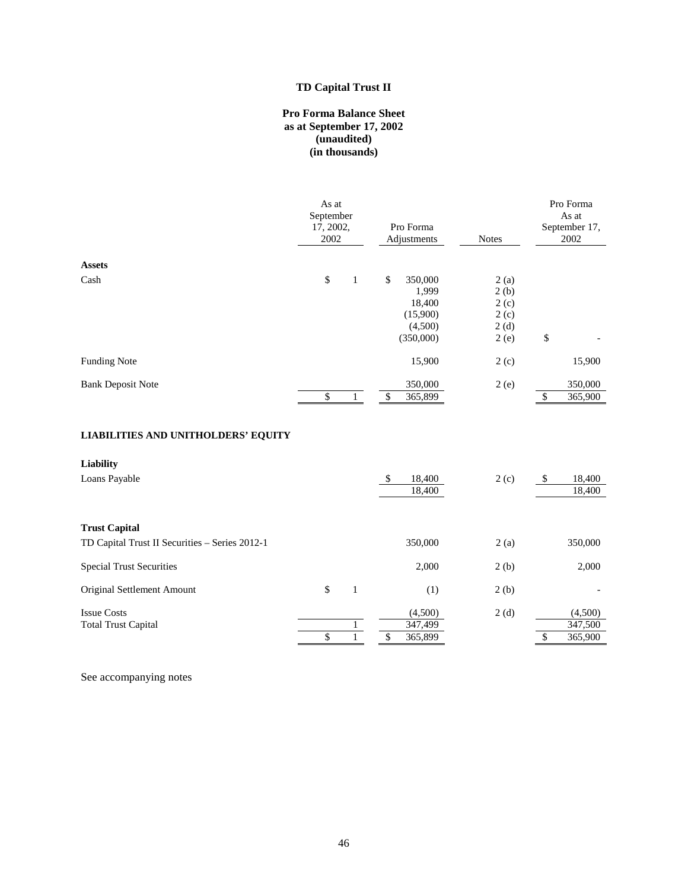# **TD Capital Trust II**

# **Pro Forma Balance Sheet as at September 17, 2002 (unaudited) (in thousands)**

|                          | As at<br>September<br>17, 2002,<br>2002 |              |    | Pro Forma<br>Adjustments | <b>Notes</b> |    | Pro Forma<br>As at<br>September 17,<br>2002 |
|--------------------------|-----------------------------------------|--------------|----|--------------------------|--------------|----|---------------------------------------------|
| <b>Assets</b>            |                                         |              |    |                          |              |    |                                             |
| Cash                     | \$                                      | $\mathbf{1}$ | \$ | 350,000                  | 2(a)         |    |                                             |
|                          |                                         |              |    | 1,999                    | 2(b)         |    |                                             |
|                          |                                         |              |    | 18,400                   | 2(c)         |    |                                             |
|                          |                                         |              |    | (15,900)                 | 2(c)         |    |                                             |
|                          |                                         |              |    | (4,500)                  | 2(d)         |    |                                             |
|                          |                                         |              |    | (350,000)                | 2(e)         | \$ |                                             |
| <b>Funding Note</b>      |                                         |              |    | 15,900                   | 2(c)         |    | 15,900                                      |
| <b>Bank Deposit Note</b> |                                         |              |    | 350,000                  | 2(e)         |    | 350,000                                     |
|                          | \$                                      |              | S  | 365,899                  |              | S  | 365,900                                     |

# **LIABILITIES AND UNITHOLDERS' EQUITY**

| <b>Liability</b><br>Loans Payable              |    | \$<br>18,400<br>18,400 | 2(c) | \$<br>18,400<br>18,400 |
|------------------------------------------------|----|------------------------|------|------------------------|
| <b>Trust Capital</b>                           |    |                        |      |                        |
| TD Capital Trust II Securities - Series 2012-1 |    | 350,000                | 2(a) | 350,000                |
| <b>Special Trust Securities</b>                |    | 2,000                  | 2(b) | 2,000                  |
| Original Settlement Amount                     | \$ | (1)                    | 2(b) |                        |
| <b>Issue Costs</b>                             |    | (4,500)                | 2(d) | (4,500)                |
| <b>Total Trust Capital</b>                     |    | 347,499                |      | 347,500                |
|                                                |    | 365,899                |      | 365,900                |

See accompanying notes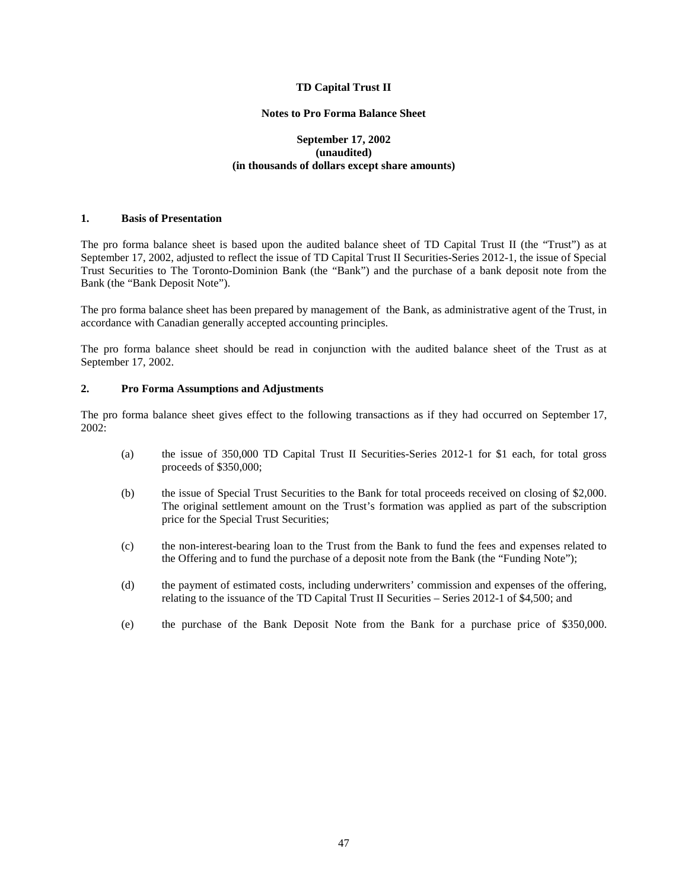# **TD Capital Trust II**

## **Notes to Pro Forma Balance Sheet**

# **September 17, 2002 (unaudited) (in thousands of dollars except share amounts)**

# **1. Basis of Presentation**

The pro forma balance sheet is based upon the audited balance sheet of TD Capital Trust II (the "Trust") as at September 17, 2002, adjusted to reflect the issue of TD Capital Trust II Securities-Series 2012-1, the issue of Special Trust Securities to The Toronto-Dominion Bank (the "Bank") and the purchase of a bank deposit note from the Bank (the "Bank Deposit Note").

The pro forma balance sheet has been prepared by management of the Bank, as administrative agent of the Trust, in accordance with Canadian generally accepted accounting principles.

The pro forma balance sheet should be read in conjunction with the audited balance sheet of the Trust as at September 17, 2002.

# **2. Pro Forma Assumptions and Adjustments**

The pro forma balance sheet gives effect to the following transactions as if they had occurred on September 17, 2002:

- (a) the issue of 350,000 TD Capital Trust II Securities-Series 2012-1 for \$1 each, for total gross proceeds of \$350,000;
- (b) the issue of Special Trust Securities to the Bank for total proceeds received on closing of \$2,000. The original settlement amount on the Trust's formation was applied as part of the subscription price for the Special Trust Securities;
- (c) the non-interest-bearing loan to the Trust from the Bank to fund the fees and expenses related to the Offering and to fund the purchase of a deposit note from the Bank (the "Funding Note");
- (d) the payment of estimated costs, including underwriters' commission and expenses of the offering, relating to the issuance of the TD Capital Trust II Securities – Series 2012-1 of \$4,500; and
- (e) the purchase of the Bank Deposit Note from the Bank for a purchase price of \$350,000.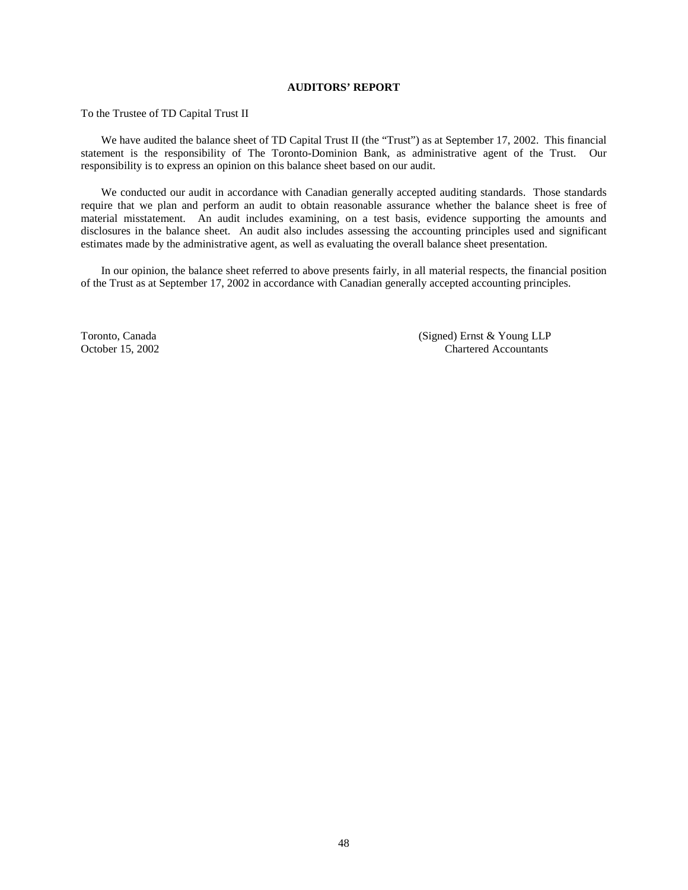# **AUDITORS' REPORT**

To the Trustee of TD Capital Trust II

We have audited the balance sheet of TD Capital Trust II (the "Trust") as at September 17, 2002. This financial statement is the responsibility of The Toronto-Dominion Bank, as administrative agent of the Trust. Our responsibility is to express an opinion on this balance sheet based on our audit.

We conducted our audit in accordance with Canadian generally accepted auditing standards. Those standards require that we plan and perform an audit to obtain reasonable assurance whether the balance sheet is free of material misstatement. An audit includes examining, on a test basis, evidence supporting the amounts and disclosures in the balance sheet. An audit also includes assessing the accounting principles used and significant estimates made by the administrative agent, as well as evaluating the overall balance sheet presentation.

In our opinion, the balance sheet referred to above presents fairly, in all material respects, the financial position of the Trust as at September 17, 2002 in accordance with Canadian generally accepted accounting principles.

Toronto, Canada (Signed) Ernst & Young LLP October 15, 2002 Chartered Accountants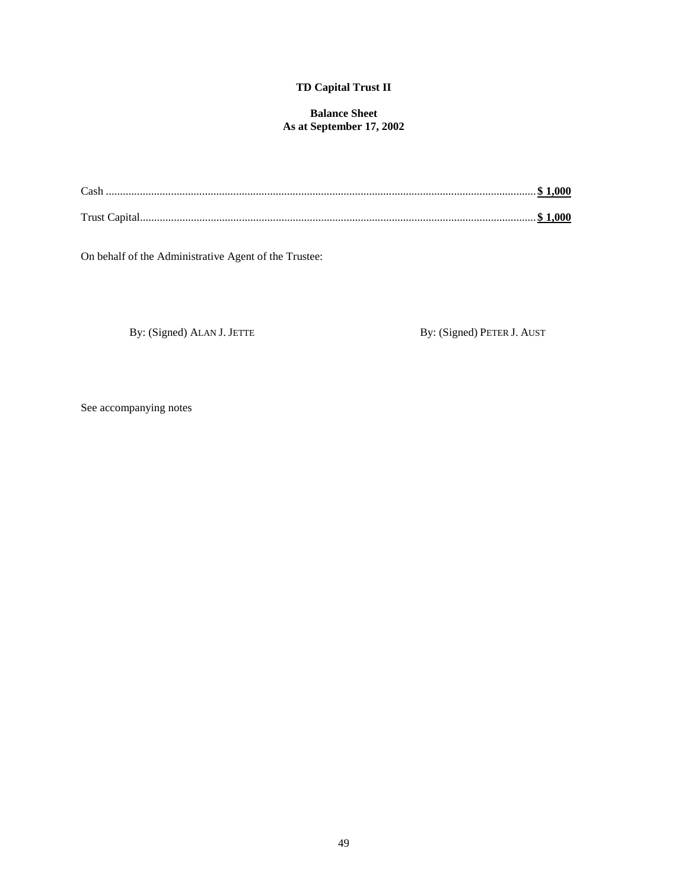# **TD Capital Trust II**

# **Balance Sheet As at September 17, 2002**

| Cash |  |
|------|--|
|      |  |

On behalf of the Administrative Agent of the Trustee:

By: (Signed) ALAN J. JETTE By: (Signed) PETER J. AUST

See accompanying notes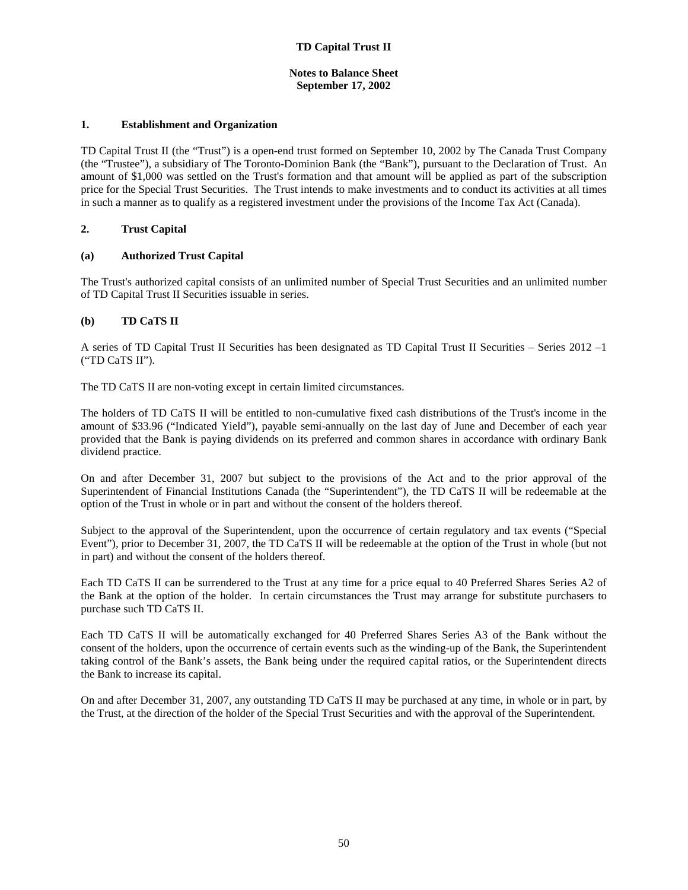# **Notes to Balance Sheet September 17, 2002**

# **1. Establishment and Organization**

TD Capital Trust II (the "Trust") is a open-end trust formed on September 10, 2002 by The Canada Trust Company (the "Trustee"), a subsidiary of The Toronto-Dominion Bank (the "Bank"), pursuant to the Declaration of Trust. An amount of \$1,000 was settled on the Trust's formation and that amount will be applied as part of the subscription price for the Special Trust Securities. The Trust intends to make investments and to conduct its activities at all times in such a manner as to qualify as a registered investment under the provisions of the Income Tax Act (Canada).

# **2. Trust Capital**

# **(a) Authorized Trust Capital**

The Trust's authorized capital consists of an unlimited number of Special Trust Securities and an unlimited number of TD Capital Trust II Securities issuable in series.

# **(b) TD CaTS II**

A series of TD Capital Trust II Securities has been designated as TD Capital Trust II Securities – Series 2012 –1 ("TD CaTS II").

The TD CaTS II are non-voting except in certain limited circumstances.

The holders of TD CaTS II will be entitled to non-cumulative fixed cash distributions of the Trust's income in the amount of \$33.96 ("Indicated Yield"), payable semi-annually on the last day of June and December of each year provided that the Bank is paying dividends on its preferred and common shares in accordance with ordinary Bank dividend practice.

On and after December 31, 2007 but subject to the provisions of the Act and to the prior approval of the Superintendent of Financial Institutions Canada (the "Superintendent"), the TD CaTS II will be redeemable at the option of the Trust in whole or in part and without the consent of the holders thereof.

Subject to the approval of the Superintendent, upon the occurrence of certain regulatory and tax events ("Special Event"), prior to December 31, 2007, the TD CaTS II will be redeemable at the option of the Trust in whole (but not in part) and without the consent of the holders thereof.

Each TD CaTS II can be surrendered to the Trust at any time for a price equal to 40 Preferred Shares Series A2 of the Bank at the option of the holder. In certain circumstances the Trust may arrange for substitute purchasers to purchase such TD CaTS II.

Each TD CaTS II will be automatically exchanged for 40 Preferred Shares Series A3 of the Bank without the consent of the holders, upon the occurrence of certain events such as the winding-up of the Bank, the Superintendent taking control of the Bank's assets, the Bank being under the required capital ratios, or the Superintendent directs the Bank to increase its capital.

On and after December 31, 2007, any outstanding TD CaTS II may be purchased at any time, in whole or in part, by the Trust, at the direction of the holder of the Special Trust Securities and with the approval of the Superintendent.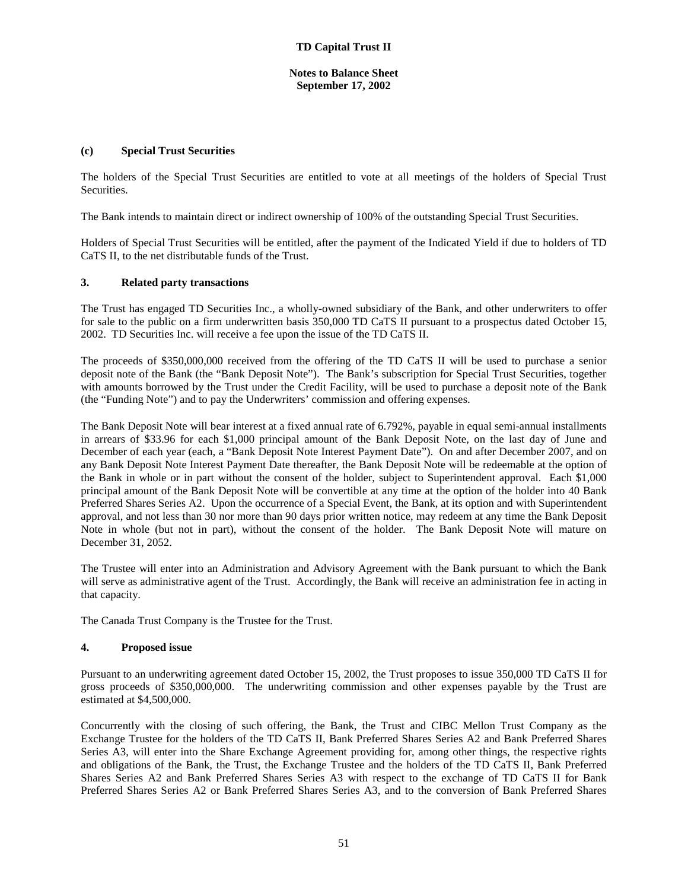# **Notes to Balance Sheet September 17, 2002**

# **(c) Special Trust Securities**

The holders of the Special Trust Securities are entitled to vote at all meetings of the holders of Special Trust Securities.

The Bank intends to maintain direct or indirect ownership of 100% of the outstanding Special Trust Securities.

Holders of Special Trust Securities will be entitled, after the payment of the Indicated Yield if due to holders of TD CaTS II, to the net distributable funds of the Trust.

# **3. Related party transactions**

The Trust has engaged TD Securities Inc., a wholly-owned subsidiary of the Bank, and other underwriters to offer for sale to the public on a firm underwritten basis 350,000 TD CaTS II pursuant to a prospectus dated October 15, 2002. TD Securities Inc. will receive a fee upon the issue of the TD CaTS II.

The proceeds of \$350,000,000 received from the offering of the TD CaTS II will be used to purchase a senior deposit note of the Bank (the "Bank Deposit Note"). The Bank's subscription for Special Trust Securities, together with amounts borrowed by the Trust under the Credit Facility, will be used to purchase a deposit note of the Bank (the "Funding Note") and to pay the Underwriters' commission and offering expenses.

The Bank Deposit Note will bear interest at a fixed annual rate of 6.792%, payable in equal semi-annual installments in arrears of \$33.96 for each \$1,000 principal amount of the Bank Deposit Note, on the last day of June and December of each year (each, a "Bank Deposit Note Interest Payment Date"). On and after December 2007, and on any Bank Deposit Note Interest Payment Date thereafter, the Bank Deposit Note will be redeemable at the option of the Bank in whole or in part without the consent of the holder, subject to Superintendent approval. Each \$1,000 principal amount of the Bank Deposit Note will be convertible at any time at the option of the holder into 40 Bank Preferred Shares Series A2. Upon the occurrence of a Special Event, the Bank, at its option and with Superintendent approval, and not less than 30 nor more than 90 days prior written notice, may redeem at any time the Bank Deposit Note in whole (but not in part), without the consent of the holder. The Bank Deposit Note will mature on December 31, 2052.

The Trustee will enter into an Administration and Advisory Agreement with the Bank pursuant to which the Bank will serve as administrative agent of the Trust. Accordingly, the Bank will receive an administration fee in acting in that capacity.

The Canada Trust Company is the Trustee for the Trust.

# **4. Proposed issue**

Pursuant to an underwriting agreement dated October 15, 2002, the Trust proposes to issue 350,000 TD CaTS II for gross proceeds of \$350,000,000. The underwriting commission and other expenses payable by the Trust are estimated at \$4,500,000.

Concurrently with the closing of such offering, the Bank, the Trust and CIBC Mellon Trust Company as the Exchange Trustee for the holders of the TD CaTS II, Bank Preferred Shares Series A2 and Bank Preferred Shares Series A3, will enter into the Share Exchange Agreement providing for, among other things, the respective rights and obligations of the Bank, the Trust, the Exchange Trustee and the holders of the TD CaTS II, Bank Preferred Shares Series A2 and Bank Preferred Shares Series A3 with respect to the exchange of TD CaTS II for Bank Preferred Shares Series A2 or Bank Preferred Shares Series A3, and to the conversion of Bank Preferred Shares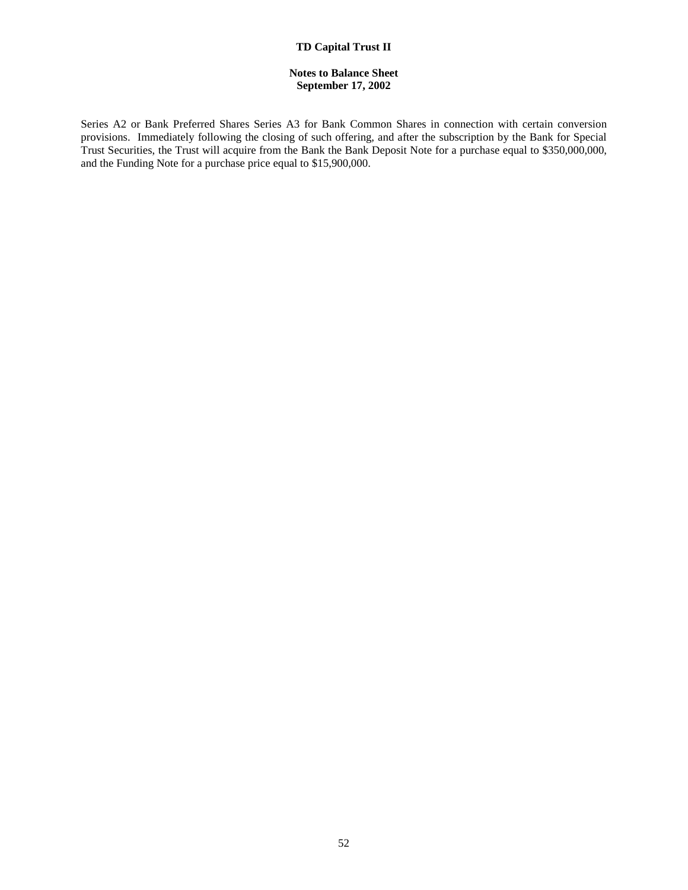# **TD Capital Trust II**

# **Notes to Balance Sheet September 17, 2002**

Series A2 or Bank Preferred Shares Series A3 for Bank Common Shares in connection with certain conversion provisions. Immediately following the closing of such offering, and after the subscription by the Bank for Special Trust Securities, the Trust will acquire from the Bank the Bank Deposit Note for a purchase equal to \$350,000,000, and the Funding Note for a purchase price equal to \$15,900,000.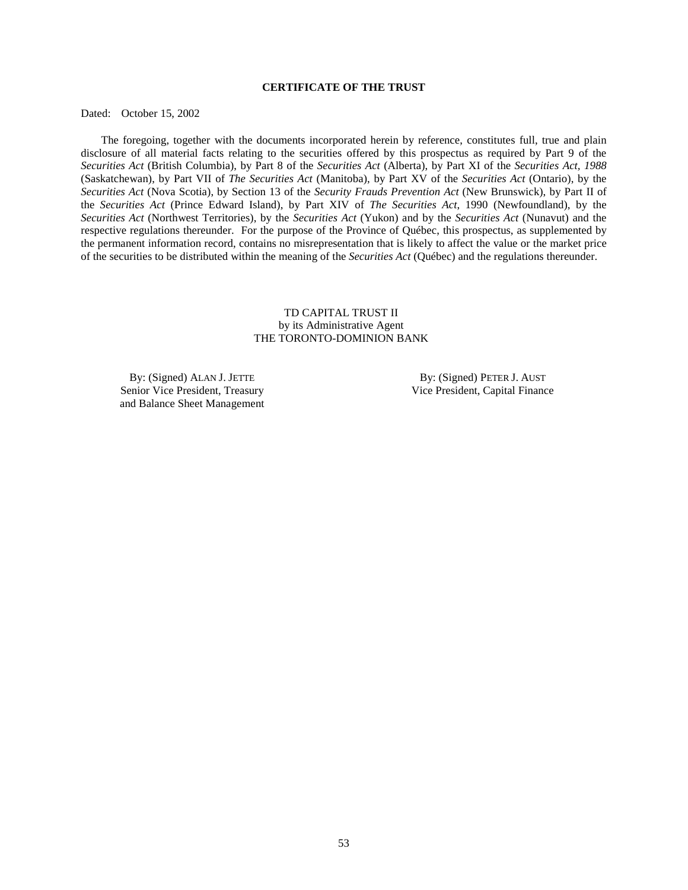# **CERTIFICATE OF THE TRUST**

Dated: October 15, 2002

The foregoing, together with the documents incorporated herein by reference, constitutes full, true and plain disclosure of all material facts relating to the securities offered by this prospectus as required by Part 9 of the *Securities Act* (British Columbia), by Part 8 of the *Securities Act* (Alberta), by Part XI of the *Securities Act, 1988* (Saskatchewan), by Part VII of *The Securities Act* (Manitoba), by Part XV of the *Securities Act* (Ontario), by the *Securities Act* (Nova Scotia), by Section 13 of the *Security Frauds Prevention Act* (New Brunswick), by Part II of the *Securities Act* (Prince Edward Island), by Part XIV of *The Securities Act*, 1990 (Newfoundland), by the *Securities Act* (Northwest Territories), by the *Securities Act* (Yukon) and by the *Securities Act* (Nunavut) and the respective regulations thereunder. For the purpose of the Province of Québec, this prospectus, as supplemented by the permanent information record, contains no misrepresentation that is likely to affect the value or the market price of the securities to be distributed within the meaning of the *Securities Act* (Québec) and the regulations thereunder.

# TD CAPITAL TRUST II by its Administrative Agent THE TORONTO-DOMINION BANK

By: (Signed) ALAN J. JETTE Senior Vice President, Treasury and Balance Sheet Management

 By: (Signed) PETER J. AUST Vice President, Capital Finance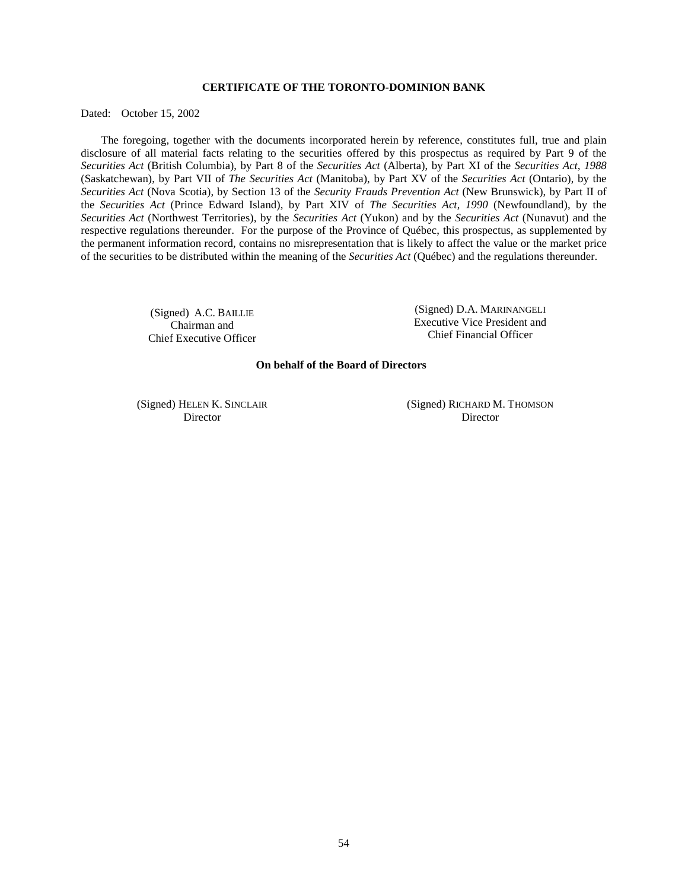# **CERTIFICATE OF THE TORONTO-DOMINION BANK**

Dated: October 15, 2002

The foregoing, together with the documents incorporated herein by reference, constitutes full, true and plain disclosure of all material facts relating to the securities offered by this prospectus as required by Part 9 of the *Securities Act* (British Columbia), by Part 8 of the *Securities Act* (Alberta), by Part XI of the *Securities Act, 1988* (Saskatchewan), by Part VII of *The Securities Act* (Manitoba), by Part XV of the *Securities Act* (Ontario), by the *Securities Act* (Nova Scotia), by Section 13 of the *Security Frauds Prevention Act* (New Brunswick), by Part II of the *Securities Act* (Prince Edward Island), by Part XIV of *The Securities Act, 1990* (Newfoundland), by the *Securities Act* (Northwest Territories), by the *Securities Act* (Yukon) and by the *Securities Act* (Nunavut) and the respective regulations thereunder. For the purpose of the Province of Québec, this prospectus, as supplemented by the permanent information record, contains no misrepresentation that is likely to affect the value or the market price of the securities to be distributed within the meaning of the *Securities Act* (Québec) and the regulations thereunder.

> (Signed) A.C. BAILLIE Chairman and Chief Executive Officer

(Signed) D.A. MARINANGELI Executive Vice President and Chief Financial Officer

### **On behalf of the Board of Directors**

(Signed) HELEN K. SINCLAIR Director

 (Signed) RICHARD M. THOMSON Director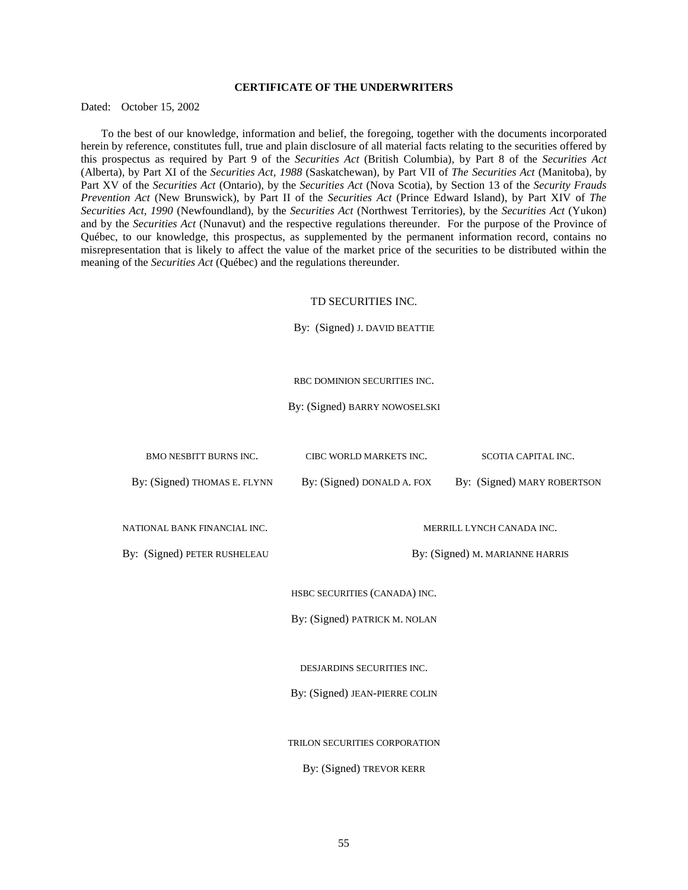# **CERTIFICATE OF THE UNDERWRITERS**

Dated: October 15, 2002

To the best of our knowledge, information and belief, the foregoing, together with the documents incorporated herein by reference, constitutes full, true and plain disclosure of all material facts relating to the securities offered by this prospectus as required by Part 9 of the *Securities Act* (British Columbia), by Part 8 of the *Securities Act* (Alberta), by Part XI of the *Securities Act, 1988* (Saskatchewan), by Part VII of *The Securities Act* (Manitoba), by Part XV of the *Securities Act* (Ontario), by the *Securities Act* (Nova Scotia), by Section 13 of the *Security Frauds Prevention Act* (New Brunswick), by Part II of the *Securities Act* (Prince Edward Island), by Part XIV of *The Securities Act, 1990* (Newfoundland), by the *Securities Act* (Northwest Territories), by the *Securities Act* (Yukon) and by the *Securities Act* (Nunavut) and the respective regulations thereunder. For the purpose of the Province of Québec, to our knowledge, this prospectus, as supplemented by the permanent information record, contains no misrepresentation that is likely to affect the value of the market price of the securities to be distributed within the meaning of the *Securities Act* (Québec) and the regulations thereunder.

#### TD SECURITIES INC.

By: (Signed) J. DAVID BEATTIE

RBC DOMINION SECURITIES INC.

By: (Signed) BARRY NOWOSELSKI

| <b>BMO NESBITT BURNS INC.</b>  | CIBC WORLD MARKETS INC.                                   | SCOTIA CAPITAL INC.       |  |  |
|--------------------------------|-----------------------------------------------------------|---------------------------|--|--|
| By: (Signed) THOMAS E. FLYNN   | By: (Signed) DONALD A. FOX<br>By: (Signed) MARY ROBERTSON |                           |  |  |
|                                |                                                           |                           |  |  |
| NATIONAL BANK FINANCIAL INC.   |                                                           | MERRILL LYNCH CANADA INC. |  |  |
| By: (Signed) PETER RUSHELEAU   | By: (Signed) M. MARIANNE HARRIS                           |                           |  |  |
|                                |                                                           |                           |  |  |
|                                | HSBC SECURITIES (CANADA) INC.                             |                           |  |  |
|                                | By: (Signed) PATRICK M. NOLAN                             |                           |  |  |
|                                |                                                           |                           |  |  |
|                                | DESJARDINS SECURITIES INC.                                |                           |  |  |
| By: (Signed) JEAN-PIERRE COLIN |                                                           |                           |  |  |
|                                |                                                           |                           |  |  |
|                                | TRILON SECURITIES CORPORATION                             |                           |  |  |
|                                | By: (Signed) TREVOR KERR                                  |                           |  |  |